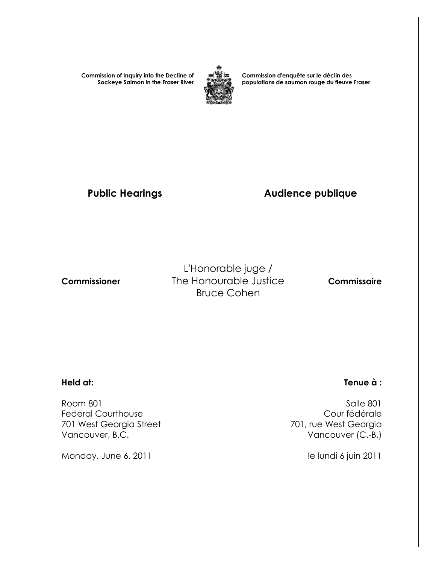**Commission of Inquiry into the Decline of Sockeye Salmon in the Fraser River**



**Commission d'enquête sur le déclin des populations de saumon rouge du fleuve Fraser** 

# Public Hearings **Audience publique**

L'Honorable juge /  **Commissioner** The Honourable Justice **Commissaire** Bruce Cohen

 Room 801 Salle 801 Federal Courthouse<br>
701 west Georgia Street<br>
701 west Georgia Street<br>
201 west Georgia 701 West Georgia Street Vancouver, B.C. **Vancouver (C.-B.)** 

Monday, June 6, 2011 and the lundi 6 juin 2011

## **Held at: Tenue à :**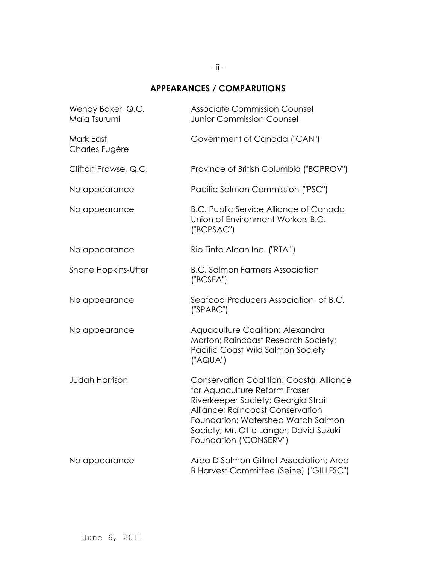# **APPEARANCES / COMPARUTIONS**

| Wendy Baker, Q.C.<br>Maia Tsurumi | <b>Associate Commission Counsel</b><br><b>Junior Commission Counsel</b>                                                                                                                                                                                               |
|-----------------------------------|-----------------------------------------------------------------------------------------------------------------------------------------------------------------------------------------------------------------------------------------------------------------------|
| Mark East<br>Charles Fugère       | Government of Canada ("CAN")                                                                                                                                                                                                                                          |
| Clifton Prowse, Q.C.              | Province of British Columbia ("BCPROV")                                                                                                                                                                                                                               |
| No appearance                     | Pacific Salmon Commission ("PSC")                                                                                                                                                                                                                                     |
| No appearance                     | <b>B.C. Public Service Alliance of Canada</b><br>Union of Environment Workers B.C.<br>("BCPSAC")                                                                                                                                                                      |
| No appearance                     | Rio Tinto Alcan Inc. ("RTAI")                                                                                                                                                                                                                                         |
| <b>Shane Hopkins-Utter</b>        | <b>B.C. Salmon Farmers Association</b><br>("BCSFA")                                                                                                                                                                                                                   |
| No appearance                     | Seafood Producers Association of B.C.<br>('SPABC")                                                                                                                                                                                                                    |
| No appearance                     | Aquaculture Coalition: Alexandra<br>Morton; Raincoast Research Society;<br>Pacific Coast Wild Salmon Society<br>("AQUA")                                                                                                                                              |
| <b>Judah Harrison</b>             | <b>Conservation Coalition: Coastal Alliance</b><br>for Aquaculture Reform Fraser<br>Riverkeeper Society; Georgia Strait<br>Alliance; Raincoast Conservation<br>Foundation; Watershed Watch Salmon<br>Society; Mr. Otto Langer; David Suzuki<br>Foundation ("CONSERV") |
| No appearance                     | Area D Salmon Gillnet Association; Area<br>B Harvest Committee (Seine) ("GILLFSC")                                                                                                                                                                                    |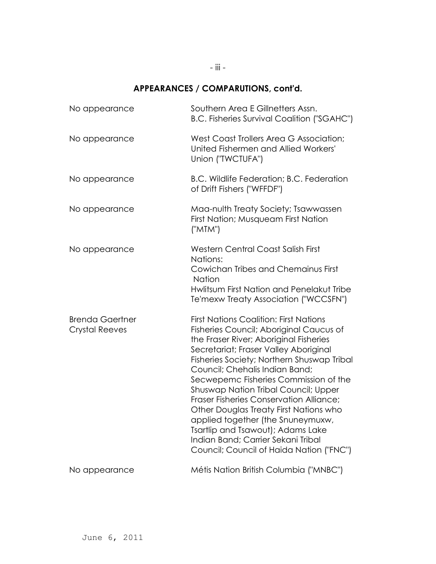# **APPEARANCES / COMPARUTIONS, cont'd.**

| No appearance                                   | Southern Area E Gillnetters Assn.<br><b>B.C. Fisheries Survival Coalition ("SGAHC")</b>                                                                                                                                                                                                                                                                                                                                                                                                                                                                                                              |
|-------------------------------------------------|------------------------------------------------------------------------------------------------------------------------------------------------------------------------------------------------------------------------------------------------------------------------------------------------------------------------------------------------------------------------------------------------------------------------------------------------------------------------------------------------------------------------------------------------------------------------------------------------------|
| No appearance                                   | West Coast Trollers Area G Association;<br>United Fishermen and Allied Workers'<br>Union ("TWCTUFA")                                                                                                                                                                                                                                                                                                                                                                                                                                                                                                 |
| No appearance                                   | B.C. Wildlife Federation; B.C. Federation<br>of Drift Fishers ("WFFDF")                                                                                                                                                                                                                                                                                                                                                                                                                                                                                                                              |
| No appearance                                   | Maa-nulth Treaty Society; Tsawwassen<br>First Nation; Musqueam First Nation<br>("MTM")                                                                                                                                                                                                                                                                                                                                                                                                                                                                                                               |
| No appearance                                   | <b>Western Central Coast Salish First</b><br>Nations:<br>Cowichan Tribes and Chemainus First<br><b>Nation</b><br>Hwlitsum First Nation and Penelakut Tribe<br>Te'mexw Treaty Association ("WCCSFN")                                                                                                                                                                                                                                                                                                                                                                                                  |
| <b>Brenda Gaertner</b><br><b>Crystal Reeves</b> | <b>First Nations Coalition: First Nations</b><br>Fisheries Council; Aboriginal Caucus of<br>the Fraser River; Aboriginal Fisheries<br>Secretariat; Fraser Valley Aboriginal<br>Fisheries Society; Northern Shuswap Tribal<br>Council; Chehalis Indian Band;<br>Secwepemc Fisheries Commission of the<br><b>Shuswap Nation Tribal Council; Upper</b><br>Fraser Fisheries Conservation Alliance;<br>Other Douglas Treaty First Nations who<br>applied together (the Snuneymuxw,<br>Tsartlip and Tsawout); Adams Lake<br>Indian Band; Carrier Sekani Tribal<br>Council; Council of Haida Nation ("FNC") |
| No appearance                                   | Métis Nation British Columbia ("MNBC")                                                                                                                                                                                                                                                                                                                                                                                                                                                                                                                                                               |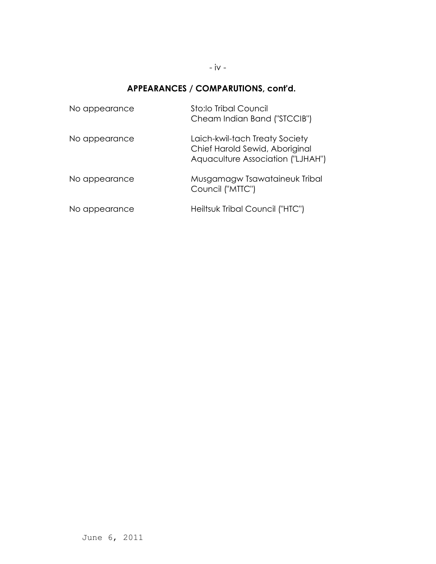### - iv -

# **APPEARANCES / COMPARUTIONS, cont'd.**

| No appearance | Sto:lo Tribal Council<br>Cheam Indian Band ("STCCIB")                                                 |
|---------------|-------------------------------------------------------------------------------------------------------|
| No appearance | Laich-kwil-tach Treaty Society<br>Chief Harold Sewid, Aboriginal<br>Aquaculture Association ("LJHAH") |
| No appearance | Musgamagw Tsawataineuk Tribal<br>Council ("MTTC")                                                     |
| No appearance | Heiltsuk Tribal Council ("HTC")                                                                       |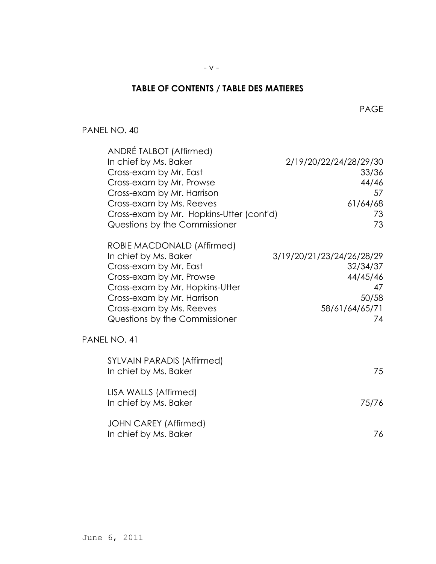## **TABLE OF CONTENTS / TABLE DES MATIERES**

PANEL NO. 40

| ANDRE TALBOT (Affirmed)                  |                           |
|------------------------------------------|---------------------------|
| In chief by Ms. Baker                    | 2/19/20/22/24/28/29/30    |
| Cross-exam by Mr. East                   | 33/36                     |
| Cross-exam by Mr. Prowse                 | 44/46                     |
| Cross-exam by Mr. Harrison               | 57                        |
| Cross-exam by Ms. Reeves                 | 61/64/68                  |
| Cross-exam by Mr. Hopkins-Utter (cont'd) | 73.                       |
| Questions by the Commissioner            | 73                        |
| ROBIE MACDONALD (Affirmed)               |                           |
| In chief by Ms. Baker                    | 3/19/20/21/23/24/26/28/29 |
| Cross-exam by Mr. East                   | 32/34/37                  |
| Cross-exam by Mr. Prowse                 | 44/45/46                  |
| Cross-exam by Mr. Hopkins-Utter          | 47                        |
| Cross-exam by Mr. Harrison               | 50/58                     |
| Cross-exam by Ms. Reeves                 | 58/61/64/65/71            |
| Questions by the Commissioner            | 74                        |
| PANEL NO. 41                             |                           |
| <b>SYLVAIN PARADIS (Affirmed)</b>        |                           |
| In chief by Ms. Baker                    | 75                        |
|                                          |                           |
| LISA WALLS (Affirmed)                    |                           |
| In chief by Ms. Baker                    | 75/76                     |
| <b>JOHN CAREY (Affirmed)</b>             |                           |
| In chief by Ms. Baker                    | 76                        |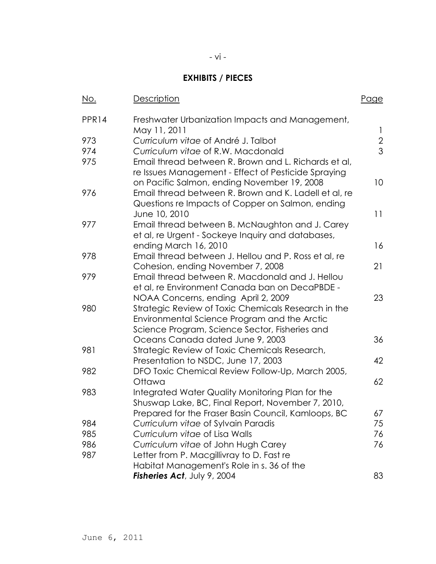# **EXHIBITS / PIECES**

- vi -

| <u>No.</u>        | Description                                                                                                                                                | <u>Page</u>     |
|-------------------|------------------------------------------------------------------------------------------------------------------------------------------------------------|-----------------|
| PPR <sub>14</sub> | Freshwater Urbanization Impacts and Management,<br>May 11, 2011                                                                                            | 1               |
| 973               | Curriculum vitae of André J. Talbot                                                                                                                        | $\overline{2}$  |
| 974               | Curriculum vitae of R.W. Macdonald                                                                                                                         | 3               |
| 975               | Email thread between R. Brown and L. Richards et al,<br>re Issues Management - Effect of Pesticide Spraying<br>on Pacific Salmon, ending November 19, 2008 | 10 <sup>°</sup> |
| 976               | Email thread between R. Brown and K. Ladell et al, re<br>Questions re Impacts of Copper on Salmon, ending<br>June 10, 2010                                 | 11              |
| 977               | Email thread between B. McNaughton and J. Carey<br>et al, re Urgent - Sockeye Inquiry and databases,                                                       |                 |
|                   | ending March 16, 2010                                                                                                                                      | 16              |
| 978               | Email thread between J. Hellou and P. Ross et al, re<br>Cohesion, ending November 7, 2008                                                                  | 21              |
| 979               | Email thread between R. Macdonald and J. Hellou<br>et al, re Environment Canada ban on DecaPBDE -                                                          |                 |
|                   | NOAA Concerns, ending April 2, 2009                                                                                                                        | 23              |
| 980               | Strategic Review of Toxic Chemicals Research in the<br>Environmental Science Program and the Arctic                                                        |                 |
|                   | Science Program, Science Sector, Fisheries and                                                                                                             |                 |
|                   | Oceans Canada dated June 9, 2003                                                                                                                           | 36              |
| 981               | Strategic Review of Toxic Chemicals Research,                                                                                                              |                 |
|                   | Presentation to NSDC, June 17, 2003                                                                                                                        | 42              |
| 982               | DFO Toxic Chemical Review Follow-Up, March 2005,<br>Ottawa                                                                                                 | 62              |
| 983               | Integrated Water Quality Monitoring Plan for the<br>Shuswap Lake, BC, Final Report, November 7, 2010,                                                      |                 |
|                   | Prepared for the Fraser Basin Council, Kamloops, BC                                                                                                        | 67              |
| 984               | Curriculum vitae of Sylvain Paradis                                                                                                                        | 75              |
| 985               | Curriculum vitae of Lisa Walls                                                                                                                             | 76              |
| 986               | Curriculum vitae of John Hugh Carey                                                                                                                        | 76              |
| 987               | Letter from P. Macgillivray to D. Fast re                                                                                                                  |                 |
|                   | Habitat Management's Role in s. 36 of the                                                                                                                  |                 |
|                   | Fisheries Act, July 9, 2004                                                                                                                                | 83              |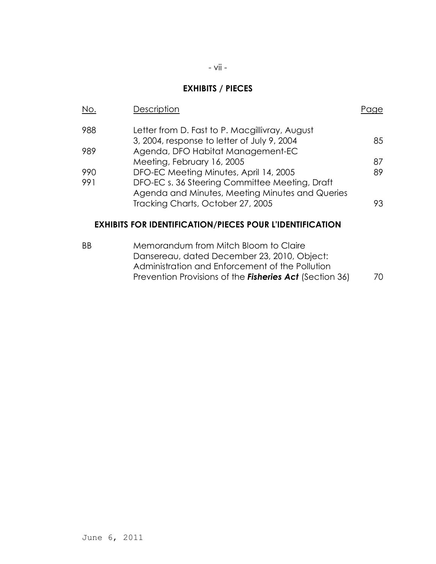## **EXHIBITS / PIECES**

- vii -

| No.        | Description                                                                                                                                 |    |
|------------|---------------------------------------------------------------------------------------------------------------------------------------------|----|
| 988        | Letter from D. Fast to P. Macgillivray, August<br>3, 2004, response to letter of July 9, 2004                                               | 85 |
| 989        | Agenda, DFO Habitat Management-EC<br>Meeting, February 16, 2005                                                                             | 87 |
| 990<br>991 | DFO-EC Meeting Minutes, April 14, 2005<br>DFO-EC s. 36 Steering Committee Meeting, Draft<br>Agenda and Minutes, Meeting Minutes and Queries | 89 |
|            | Tracking Charts, October 27, 2005                                                                                                           | 93 |

### **EXHIBITS FOR IDENTIFICATION/PIECES POUR L'IDENTIFICATION**

BB Memorandum from Mitch Bloom to Claire Dansereau, dated December 23, 2010, Object: Administration and Enforcement of the Pollution Prevention Provisions of the *Fisheries Act* (Section 36) 70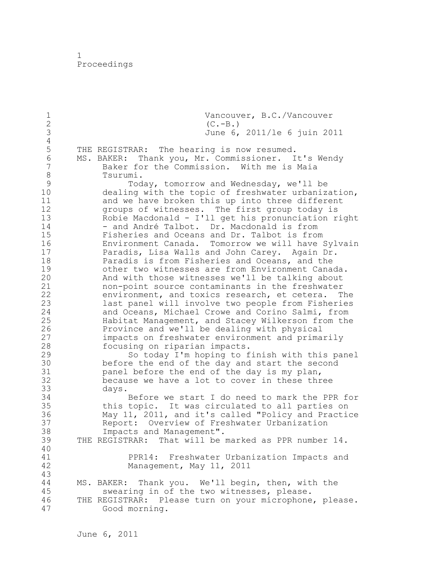1 Proceedings

1 Vancouver, B.C./Vancouver<br>2 (C.-B.) 2 (C.-B.)<br>3 June 6, 3 June 6, 2011/le 6 juin 2011  $\frac{4}{5}$ 5 THE REGISTRAR: The hearing is now resumed. 6 MS. BAKER: Thank you, Mr. Commissioner. It's Wendy 7 Baker for the Commission. With me is Maia 8 Tsurumi.<br>9 Tod 9 Today, tomorrow and Wednesday, we'll be<br>dealing with the topic of freshwater urbaniz 10 dealing with the topic of freshwater urbanization,<br>11 and we have broken this up into three different 11 and we have broken this up into three different<br>12 aroups of witnesses. The first group todav is 12 from the state of witnesses. The first group today is<br>13 Robie Macdonald - I'll get his pronunciation r 13 Robie Macdonald - I'll get his pronunciation right<br>14 - and André Talbot. Dr. Macdonald is from 14 - and André Talbot. Dr. Macdonald is from<br>15 - Fisheries and Oceans and Dr. Talbot is from 15 Fisheries and Oceans and Dr. Talbot is from<br>16 Finvironment Canada. Tomorrow we will have 16 Environment Canada. Tomorrow we will have Sylvain 17 Paradis, Lisa Walls and John Carey. Again Dr. 18 18 Paradis is from Fisheries and Oceans, and the<br>19 19 The other two witnesses are from Environment Cana 19 other two witnesses are from Environment Canada.<br>20 And with those witnesses we'll be talking about 20 And with those witnesses we'll be talking about<br>21 hon-point source contaminants in the freshwater 21 care in the freshwater<br>22 cavironment, and toxics research, et cetera. T 22 environment, and toxics research, et cetera. The<br>23 1ast panel will involve two people from Fisheries 23 last panel will involve two people from Fisheries<br>24 and Oceans, Michael Crowe and Corino Salmi, from 24 and Oceans, Michael Crowe and Corino Salmi, from 25 Habitat Management, and Stacey Wilkerson from the<br>26 Province and we'll be dealing with physical 26 Province and we'll be dealing with physical<br>27 impacts on freshwater environment and prima 27 impacts on freshwater environment and primarily<br>28 focusing on riparian impacts. 28 focusing on riparian impacts.<br>29 So today I'm hoping to f 29 So today I'm hoping to finish with this panel<br>30 before the end of the day and start the second 30 before the end of the day and start the second<br>31 before the end of the day is my plan. 31 panel before the end of the day is my plan,<br>32 because we have a lot to cover in these thr 32 because we have a lot to cover in these three 33 days. 34 Before we start I do need to mark the PPR for<br>35 this topic. It was circulated to all parties on 35 this topic. It was circulated to all parties on<br>36 May 11, 2011, and it's called "Policy and Practi 36 May 11, 2011, and it's called "Policy and Practice 37 Report: Overview of Freshwater Urbanization<br>38 Impacts and Management". 38 Impacts and Management".<br>39 THE REGISTRAR: That will be THE REGISTRAR: That will be marked as PPR number 14. 40<br>41 41 **PPR14:** Freshwater Urbanization Impacts and 42 Management, May 11, 2011 43 44 MS. BAKER: Thank you. We'll begin, then, with the<br>45 Swearing in of the two witnesses, please. swearing in of the two witnesses, please. 46 THE REGISTRAR: Please turn on your microphone, please.<br>47 Good morning. Good morning.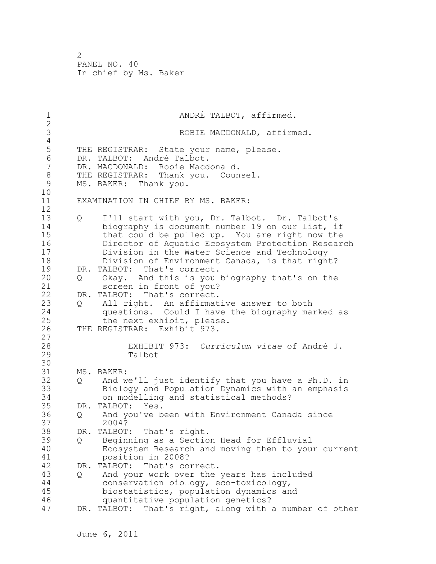| $\overline{2}$<br>$\mathfrak{Z}$                                                                                                                                                                                                                                                                                                                   |  |
|----------------------------------------------------------------------------------------------------------------------------------------------------------------------------------------------------------------------------------------------------------------------------------------------------------------------------------------------------|--|
| ROBIE MACDONALD, affirmed.                                                                                                                                                                                                                                                                                                                         |  |
| $\sqrt{4}$                                                                                                                                                                                                                                                                                                                                         |  |
| 5<br>THE REGISTRAR: State your name, please.<br>$6\,$<br>DR. TALBOT: André Talbot.<br>7<br>DR. MACDONALD: Robie Macdonald.<br>8<br>THE REGISTRAR: Thank you. Counsel.<br>$\mathcal{G}$<br>MS. BAKER: Thank you.                                                                                                                                    |  |
| 10                                                                                                                                                                                                                                                                                                                                                 |  |
| 11<br>EXAMINATION IN CHIEF BY MS. BAKER:<br>12                                                                                                                                                                                                                                                                                                     |  |
| 13<br>I'll start with you, Dr. Talbot. Dr. Talbot's<br>Q<br>14<br>biography is document number 19 on our list, if<br>15<br>that could be pulled up. You are right now the<br>16<br>Director of Aquatic Ecosystem Protection Research<br>17<br>Division in the Water Science and Technology<br>18<br>Division of Environment Canada, is that right? |  |
| 19<br>DR. TALBOT: That's correct.<br>20<br>Okay. And this is you biography that's on the<br>Q<br>21<br>screen in front of you?                                                                                                                                                                                                                     |  |
| 22<br>DR. TALBOT: That's correct.                                                                                                                                                                                                                                                                                                                  |  |
| 23<br>All right. An affirmative answer to both<br>Q<br>24<br>questions. Could I have the biography marked as<br>25<br>the next exhibit, please.                                                                                                                                                                                                    |  |
| 26<br>THE REGISTRAR: Exhibit 973.                                                                                                                                                                                                                                                                                                                  |  |
| 27<br>28<br>EXHIBIT 973: Curriculum vitae of André J.<br>29<br>Talbot<br>30                                                                                                                                                                                                                                                                        |  |
| 31<br>MS. BAKER:                                                                                                                                                                                                                                                                                                                                   |  |
| 32<br>And we'll just identify that you have a Ph.D. in<br>Q<br>33<br>Biology and Population Dynamics with an emphasis<br>34<br>on modelling and statistical methods?                                                                                                                                                                               |  |
| 35<br>DR. TALBOT: Yes.<br>36<br>And you've been with Environment Canada since<br>Q<br>37<br>2004?                                                                                                                                                                                                                                                  |  |
| DR. TALBOT: That's right.<br>38                                                                                                                                                                                                                                                                                                                    |  |
| 39<br>Beginning as a Section Head for Effluvial<br>Q<br>40<br>Ecosystem Research and moving then to your current<br>41<br>position in 2008?                                                                                                                                                                                                        |  |
| 42<br>DR. TALBOT:<br>That's correct.                                                                                                                                                                                                                                                                                                               |  |
| 43<br>And your work over the years has included<br>Q<br>44<br>conservation biology, eco-toxicology,<br>45<br>biostatistics, population dynamics and                                                                                                                                                                                                |  |
| 46<br>quantitative population genetics?<br>47<br>That's right, along with a number of other<br>DR. TALBOT:                                                                                                                                                                                                                                         |  |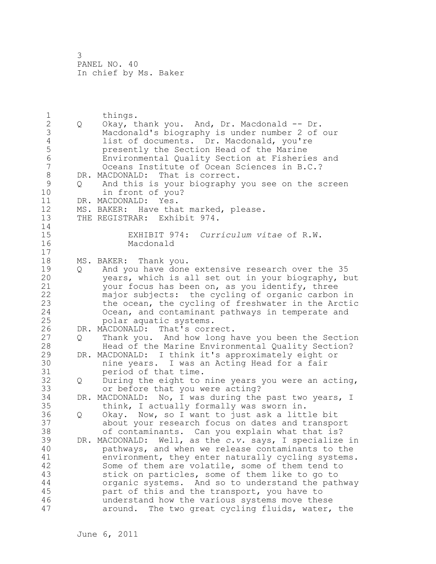1 things.<br>2 Q Okay, t 2 Q Okay, thank you. And, Dr. Macdonald -- Dr. 3 Macdonald's biography is under number 2 of our 4 list of documents. Dr. Macdonald, you're<br>5 besently the Section Head of the Marine 5 **presently the Section Head of the Marine**<br>6 **Environmental Ouality Section at Fisheri** 6 Environmental Quality Section at Fisheries and 7 Oceans Institute of Ocean Sciences in B.C.?<br>8 DR. MACDONALD: That is correct. 8 DR. MACDONALD: That is correct.<br>9 0 And this is your biography 9 Q And this is your biography you see on the screen 10 in front of you?<br>11 DR. MACDONALD: Yes. 11 DR. MACDONALD: Yes.<br>12 MS. BAKER: Have tha 12 MS. BAKER: Have that marked, please.<br>13 THE REGISTRAR: Exhibit 974. THE REGISTRAR: Exhibit 974.  $\begin{array}{c} 14 \\ 15 \end{array}$ 15 EXHIBIT 974: *Curriculum vitae* of R.W. Macdonald  $\begin{array}{c} 17 \\ 18 \end{array}$ 18 MS. BAKER: Thank you.<br>19 0 And you have done 19 Q And you have done extensive research over the 35<br>20 years, which is all set out in your biography, b 20 years, which is all set out in your biography, but<br>21 vour focus has been on, as you identify, three 21 your focus has been on, as you identify, three<br>22 maior subiects: the cycling of organic carbon 22 major subjects: the cycling of organic carbon in 23 the ocean, the cycling of freshwater in the Arctic<br>24 0cean, and contaminant pathways in temperate and 24 Ocean, and contaminant pathways in temperate and<br>25 oplar aquatic systems. 25 polar aquatic systems.<br>26 DR. MACDONALD: That's corr 26 DR. MACDONALD: That's correct.<br>27 0 Thank you. And how long h 27 Q Thank you. And how long have you been the Section<br>28 Head of the Marine Environmental Ouality Section? 28 Head of the Marine Environmental Quality Section?<br>29 DR. MACDONALD: I think it's approximately eight or 29 DR. MACDONALD: I think it's approximately eight or 30 mine years. I was an Acting Head for a fair<br>31 meriod of that time. 31 period of that time.<br>32 0 During the eight to 32 Q During the eight to nine years you were an acting,<br>33 or before that you were acting? 33 or before that you were acting?<br>34 DR. MACDONALD: No. I was during the 34 DR. MACDONALD: No, I was during the past two years, I<br>35 think, I actually formally was sworn in. 35 think, I actually formally was sworn in.<br>36 Q Okay. Now, so I want to just ask a litt 36 Q Okay. Now, so I want to just ask a little bit 37 about your research focus on dates and transport<br>38 of contaminants. Can you explain what that is? 38 of contaminants. Can you explain what that is?<br>39 DR. MACDONALD: Well, as the *c.v.* savs, I specialize 39 DR. MACDONALD: Well, as the *c.v.* says, I specialize in 40 **pathways, and when we release contaminants to the**<br>41 **budget entigator** enter naturally cycling systems 41 environment, they enter naturally cycling systems.<br>42 Some of them are volatile, some of them tend to 42 Some of them are volatile, some of them tend to<br>43 stick on particles, some of them like to go to stick on particles, some of them like to go to 44 organic systems. And so to understand the pathway part of this and the transport, you have to 46 understand how the various systems move these<br>47 around. The two great cycling fluids, water, around. The two great cycling fluids, water, the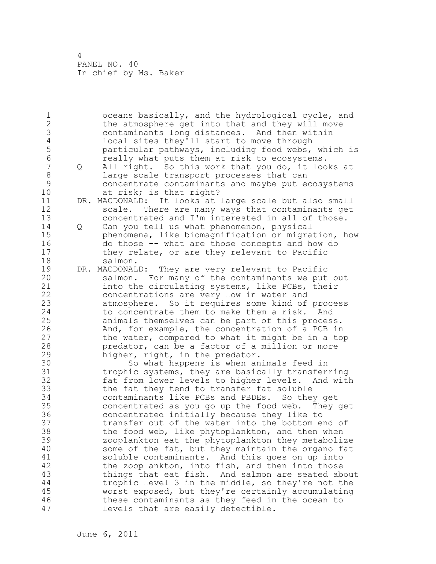1 oceans basically, and the hydrological cycle, and 2 the atmosphere get into that and they will move 2 the atmosphere get into that and they will move<br>3 contaminants long distances. And then within 3 contaminants long distances. And then within 4 local sites they'll start to move through<br>5 particular pathways, including food webs, 5 particular pathways, including food webs, which is<br>6 contractly what puts them at risk to ecosystems. 6 really what puts them at risk to ecosystems.<br>7 0 All right. So this work that you do, it loo 7 Q All right. So this work that you do, it looks at 8 large scale transport processes that can<br>9 concentrate contaminants and mavbe put e 9 concentrate contaminants and maybe put ecosystems<br>10 at risk: is that right? 10 at risk; is that right?<br>11 DR. MACDONALD: It looks at 11 DR. MACDONALD: It looks at large scale but also small<br>12 Scale. There are many ways that contaminants get 12 scale. There are many ways that contaminants get<br>13 concentrated and I'm interested in all of those. 13 concentrated and I'm interested in all of those.<br>14 0 Can vou tell us what phenomenon, physical 14 Q Can you tell us what phenomenon, physical<br>15 bhenomena, like biomagnification or migra 15 bhenomena, like biomagnification or migration, how<br>16 do those -- what are those concepts and how do 16 do those -- what are those concepts and how do<br>17 they relate, or are they relevant to Pacific 17 they relate, or are they relevant to Pacific<br>18 salmon. 18 salmon.<br>19 DR. MACDONAL 19 DR. MACDONALD: They are very relevant to Pacific<br>20 Salmon. For many of the contaminants we put 20 salmon. For many of the contaminants we put out<br>21 finto the circulating systems, like PCBs, their 21 into the circulating systems, like PCBs, their<br>22 concentrations are very low in water and 22 concentrations are very low in water and<br>23 atmosphere. So it requires some kind of atmosphere. So it requires some kind of process 24 to concentrate them to make them a risk. And<br>25 animals themselves can be part of this proces 25 animals themselves can be part of this process.<br>26 And, for example, the concentration of a PCB in 26 And, for example, the concentration of a PCB in<br>27 the water, compared to what it might be in a top 27 the water, compared to what it might be in a top<br>28 bredator, can be a factor of a million or more 28 predator, can be a factor of a million or more<br>29 higher, right, in the predator. 29 higher, right, in the predator.<br>30 60 what happens is when an 30 So what happens is when animals feed in<br>31 So what happens, they are basically transfer 31 trophic systems, they are basically transferring<br>32 fat from lower levels to higher levels. And with 32 fat from lower levels to higher levels. And with<br>33 the fat they tend to transfer fat soluble 33 the fat they tend to transfer fat soluble<br>34 contaminants like PCBs and PBDEs. So they get 34 contaminants like PCBs and PBDEs.<br>35 concentrated as you go up the food 35 concentrated as you go up the food web. They get 36 concentrated initially because they like to<br>37 transfer out of the water into the bottom er 37 transfer out of the water into the bottom end of<br>38 the food web, like phytoplankton, and then when 38 the food web, like phytoplankton, and then when<br>39 sooplankton eat the phytoplankton they metaboli 39 zooplankton eat the phytoplankton they metabolize 40 some of the fat, but they maintain the organo fat<br>41 soluble contaminants. And this goes on up into 41 soluble contaminants. And this goes on up into<br>42 the zooplankton, into fish, and then into those 42 the zooplankton, into fish, and then into those<br>43 things that eat fish. And salmon are seated ab things that eat fish. And salmon are seated about 44 trophic level 3 in the middle, so they're not the<br>45 worst exposed, but they're certainly accumulating worst exposed, but they're certainly accumulating 46 these contaminants as they feed in the ocean to<br>47 devels that are easily detectible. levels that are easily detectible.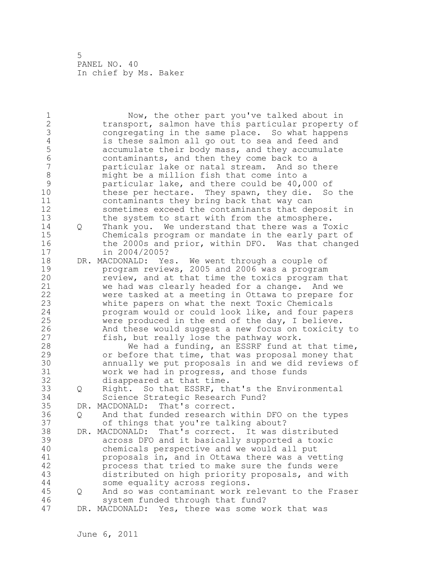| 1              |   | Now, the other part you've talked about in           |
|----------------|---|------------------------------------------------------|
|                |   |                                                      |
| $\overline{c}$ |   | transport, salmon have this particular property of   |
| 3              |   | congregating in the same place. So what happens      |
| $\sqrt{4}$     |   | is these salmon all go out to sea and feed and       |
| 5              |   | accumulate their body mass, and they accumulate      |
| 6              |   | contaminants, and then they come back to a           |
| 7              |   | particular lake or natal stream. And so there        |
|                |   |                                                      |
| 8              |   | might be a million fish that come into a             |
| 9              |   | particular lake, and there could be 40,000 of        |
| 10             |   | these per hectare. They spawn, they die. So the      |
| 11             |   | contaminants they bring back that way can            |
| 12             |   | sometimes exceed the contaminants that deposit in    |
|                |   |                                                      |
| 13             |   | the system to start with from the atmosphere.        |
| 14             | Q | Thank you. We understand that there was a Toxic      |
| 15             |   | Chemicals program or mandate in the early part of    |
| 16             |   | the 2000s and prior, within DFO. Was that changed    |
| 17             |   | in 2004/2005?                                        |
| 18             |   |                                                      |
|                |   | DR. MACDONALD: Yes. We went through a couple of      |
| 19             |   | program reviews, 2005 and 2006 was a program         |
| 20             |   | review, and at that time the toxics program that     |
| 21             |   | we had was clearly headed for a change. And we       |
| 22             |   | were tasked at a meeting in Ottawa to prepare for    |
| 23             |   | white papers on what the next Toxic Chemicals        |
|                |   |                                                      |
| 24             |   | program would or could look like, and four papers    |
| 25             |   | were produced in the end of the day, I believe.      |
| 26             |   | And these would suggest a new focus on toxicity to   |
| 27             |   | fish, but really lose the pathway work.              |
| 28             |   | We had a funding, an ESSRF fund at that time,        |
| 29             |   | or before that time, that was proposal money that    |
|                |   |                                                      |
| 30             |   | annually we put proposals in and we did reviews of   |
| 31             |   | work we had in progress, and those funds             |
| 32             |   | disappeared at that time.                            |
| 33             | Q | Right. So that ESSRF, that's the Environmental       |
| 34             |   | Science Strategic Research Fund?                     |
| 35             |   | DR. MACDONALD:<br>That's correct.                    |
|                |   |                                                      |
| 36             | Q | And that funded research within DFO on the types     |
| 37             |   | of things that you're talking about?                 |
| 38             |   | DR. MACDONALD:<br>That's correct. It was distributed |
| 39             |   | across DFO and it basically supported a toxic        |
| 40             |   | chemicals perspective and we would all put           |
| 41             |   | proposals in, and in Ottawa there was a vetting      |
|                |   |                                                      |
| 42             |   | process that tried to make sure the funds were       |
| 43             |   | distributed on high priority proposals, and with     |
| 44             |   | some equality across regions.                        |
| 45             | Q | And so was contaminant work relevant to the Fraser   |
| 46             |   | system funded through that fund?                     |
| 47             |   |                                                      |
|                |   | DR. MACDONALD: Yes, there was some work that was     |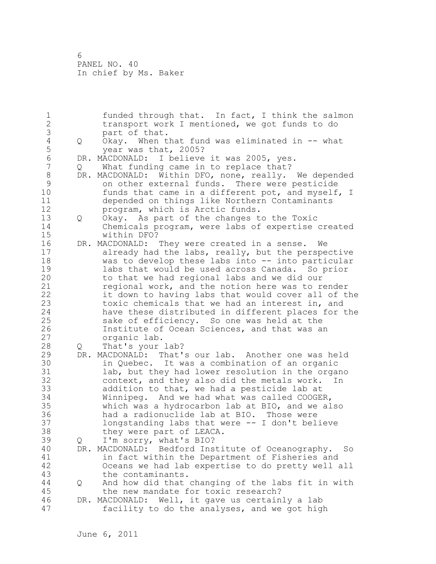1 funded through that. In fact, I think the salmon<br>2 transport work I mentioned, we got funds to do 2 transport work I mentioned, we got funds to do<br>3 bart of that. 3 part of that.<br>4 Q Okay. When t 4 Q Okay. When that fund was eliminated in -- what 5 year was that, 2005?<br>6 DR. MACDONALD: I believe 6 DR. MACDONALD: I believe it was 2005, yes. 7 Q What funding came in to replace that?<br>8 DR. MACDONALD: Within DFO, none, really. 8 DR. MACDONALD: Within DFO, none, really. We depended<br>9 on other external funds. There were pesticide 9 on other external funds. There were pesticide 10 funds that came in a different pot, and myself, I<br>11 depended on things like Northern Contaminants 11 depended on things like Northern Contaminants 12 brogram, which is Arctic funds.<br>13 0 Okav. As part of the changes t 13 Q Okay. As part of the changes to the Toxic 14 Chemicals program, were labs of expertise created<br>15 within DFO? 15 within DFO?<br>16 DR. MACDONALD: 16 DR. MACDONALD: They were created in a sense. We<br>17 already had the labs, really, but the perspe 17 already had the labs, really, but the perspective<br>18 was to develop these labs into -- into particular 18 was to develop these labs into -- into particular<br>19 19 1abs that would be used across Canada. So prior 19 10 labs that would be used across Canada. So prior<br>20 to that we had regional labs and we did our 20 to that we had regional labs and we did our<br>21 segional work, and the notion here was to re 21 **1983** regional work, and the notion here was to render<br>22 **12** it down to having labs that would cover all of the 22 it down to having labs that would cover all of the<br>23 toxic chemicals that we had an interest in, and 23 toxic chemicals that we had an interest in, and<br>24 have these distributed in different places for 24 have these distributed in different places for the<br>25 sake of efficiency. So one was held at the 25 sake of efficiency. So one was held at the<br>26 1nstitute of Ocean Sciences, and that was a 26 Institute of Ocean Sciences, and that was an<br>27 organic lab. 27 organic lab.<br>28 0 That's vour 28 Q That's your lab?<br>29 DR. MACDONALD: That' 29 DR. MACDONALD: That's our lab. Another one was held 30 in Quebec. It was a combination of an organic<br>31 ab, but they had lower resolution in the orga 31 lab, but they had lower resolution in the organo<br>32 context, and they also did the metals work. In 32 context, and they also did the metals work. In<br>33 addition to that, we had a pesticide lab at 33 addition to that, we had a pesticide lab at 34 Winnipeg. And we had what was called COOGER,<br>35 which was a hydrocarbon lab at BIO, and we al 35 which was a hydrocarbon lab at BIO, and we also 36 had a radionuclide lab at BIO. Those were<br>37 hongstanding labs that were -- I don't bel. 37 longstanding labs that were -- I don't believe<br>38 they were part of LEACA. 38 they were part of LEACA.<br>39 0 I'm sorry, what's BIO? 39 Q I'm sorry, what's BIO? 40 DR. MACDONALD: Bedford Institute of Oceanography. So 41 in fact within the Department of Fisheries and<br>42 Oceans we had lab expertise to do pretty well 42 Oceans we had lab expertise to do pretty well all the contaminants. 44 Q And how did that changing of the labs fit in with the new mandate for toxic research? 46 DR. MACDONALD: Well, it gave us certainly a lab<br>47 facility to do the analyses, and we got high facility to do the analyses, and we got high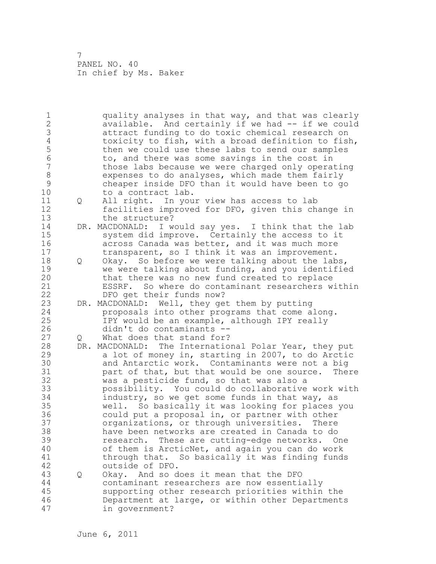1 quality analyses in that way, and that was clearly<br>2 available. And certainly if we had -- if we could 2 available. And certainly if we had -- if we could 3 attract funding to do toxic chemical research on<br>4 boxicity to fish, with a broad definition to fis 4 toxicity to fish, with a broad definition to fish,<br>5 then we could use these labs to send our samples 5 then we could use these labs to send our samples<br>6 to, and there was some savings in the cost in 6 to, and there was some savings in the cost in<br>7 those labs because we were charged only opera 7 those labs because we were charged only operating<br>8 expenses to do analvses, which made them fairly 8 expenses to do analyses, which made them fairly<br>9 cheaper inside DFO than it would have been to q 9 cheaper inside DFO than it would have been to go 10 to a contract lab.<br>11 0 All right. In you 11 O all right. In your view has access to lab<br>12 facilities improved for DFO, given this ch 12 facilities improved for DFO, given this change in<br>13 the structure? 13 the structure?<br>14 DR. MACDONALD: I w 14 DR. MACDONALD: I would say yes. I think that the lab<br>15 system did improve. Certainly the access to it 15 system did improve. Certainly the access to it<br>16 across Canada was better, and it was much more 16 across Canada was better, and it was much more<br>17 transparent, so I think it was an improvement. 17 transparent, so I think it was an improvement.<br>18 0 Okav. So before we were talking about the lab 18 Q Okay. So before we were talking about the labs,<br>19 we were talking about funding, and you identifie 19 we were talking about funding, and you identified<br>20 that there was no new fund created to replace 20 that there was no new fund created to replace<br>21 ESSRF. So where do contaminant researchers w 21 ESSRF. So where do contaminant researchers within<br>22 DFO get their funds now? 22 DFO get their funds now?<br>23 DR. MACDONALD: Well, they ge 23 DR. MACDONALD: Well, they get them by putting<br>24 **belling** proposals into other programs that come a 24 **proposals into other programs that come along.**<br>25 TPY would be an example, although IPY really 25 IPY would be an example, although IPY really 26 didn't do contaminants --<br>27 0 What does that stand for? 27 Q What does that stand for?<br>28 DR. MACDONALD: The Internatio 28 DR. MACDONALD: The International Polar Year, they put<br>29 a lot of monev in, starting in 2007, to do Arctic 29 a lot of money in, starting in 2007, to do Arctic<br>30 and Antarctic work. Contaminants were not a big 30 and Antarctic work. Contaminants were not a big<br>31 bart of that, but that would be one source. The 31 part of that, but that would be one source. There<br>32 was a pesticide fund, so that was also a 32 was a pesticide fund, so that was also a 33 possibility. You could do collaborative work with 34 industry, so we get some funds in that way, as<br>35 well. So basically it was looking for places 35 well. So basically it was looking for places you 36 could put a proposal in, or partner with other<br>37 crganizations, or through universities. There 37 organizations, or through universities. There<br>38 have been networks are created in Canada to do 38 have been networks are created in Canada to do 39 research. These are cutting-edge networks. One 40 of them is ArcticNet, and again you can do work<br>41 through that. So basically it was finding fund: 41 through that. So basically it was finding funds<br>42 outside of DFO. 42 outside of DFO.<br>43 0 Okay. And so d 43 Q Okay. And so does it mean that the DFO 44 contaminant researchers are now essentially supporting other research priorities within the 46 Department at large, or within other Departments in government?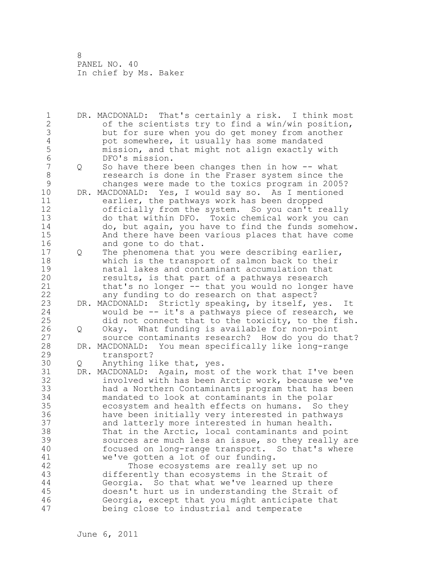1 DR. MACDONALD: That's certainly a risk. I think most<br>2 of the scientists try to find a win/win position, 2 of the scientists try to find a win/win position,<br>3 but for sure when you do get money from another 3 but for sure when you do get money from another<br>4 bot somewhere, it usually has some mandated 4 pot somewhere, it usually has some mandated<br>5 mission, and that might not align exactly w 5 mission, and that might not align exactly with 6 DFO's mission.<br>7 0 So have there 7 Q So have there been changes then in how -- what<br>8 Tesearch is done in the Fraser system since the 8 8 research is done in the Fraser system since the<br>9 8 changes were made to the toxics program in 2005 9 changes were made to the toxics program in 2005?<br>10 DR. MACDONALD: Yes, I would sav so. As I mentioned 10 DR. MACDONALD: Yes, I would say so. As I mentioned<br>11 earlier, the pathways work has been dropped 11 earlier, the pathways work has been dropped<br>12 officially from the system. So you can't re 12 officially from the system. So you can't really<br>13 do that within DFO. Toxic chemical work you can 13 do that within DFO. Toxic chemical work you can 14 do, but again, you have to find the funds somehow.<br>15 And there have been various places that have come 15 And there have been various places that have come<br>16 and gone to do that. 16 and gone to do that.<br>17 0 The phenomena that v 17 Q The phenomena that you were describing earlier,<br>18 Which is the transport of salmon back to their 18 which is the transport of salmon back to their 19 19 11 natal lakes and contaminant accumulation that<br>20 12 12 nesults, is that part of a pathways research 20 results, is that part of a pathways research<br>21 that's no longer -- that you would no longer 21 that's no longer -- that you would no longer have<br>22 any funding to do research on that aspect? 22 any funding to do research on that aspect?<br>23 DR. MACDONALD: Strictly speaking, by itself, ve DR. MACDONALD: Strictly speaking, by itself, yes. It 24 would be -- it's a pathways piece of research, we<br>25 did not connect that to the toxicity, to the fish 25 did not connect that to the toxicity, to the fish.<br>26 0 Okav. What funding is available for non-point 26 Q Okay. What funding is available for non-point<br>27 source contaminants research? How do you do t 27 source contaminants research? How do you do that? 28 DR. MACDONALD: You mean specifically like long-range 29 transport?<br>30 O Anvthing l: 30 Q Anything like that, yes.<br>31 DR. MACDONALD: Again, most o 31 DR. MACDONALD: Again, most of the work that I've been 32 involved with has been Arctic work, because we've 33 had a Northern Contaminants program that has been mandated to look at contaminants in the polar 35 ecosystem and health effects on humans. So they 36 have been initially very interested in pathways<br>37 and latterly more interested in human health. 37 and latterly more interested in human health.<br>38 That in the Arctic, local contaminants and po 38 That in the Arctic, local contaminants and point<br>39 Sources are much less an issue, so they really a 39 sources are much less an issue, so they really are<br>40 focused on long-range transport. So that's where 40 focused on long-range transport. So that's where<br>41 we've gotten a lot of our funding. 41 we've gotten a lot of our funding.<br>42 Those ecosystems are really s 42 Those ecosystems are really set up no<br>43 differently than ecosystems in the Strait differently than ecosystems in the Strait of 44 Georgia. So that what we've learned up there<br>45 doesn't hurt us in understanding the Strait o doesn't hurt us in understanding the Strait of 46 Georgia, except that you might anticipate that being close to industrial and temperate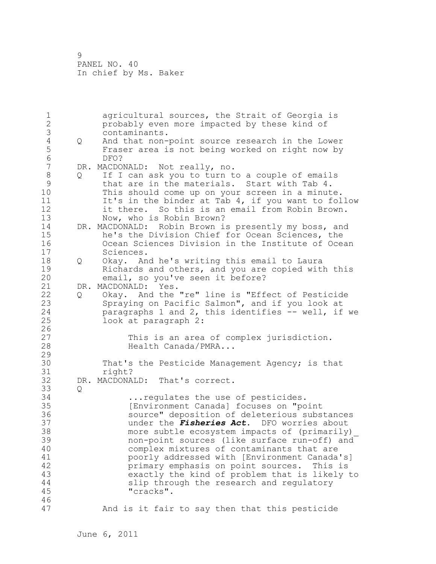1 agricultural sources, the Strait of Georgia is<br>2 brobably even more impacted by these kind of 2 probably even more impacted by these kind of 3 contaminants.<br>4 Q And that non-4 Q And that non-point source research in the Lower<br>5 Fraser area is not being worked on right now by 5 Fraser area is not being worked on right now by 6 DFO?<br>7 DR. MACDO 7 DR. MACDONALD: Not really, no. 8 Q If I can ask you to turn to a couple of emails<br>9 that are in the materials. Start with Tab 4. 9 that are in the materials. Start with Tab 4.<br>10 This should come up on your screen in a minut 10 This should come up on your screen in a minute.<br>11 It's in the binder at Tab 4, if you want to fol 11 It's in the binder at Tab 4, if you want to follow<br>12 it there. So this is an email from Robin Brown. 12 it there. So this is an email from Robin Brown.<br>13 Mow, who is Robin Brown? 13 Now, who is Robin Brown?<br>14 DR. MACDONALD: Robin Brown i 14 DR. MACDONALD: Robin Brown is presently my boss, and<br>15 he's the Division Chief for Ocean Sciences, the 15 he's the Division Chief for Ocean Sciences, the<br>16 0cean Sciences Division in the Institute of Oce 16 Ocean Sciences Division in the Institute of Ocean<br>17 Sciences. 17 Sciences. 18 Q Okay. And he's writing this email to Laura<br>19 Richards and others, and vou are copied wit 19 Richards and others, and you are copied with this<br>20 email, so you've seen it before? 20 email, so you've seen it before?<br>21 DR. MACDONALD: Yes. 21 DR. MACDONALD:<br>22 0 Okav. And 22 Q Okay. And the "re" line is "Effect of Pesticide<br>23 Spraving on Pacific Salmon", and if you look at Spraying on Pacific Salmon", and if you look at 24 paragraphs 1 and 2, this identifies -- well, if we<br>25 100k at paragraph 2: look at paragraph 2:  $\frac{26}{27}$ 27 This is an area of complex jurisdiction.<br>28 Thealth Canada/PMRA... Health Canada/PMRA...  $\frac{29}{30}$ 30 That's the Pesticide Management Agency; is that<br>31 Tight? 31 right?<br>32 DR. MACDONA DR. MACDONALD: That's correct. 33 Q 34 ...regulates the use of pesticides. 35 [Environment Canada] focuses on "point 36 source" deposition of deleterious substances 37 under the *Fisheries Act*. DFO worries about 38 more subtle ecosystem impacts of (primarily)<br>39 mon-point sources (like surface run-off) and 39 1000 non-point sources (like surface run-off) and<br>40 1000 complex mixtures of contaminants that are 40 complex mixtures of contaminants that are 41 poorly addressed with [Environment Canada's] 42 **primary emphasis on point sources.** This is<br>43 exactly the kind of problem that is likely 43 exactly the kind of problem that is likely to<br>44 slip through the research and regulatory 44 slip through the research and regulatory<br>45 "cracks". 46<br>47 And is it fair to say then that this pesticide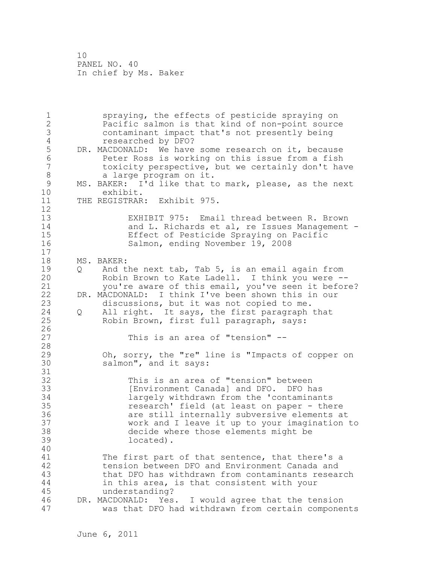1 spraying, the effects of pesticide spraying on<br>2 Pacific salmon is that kind of non-point sourc 2 Pacific salmon is that kind of non-point source<br>3 contaminant impact that's not presently being 3 contaminant impact that's not presently being 4 researched by DFO?<br>5 DR. MACDONALD: We have 5 DR. MACDONALD: We have some research on it, because<br>6 Peter Ross is working on this issue from a fish 6 Peter Ross is working on this issue from a fish 7 toxicity perspective, but we certainly don't have<br>8 a large program on it. 8 a large program on it.<br>9 MS. BAKER: I'd like that t 9 MS. BAKER: I'd like that to mark, please, as the next<br>10 exhibit. 10 exhibit.<br>11 THE REGISTRAR THE REGISTRAR: Exhibit 975.  $\begin{array}{c} 12 \\ 13 \end{array}$ 13 EXHIBIT 975: Email thread between R. Brown 14 and L. Richards et al, re Issues Management - 15 Effect of Pesticide Spraying on Pacific<br>16 Salmon, ending November 19, 2008 Salmon, ending November 19, 2008  $\frac{17}{18}$ 18 MS. BAKER:<br>19 0 And t 19 0 And the next tab, Tab 5, is an email again from<br>20 8 Robin Brown to Kate Ladell. I think you were 20 Show Robin Brown to Kate Ladell. I think you were  $-$ -<br>21 Show You're aware of this email, you've seen it befor 21 you're aware of this email, you've seen it before?<br>22 DR. MACDONALD: I think I've been shown this in our 22 DR. MACDONALD: I think I've been shown this in our discussions, but it was not copied to me. 24 Q All right. It says, the first paragraph that<br>25 Robin Brown, first full paragraph, says: Robin Brown, first full paragraph, says:  $\frac{26}{27}$ This is an area of "tension" -- $\begin{array}{c} 28 \\ 29 \end{array}$ 29 Oh, sorry, the "re" line is "Impacts of copper on<br>30 Salmon", and it savs: salmon", and it says: 31<br>32 32 This is an area of "tension" between 33 [Environment Canada] and DFO. DFO has 34 largely withdrawn from the 'contaminants<br>35 research' field (at least on paper - the 35 **1988** research' field (at least on paper - there<br>36 1998 are still internally subversive elements at 36 are still internally subversive elements at<br>37 and I leave it up to your imagination 37 work and I leave it up to your imagination to 38 decide where those elements might be located). 40 41 The first part of that sentence, that there's a<br>42 tension between DFO and Environment Canada and 42 tension between DFO and Environment Canada and<br>43 that DFO has withdrawn from contaminants reseal 43 that DFO has withdrawn from contaminants research<br>44 in this area, is that consistent with your 44 in this area, is that consistent with your<br>45 understanding? understanding? 46 DR. MACDONALD: Yes. I would agree that the tension was that DFO had withdrawn from certain components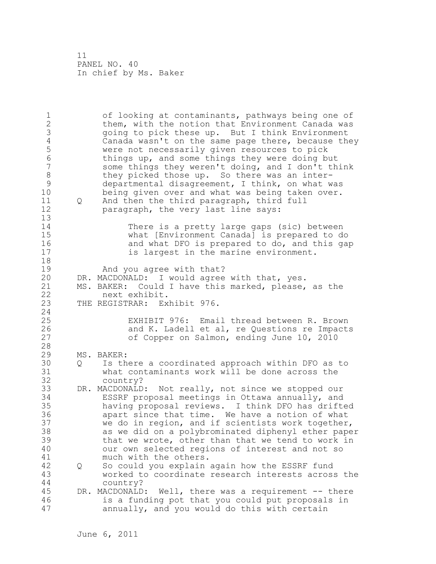| $\mathbf 1$<br>$\overline{2}$<br>3<br>$\overline{4}$<br>5<br>$\overline{6}$<br>$\overline{7}$<br>8<br>9<br>10<br>11<br>12 | Q                 | of looking at contaminants, pathways being one of<br>them, with the notion that Environment Canada was<br>going to pick these up. But I think Environment<br>Canada wasn't on the same page there, because they<br>were not necessarily given resources to pick<br>things up, and some things they were doing but<br>some things they weren't doing, and I don't think<br>they picked those up. So there was an inter-<br>departmental disagreement, I think, on what was<br>being given over and what was being taken over.<br>And then the third paragraph, third full<br>paragraph, the very last line says: |
|---------------------------------------------------------------------------------------------------------------------------|-------------------|-----------------------------------------------------------------------------------------------------------------------------------------------------------------------------------------------------------------------------------------------------------------------------------------------------------------------------------------------------------------------------------------------------------------------------------------------------------------------------------------------------------------------------------------------------------------------------------------------------------------|
| 13<br>14<br>15<br>16<br>17<br>18                                                                                          |                   | There is a pretty large gaps (sic) between<br>what [Environment Canada] is prepared to do<br>and what DFO is prepared to do, and this gap<br>is largest in the marine environment.                                                                                                                                                                                                                                                                                                                                                                                                                              |
| 19<br>20<br>21<br>22<br>23                                                                                                |                   | And you agree with that?<br>DR. MACDONALD: I would agree with that, yes.<br>MS. BAKER: Could I have this marked, please, as the<br>next exhibit.<br>THE REGISTRAR: Exhibit 976.                                                                                                                                                                                                                                                                                                                                                                                                                                 |
| 24<br>25<br>26<br>27<br>28                                                                                                |                   | EXHIBIT 976: Email thread between R. Brown<br>and K. Ladell et al, re Questions re Impacts<br>of Copper on Salmon, ending June 10, 2010                                                                                                                                                                                                                                                                                                                                                                                                                                                                         |
| 29<br>30<br>31<br>32                                                                                                      | $Q \qquad \qquad$ | MS. BAKER:<br>Is there a coordinated approach within DFO as to<br>what contaminants work will be done across the<br>country?                                                                                                                                                                                                                                                                                                                                                                                                                                                                                    |
| 33<br>34<br>35<br>36<br>37<br>38<br>39<br>40<br>41                                                                        |                   | DR. MACDONALD: Not really, not since we stopped our<br>ESSRF proposal meetings in Ottawa annually, and<br>having proposal reviews. I think DFO has drifted<br>apart since that time. We have a notion of what<br>we do in region, and if scientists work together,<br>as we did on a polybrominated diphenyl ether paper<br>that we wrote, other than that we tend to work in<br>our own selected regions of interest and not so<br>much with the others.                                                                                                                                                       |
| 42<br>43<br>44                                                                                                            | Q                 | So could you explain again how the ESSRF fund<br>worked to coordinate research interests across the<br>country?                                                                                                                                                                                                                                                                                                                                                                                                                                                                                                 |
| 45<br>46<br>47                                                                                                            | DR.               | MACDONALD:<br>Well, there was a requirement -- there<br>is a funding pot that you could put proposals in<br>annually, and you would do this with certain                                                                                                                                                                                                                                                                                                                                                                                                                                                        |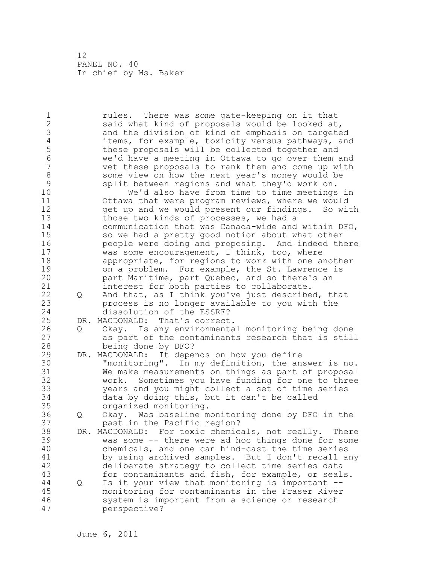1 rules. There was some gate-keeping on it that<br>2 said what kind of proposals would be looked at 2 said what kind of proposals would be looked at,<br>3 and the division of kind of emphasis on targete 3 and the division of kind of emphasis on targeted<br>4 items, for example, toxicity versus pathways, and 4 items, for example, toxicity versus pathways, and<br>5 these proposals will be collected together and 5 these proposals will be collected together and<br>6 6 We'd have a meeting in Ottawa to go over them 6 we'd have a meeting in Ottawa to go over them and 7 vet these proposals to rank them and come up with<br>8 some view on how the next vear's monev would be 8 some view on how the next year's money would be<br>9 split between regions and what they'd work on. 9 split between regions and what they'd work on.<br>We'd also have from time to time meetings 10 We'd also have from time to time meetings in<br>11 Ottawa that were program reviews, where we would 11 Ottawa that were program reviews, where we would<br>12 The common and we would present our findings. So with 12 get up and we would present our findings. So with<br>13 those two kinds of processes, we had a 13 those two kinds of processes, we had a<br>14 communication that was Canada-wide and 14 communication that was Canada-wide and within DFO,<br>15 so we had a pretty good notion about what other 15 so we had a pretty good notion about what other<br>16 sepende were doing and proposing. And indeed the 16 **people were doing and proposing.** And indeed there<br>17 was some encouragement, I think, too, where 17 was some encouragement, I think, too, where<br>18 appropriate, for regions to work with one a 18 appropriate, for regions to work with one another 19 on a problem. For example, the St. Lawrence is<br>20 part Maritime, part Quebec, and so there's an 20 part Maritime, part Quebec, and so there's an<br>21 interest for both parties to collaborate. 21 interest for both parties to collaborate.<br>22 0 And that, as I think you've just describe 22 Q And that, as I think you've just described, that process is no longer available to you with the 24 dissolution of the ESSRF?<br>25 DR. MACDONALD: That's correct 25 DR. MACDONALD: That's correct.<br>26 0 Okav. Is any environmenta 26 Q Okay. Is any environmental monitoring being done<br>27 as part of the contaminants research that is still 27 as part of the contaminants research that is still<br>28 being done by DFO? 28 being done by DFO?<br>29 DR. MACDONALD: It depe 29 DR. MACDONALD: It depends on how you define 30 "monitoring". In my definition, the answer is no. 31 We make measurements on things as part of proposal 32 work. Sometimes you have funding for one to three 33 years and you might collect a set of time series 34 data by doing this, but it can't be called<br>35 organized monitoring. 35 organized monitoring.<br>36 O Okay. Was baseline m 36 Q Okay. Was baseline monitoring done by DFO in the 37 past in the Pacific region?<br>38 DR. MACDONALD: For toxic chemic 38 DR. MACDONALD: For toxic chemicals, not really. There<br>39 was some -- there were ad hoc things done for some 39 was some -- there were ad hoc things done for some 40 chemicals, and one can hind-cast the time series 41 by using archived samples. But I don't recall any<br>42 deliberate strategy to collect time series data 42 deliberate strategy to collect time series data<br>43 for contaminants and fish, for example, or seals for contaminants and fish, for example, or seals. 44 Q Is it your view that monitoring is important - monitoring for contaminants in the Fraser River 46 system is important from a science or research perspective?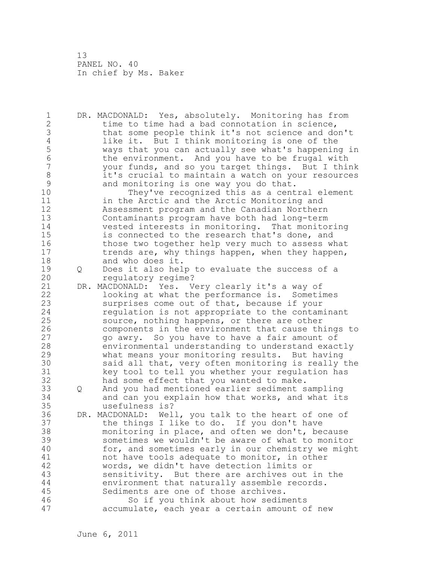1 DR. MACDONALD: Yes, absolutely. Monitoring has from<br>2 time to time had a bad connotation in science. 2 time to time had a bad connotation in science,<br>3 that some people think it's not science and do 3 that some people think it's not science and don't 4 like it. But I think monitoring is one of the<br>5 ways that you can actually see what's happening 5 ways that you can actually see what's happening in 6 the environment. And you have to be frugal with<br>7 vour funds, and so vou target things. But I thip 7 your funds, and so you target things. But I think 8 it's crucial to maintain a watch on your resources<br>9 and monitoring is one way you do that. 9 and monitoring is one way you do that.<br>10 Thev've recognized this as a cent 10 They've recognized this as a central element<br>11 in the Arctic and the Arctic Monitoring and 11 in the Arctic and the Arctic Monitoring and 12 Assessment program and the Canadian Northern 13 Contaminants program have both had long-term 14 vested interests in monitoring. That monitoring<br>15 is connected to the research that's done, and 15 is connected to the research that's done, and<br>16 those two together help very much to assess w 16 those two together help very much to assess what<br>17 trends are, why things happen, when they happen, 17 trends are, why things happen, when they happen,<br>18 and who does it. 18 and who does it.<br>19 0 Does it also hel 19 Q Does it also help to evaluate the success of a<br>20 Tequiatory regime? 20 regulatory regime? 21 DR. MACDONALD: Yes. Very clearly it's a way of<br>22 looking at what the performance is. Someting 22 100king at what the performance is. Sometimes<br>23 surprises come out of that, because if your 23 Surprises come out of that, because if your<br>24 regulation is not appropriate to the contam 24 regulation is not appropriate to the contaminant<br>25 source, nothing happens, or there are other 25 source, nothing happens, or there are other<br>26 components in the environment that cause th 26 components in the environment that cause things to<br>27 contry. So you have to have a fair amount of 27 compode a grady. So you have to have a fair amount of 28 convirting that the problem and the 28 convirting to understand exactly 28 environmental understanding to understand exactly<br>29 what means vour monitoring results. But having 29 what means your monitoring results. But having 30 said all that, very often monitoring is really the<br>31 Sev tool to tell you whether your regulation has 31 key tool to tell you whether your regulation has<br>32 had some effect that you wanted to make. 32 had some effect that you wanted to make.<br>33 O And you had mentioned earlier sediment s 33 Q And you had mentioned earlier sediment sampling 34 and can you explain how that works, and what its<br>35 and usefulness is? 35 usefulness is? 36 DR. MACDONALD: Well, you talk to the heart of one of<br>37 the things I like to do. If you don't have 37 the things I like to do. If you don't have<br>38 monitoring in place, and often we don't, be 38 monitoring in place, and often we don't, because<br>39 sometimes we wouldn't be aware of what to monito: 39 sometimes we wouldn't be aware of what to monitor<br>40 for, and sometimes early in our chemistry we migh 40 for, and sometimes early in our chemistry we might<br>41 for have tools adequate to monitor, in other 41 not have tools adequate to monitor, in other<br>42 words, we didn't have detection limits or 42 words, we didn't have detection limits or<br>43 sensitivity. But there are archives out 43 sensitivity. But there are archives out in the<br>44 environment that naturally assemble records. 44 environment that naturally assemble records.<br>45 Sediments are one of those archives. Sediments are one of those archives. 46 So if you think about how sediments<br>47 accumulate, each year a certain amount o accumulate, each year a certain amount of new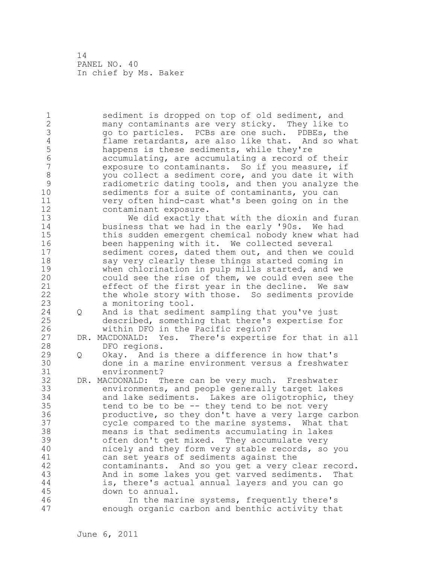1 sediment is dropped on top of old sediment, and<br>2 many contaminants are very sticky. They like to 2 many contaminants are very sticky. They like to 3 go to particles. PCBs are one such. PDBEs, the<br>4 flame retardants, are also like that. And so wh 4 flame retardants, are also like that. And so what<br>5 happens is these sediments, while they're 5 happens is these sediments, while they're 6 accumulating, are accumulating a record of their 7 The exposure to contaminants. So if you measure, if<br>8 The vou collect a sediment core, and you date it with 8 you collect a sediment core, and you date it with<br>9 stadiometric dating tools, and then you analyze the 9 radiometric dating tools, and then you analyze the 10 sediments for a suite of contaminants, you can<br>11 verv often hind-cast what's been going on in the 11 very often hind-cast what's been going on in the 12 contaminant exposure.<br>13 We did exactly t 13 We did exactly that with the dioxin and furan<br>14 business that we had in the early '90s. We had 14 business that we had in the early '90s. We had<br>15 this sudden emergent chemical nobody knew what l 15 this sudden emergent chemical nobody knew what had<br>16 been happening with it. We collected several 16 been happening with it. We collected several<br>17 sediment cores, dated them out, and then we c 17 sediment cores, dated them out, and then we could<br>18 say yery clearly these things started coming in 18 say very clearly these things started coming in<br>19 when chlorination in pulp mills started, and we 19 when chlorination in pulp mills started, and we<br>20 could see the rise of them, we could even see t 20 could see the rise of them, we could even see the<br>21 effect of the first year in the decline. We saw 21 effect of the first year in the decline. We saw<br>22 the whole story with those. So sediments provide 22 the whole story with those. So sediments provide<br>23 a monitoring tool. a monitoring tool. 24 Q And is that sediment sampling that you've just<br>25 described, something that there's expertise fo 25 described, something that there's expertise for<br>26 within DFO in the Pacific region? 26 within DFO in the Pacific region?<br>27 DR. MACDONALD: Yes. There's expertise 27 DR. MACDONALD: Yes. There's expertise for that in all 28 DFO regions. 29 Q Okay. And is there a difference in how that's 30 done in a marine environment versus a freshwater 31 environment?<br>32 DR. MACDONALD: T 32 DR. MACDONALD: There can be very much. Freshwater 33 environments, and people generally target lakes 34 and lake sediments. Lakes are oligotrophic, they<br>35 tend to be to be -- they tend to be not very  $35$  tend to be to be -- they tend to be not very<br>36 **buding the productive, so they don't have a very large** 36 beta productive, so they don't have a very large carbon<br>37 beta compared to the marine systems. What that 37 cycle compared to the marine systems. What that<br>38 means is that sediments accumulating in lakes 38 means is that sediments accumulating in lakes 39 often don't get mixed. They accumulate very<br>40 micely and they form very stable records, so 40 micely and they form very stable records, so you<br>41 can set years of sediments against the 41 can set years of sediments against the<br>42 contaminants. And so you get a very c 42 contaminants. And so you get a very clear record.<br>43 And in some lakes you get varved sediments. That 43 And in some lakes you get varved sediments. That<br>44 is, there's actual annual lavers and you can go 44 is, there's actual annual layers and you can go down to annual. 46 In the marine systems, frequently there's<br>47 The mough organic carbon and benthic activity tha enough organic carbon and benthic activity that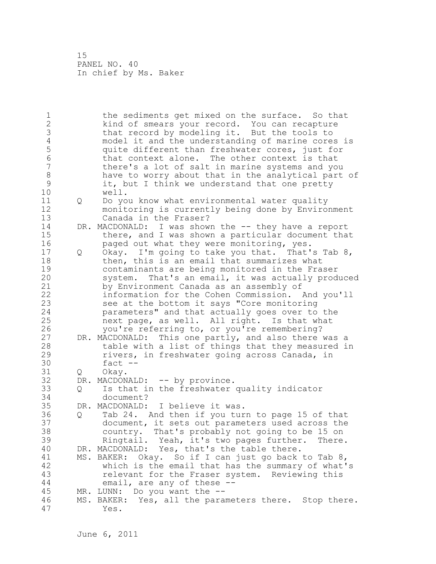1 the sediments get mixed on the surface. So that<br>2 3 kind of smears your record. You can recapture 2 kind of smears your record. You can recapture<br>3 that record by modeling it. But the tools to 3 that record by modeling it. But the tools to<br>4 model it and the understanding of marine core. 4 model it and the understanding of marine cores is<br>5 quite different than freshwater cores, just for 5 quite different than freshwater cores, just for 6 that context alone. The other context is that 7 there's a lot of salt in marine systems and you 8 have to worry about that in the analytical part of<br>9 it, but I think we understand that one pretty 9 it, but I think we understand that one pretty<br>10 well. 10 well.<br>11 0 Do vo 11 Q Do you know what environmental water quality<br>12 monitoring is currently being done by Enviro: 12 monitoring is currently being done by Environment 13 Canada in the Fraser?<br>14 DR. MACDONALD: I was show 14 DR. MACDONALD: I was shown the -- they have a report<br>15 there, and I was shown a particular document tha 15 there, and I was shown a particular document that<br>16 saged out what they were monitoring, yes. 16 **paged out what they were monitoring, yes.**<br>17 0 Okav. I'm going to take you that. That' 17 Q Okay. I'm going to take you that. That's Tab 8,<br>18 then, this is an email that summarizes what 18 then, this is an email that summarizes what<br>19 contaminants are being monitored in the Fra 19 contaminants are being monitored in the Fraser<br>20 system. That's an email, it was actually prod 20 system. That's an email, it was actually produced<br>21 by Environment Canada as an assembly of 21 by Environment Canada as an assembly of<br>22 information for the Cohen Commission. 22 11 information for the Cohen Commission. And you'll<br>23 3 See at the bottom it savs "Core monitoring 23 see at the bottom it says "Core monitoring<br>24 barameters" and that actually goes over to 24 parameters" and that actually goes over to the<br>25 mext page, as well. All right. Is that what 25 next page, as well. All right. Is that what<br>26 vou're referring to, or you're remembering? 26 you're referring to, or you're remembering?<br>27 DR. MACDONALD: This one partly, and also there 27 DR. MACDONALD: This one partly, and also there was a<br>28 table with a list of things that they measured in 28 table with a list of things that they measured in<br>29 tivers, in freshwater going across Canada, in 29 rivers, in freshwater going across Canada, in 30 fact --<br>31 0 Okav. 31 Q Okay.<br>32 DR. MACDONALD: 32 DR. MACDONALD: -- by province.<br>33 0 Is that in the freshwater 33 Q Is that in the freshwater quality indicator 34 document?<br>35 DR. MACDONALD: 35 DR. MACDONALD: I believe it was.<br>36 0 Tab 24. And then if you tur 36 Q Tab 24. And then if you turn to page 15 of that 37 document, it sets out parameters used across the<br>38 country. That's probably not going to be 15 on 38 country. That's probably not going to be 15 on 39 Ringtail. Yeah, it's two pages further. There.<br>40 DR. MACDONALD: Yes, that's the table there. 40 DR. MACDONALD: Yes, that's the table there.<br>41 MS. BAKER: Okav. So if I can just go back 41 MS. BAKER: Okay. So if I can just go back to Tab 8,<br>42 which is the email that has the summary of what' 42 which is the email that has the summary of what's<br>43 elevant for the Fraser system. Reviewing this relevant for the Fraser system. Reviewing this 44 email, are any of these --<br>45 MR. LUNN: Do you want the --MR. LUNN: Do you want the --46 MS. BAKER: Yes, all the parameters there. Stop there.<br>47 Ses. Yes.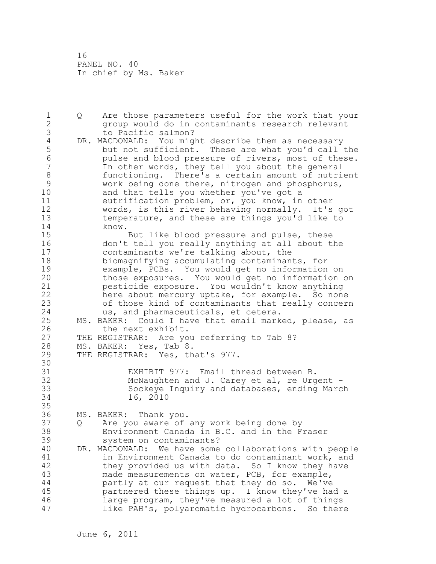1 Q Are those parameters useful for the work that your 2 group would do in contaminants research relevant 3 to Pacific salmon?<br>4 DR. MACDONALD: You migl 4 DR. MACDONALD: You might describe them as necessary<br>5 but not sufficient. These are what you'd call 5 but not sufficient. These are what you'd call the 6 pulse and blood pressure of rivers, most of these.<br>7 The other words, they tell you about the general 7 The other words, they tell you about the general<br>8 The functioning. There's a certain amount of nutri 8 functioning. There's a certain amount of nutrient<br>9 work being done there, nitrogen and phosphorus, 9 work being done there, nitrogen and phosphorus,<br>10 and that tells you whether you've got a 10 and that tells you whether you've got a<br>11 eutrification problem, or, you know, in 11 eutrification problem, or, you know, in other<br>12 words, is this river behaving normally. It's 12 words, is this river behaving normally. It's got<br>13 temperature, and these are things you'd like to 13 temperature, and these are things you'd like to<br>14 know. 14 know.<br>15 15 But like blood pressure and pulse, these<br>16 don't tell you really anything at all about the 16 don't tell you really anything at all about the<br>17 contaminants we're talking about, the 17 contaminants we're talking about, the<br>18 biomagnifying accumulating contaminan 18 biomagnifying accumulating contaminants, for 19 example, PCBs. You would get no information on 20 those exposures. You would get no information on 21 **buildem pesticide exposure.** You wouldn't know anything<br>22 here about mercury uptake, for example. So none 22 here about mercury uptake, for example. So none<br>23 of those kind of contaminants that really concer of those kind of contaminants that really concern 24 us, and pharmaceuticals, et cetera.<br>25 MS. BAKER: Could I have that email mark 25 MS. BAKER: Could I have that email marked, please, as 26 the next exhibit. 26 the next exhibit.<br>27 THE REGISTRAR: Are yo 27 THE REGISTRAR: Are you referring to Tab 8?<br>28 MS. BAKER: Yes, Tab 8. 28 MS. BAKER: Yes, Tab 8.<br>29 THE REGISTRAR: Yes, th THE REGISTRAR: Yes, that's 977. 30<br>31 31 EXHIBIT 977: Email thread between B. 32 McNaughten and J. Carey et al, re Urgent -<br>33 Sockeve Inquiry and databases, ending Marc 33 Sockeye Inquiry and databases, ending March 34 16, 2010 35<br>36 36 MS. BAKER: Thank you.<br>37 0 Are you aware of 37 Q Are you aware of any work being done by<br>38 Environment Canada in B.C. and in the F. 38 Environment Canada in B.C. and in the Fraser<br>39 System on contaminants? 39 system on contaminants?<br>40 DR. MACDONALD: We have some 40 DR. MACDONALD: We have some collaborations with people 41 in Environment Canada to do contaminant work, and<br>42 they provided us with data. So I know they have 42 they provided us with data. So I know they have<br>43 made measurements on water, PCB, for example, made measurements on water, PCB, for example, 44 bartly at our request that they do so. We've<br>45 bartnered these things up. I know they've ha partnered these things up. I know they've had a 46 1 large program, they've measured a lot of things<br>47 1ike PAH's, polyaromatic hydrocarbons. So there like PAH's, polyaromatic hydrocarbons. So there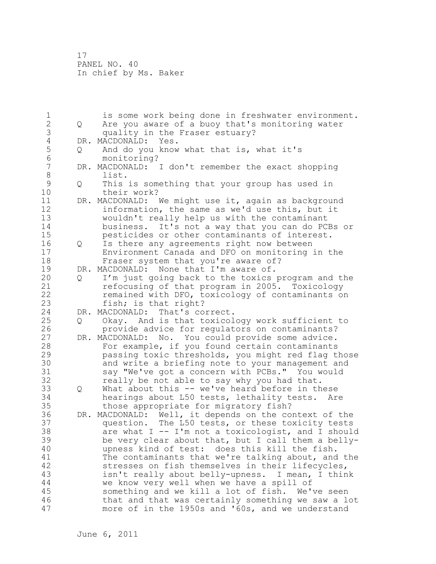| 1              |     | is some work being done in freshwater environment.  |
|----------------|-----|-----------------------------------------------------|
| $\overline{2}$ | Q   | Are you aware of a buoy that's monitoring water     |
| 3              |     | quality in the Fraser estuary?                      |
| 4              |     | DR. MACDONALD:<br>Yes.                              |
| 5              | Q   | And do you know what that is, what it's             |
| 6              |     | monitoring?                                         |
| 7              |     | DR. MACDONALD: I don't remember the exact shopping  |
| $\,8\,$        |     | list.                                               |
| $\mathsf 9$    | Q   | This is something that your group has used in       |
| 10             |     | their work?                                         |
| 11             |     | DR. MACDONALD: We might use it, again as background |
| 12             |     | information, the same as we'd use this, but it      |
| 13             |     | wouldn't really help us with the contaminant        |
| 14             |     | business. It's not a way that you can do PCBs or    |
| 15             |     | pesticides or other contaminants of interest.       |
| 16             | Q   | Is there any agreements right now between           |
| 17             |     | Environment Canada and DFO on monitoring in the     |
| 18             |     | Fraser system that you're aware of?                 |
| 19             |     | DR. MACDONALD: None that I'm aware of.              |
| 20             | Q   | I'm just going back to the toxics program and the   |
| 21             |     | refocusing of that program in 2005. Toxicology      |
| 22             |     | remained with DFO, toxicology of contaminants on    |
| 23             |     | fish; is that right?                                |
| 24             | DR. | MACDONALD: That's correct.                          |
| 25             | Q   | Okay. And is that toxicology work sufficient to     |
| 26             |     | provide advice for regulators on contaminants?      |
| 27             |     | DR. MACDONALD: No. You could provide some advice.   |
| 28             |     | For example, if you found certain contaminants      |
| 29             |     | passing toxic thresholds, you might red flag those  |
| 30             |     | and write a briefing note to your management and    |
| 31             |     | say "We've got a concern with PCBs." You would      |
| 32             |     | really be not able to say why you had that.         |
| 33             | Q   | What about this -- we've heard before in these      |
| 34             |     | hearings about L50 tests, lethality tests. Are      |
| 35             |     | those appropriate for migratory fish?               |
| 36             | DR. | MACDONALD: Well, it depends on the context of the   |
| 37             |     | question. The L50 tests, or these toxicity tests    |
| 38             |     | are what I -- I'm not a toxicologist, and I should  |
| 39             |     | be very clear about that, but I call them a belly-  |
| 40             |     | upness kind of test: does this kill the fish.       |
| 41             |     | The contaminants that we're talking about, and the  |
| 42             |     | stresses on fish themselves in their lifecycles,    |
| 43             |     | isn't really about belly-upness. I mean, I think    |
| 44             |     | we know very well when we have a spill of           |
| 45             |     | something and we kill a lot of fish. We've seen     |
| 46             |     | that and that was certainly something we saw a lot  |
| 47             |     | more of in the 1950s and '60s, and we understand    |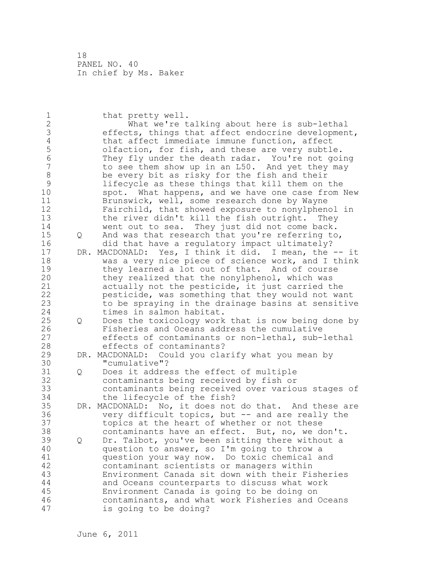1 that pretty well.<br>2 What we're t 2 What we're talking about here is sub-lethal 3 effects, things that affect endocrine development,<br>4 that affect immediate immune function, affect 4 that affect immediate immune function, affect<br>5 0lfaction, for fish, and these are very subtl 5 olfaction, for fish, and these are very subtle.<br>6 They fly under the death radar. You're not goi 6 They fly under the death radar. You're not going 7 to see them show up in an L50. And yet they may<br>8 be every bit as risky for the fish and their 8 be every bit as risky for the fish and their<br>9 1ifecycle as these things that kill them on 9 1ifecycle as these things that kill them on the<br>10 spot. What happens, and we have one case from 10 spot. What happens, and we have one case from New<br>11 Brunswick, well, some research done by Wayne 11 Brunswick, well, some research done by Wayne<br>12 Fairchild, that showed exposure to nonvlphen 12 Fairchild, that showed exposure to nonylphenol in<br>13 the river didn't kill the fish outright. They 13 the river didn't kill the fish outright. They<br>14 went out to sea. They just did not come back. 14 went out to sea. They just did not come back.<br>15 0 And was that research that you're referring to 15 Q And was that research that you're referring to,<br>16 did that have a requlatory impact ultimately? 16 did that have a regulatory impact ultimately?<br>17 DR. MACDONALD: Yes, I think it did. I mean, the 17 DR. MACDONALD: Yes, I think it did. I mean, the -- it<br>18 was a very nice piece of science work, and I think 18 was a very nice piece of science work, and I think<br>19 they learned a lot out of that. And of course 19 they learned a lot out of that. And of course<br>20 they realized that the nonylphenol, which was 20 they realized that the nonylphenol, which was<br>21 actually not the pesticide, it just carried t 21 actually not the pesticide, it just carried the<br>22 besticide, was something that they would not wa 22 **pesticide, was something that they would not want**<br>23 to be spraving in the drainage basins at sensitiv to be spraying in the drainage basins at sensitive 24 times in salmon habitat.<br>25 0 Does the toxicology work 25 Q Does the toxicology work that is now being done by<br>26 Fisheries and Oceans address the cumulative 26 Fisheries and Oceans address the cumulative<br>27 effects of contaminants or non-lethal, sub-27 effects of contaminants or non-lethal, sub-lethal<br>28 effects of contaminants? 28 effects of contaminants?<br>29 DR. MACDONALD: Could vou cla 29 DR. MACDONALD: Could you clarify what you mean by 30 "cumulative"? 31 Q Does it address the effect of multiple 32 contaminants being received by fish or 33 contaminants being received over various stages of the lifecycle of the fish? 35 DR. MACDONALD: No, it does not do that. And these are 36 very difficult topics, but -- and are really the<br>37 bopics at the heart of whether or not these 37 topics at the heart of whether or not these<br>38 contaminants have an effect. But, no, we de 38 contaminants have an effect. But, no, we don't.<br>39 0 Dr. Talbot, you've been sitting there without a 39 Q Dr. Talbot, you've been sitting there without a<br>40 duestion to answer, so I'm going to throw a 40 question to answer, so I'm going to throw a 41 question your way now. Do toxic chemical and<br>42 contaminant scientists or managers within 42 contaminant scientists or managers within<br>43 Environment Canada sit down with their Fi Environment Canada sit down with their Fisheries 44 and Oceans counterparts to discuss what work Environment Canada is going to be doing on 46 contaminants, and what work Fisheries and Oceans<br>47 is going to be doing? is going to be doing?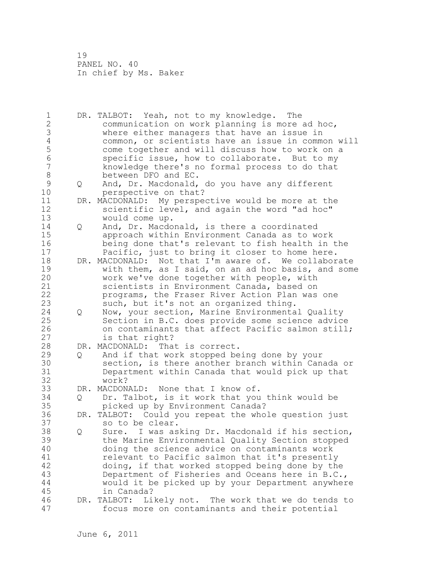1 DR. TALBOT: Yeah, not to my knowledge. The<br>2 communication on work planning is more 2 communication on work planning is more ad hoc,<br>3 where either managers that have an issue in 3 where either managers that have an issue in<br>4 common, or scientists have an issue in common 4 common, or scientists have an issue in common will 5 6 6 come together and will discuss how to work on a<br>5 6 5 specific issue, how to collaborate. But to my 6 specific issue, how to collaborate. But to my 7 knowledge there's no formal process to do that 8 between DFO and EC.<br>9 0 And, Dr. Macdonald, 9 Q And, Dr. Macdonald, do you have any different<br>10 berspective on that? 10 perspective on that?<br>11 DR. MACDONALD: My perspe 11 DR. MACDONALD: My perspective would be more at the<br>12 Scientific level, and again the word "ad hoc" 12 scientific level, and again the word "ad hoc"<br>13 would come up. 13 would come up.<br>14 0 And. Dr. Macdo 14 Q And, Dr. Macdonald, is there a coordinated<br>15 approach within Environment Canada as to wo 15 approach within Environment Canada as to work 16 being done that's relevant to fish health in the<br>17 Bacific, just to bring it closer to home here. 17 Pacific, just to bring it closer to home here.<br>18 DR. MACDONALD: Not that I'm aware of. We collabor 18 DR. MACDONALD: Not that I'm aware of. We collaborate<br>19 with them, as I said, on an ad hoc basis, and some 19 with them, as I said, on an ad hoc basis, and some<br>20 work we've done together with people, with 20 work we've done together with people, with<br>21 scientists in Environment Canada, based on 21 3 scientists in Environment Canada, based on<br>22 5 1 1 1 22 5 1 22 5 23 24 25 26 27 27 28 29 29 20 21 22 22 23 24 25 26 26 27 28 28 28 28 28 28 28 28 28 28 22 programs, the Fraser River Action Plan was one such, but it's not an organized thing. 24 Q Now, your section, Marine Environmental Quality<br>25 Section in B.C. does provide some science advic 25 Section in B.C. does provide some science advice<br>26 6 0 0 00 on taminants that affect Pacific salmon still 26 on contaminants that affect Pacific salmon still;<br>27 is that right? 27 is that right? 28 DR. MACDONALD: That is correct.<br>29 0 And if that work stopped be 29 Q and if that work stopped being done by your<br>30 Section, is there another branch within Can 30 section, is there another branch within Canada or 31 Department within Canada that would pick up that 32 work?<br>33 DR. MACDON. 33 DR. MACDONALD: None that I know of.<br>34 0 Dr. Talbot, is it work that you Dr. Talbot, is it work that you think would be 35 picked up by Environment Canada? 36 DR. TALBOT: Could you repeat the whole question just 37 so to be clear.<br>38 Q Sure. I was as 38 Q Sure. I was asking Dr. Macdonald if his section, 39 the Marine Environmental Quality Section stopped<br>40 doing the science advice on contaminants work 40 doing the science advice on contaminants work 41 **1** relevant to Pacific salmon that it's presently<br>42 doing, if that worked stopped being done by the 42 doing, if that worked stopped being done by the<br>43 Department of Fisheries and Oceans here in B.C. Department of Fisheries and Oceans here in B.C., 44 would it be picked up by your Department anywhere in Canada?<br>DR. TALBOT: Li 46 DR. TALBOT: Likely not. The work that we do tends to<br>47 focus more on contaminants and their potential focus more on contaminants and their potential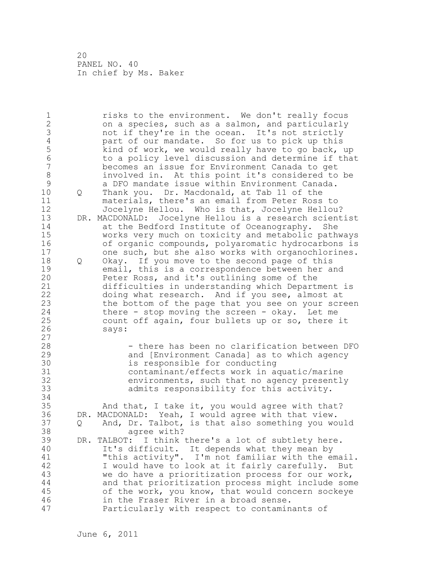1 risks to the environment. We don't really focus<br>2 0n a species, such as a salmon, and particularly 2 on a species, such as a salmon, and particularly<br>3 0 0 0 11 not if they're in the ocean. It's not strictly 3 not if they're in the ocean. It's not strictly<br>4 part of our mandate. So for us to pick up this 4 part of our mandate. So for us to pick up this<br>5 kind of work, we would really have to go back, 5 kind of work, we would really have to go back, up<br>6 to a policy level discussion and determine if that 6 to a policy level discussion and determine if that 7 becomes an issue for Environment Canada to get 8 involved in. At this point it's considered to be<br>9 a DFO mandate issue within Environment Canada. 9 a DFO mandate issue within Environment Canada.<br>10 0 Thank you. Dr. Macdonald, at Tab 11 of the 10 Q Thank you. Dr. Macdonald, at Tab 11 of the 11 materials, there's an email from Peter Ross to<br>12 Jocelyne Hellou, Who is that, Jocelyne Hellou 12 Jocelyne Hellou. Who is that, Jocelyne Hellou? 13 DR. MACDONALD: Jocelyne Hellou is a research scientist<br>14 at the Bedford Institute of Oceanography. She 14 at the Bedford Institute of Oceanography. She<br>15 works very much on toxicity and metabolic path 15 works very much on toxicity and metabolic pathways<br>16 of organic compounds, polyaromatic hydrocarbons is 16 of organic compounds, polyaromatic hydrocarbons is<br>17 one such, but she also works with organochlorines. one such, but she also works with organochlorines. 18 Q Okay. If you move to the second page of this<br>19 email, this is a correspondence between her a 19 email, this is a correspondence between her and<br>20 eter Ross, and it's outlining some of the 20 Peter Ross, and it's outlining some of the<br>21 difficulties in understanding which Depart 21 difficulties in understanding which Department is<br>22 doing what research. And if you see, almost at 22 doing what research. And if you see, almost at<br>23 the bottom of the page that you see on your scre the bottom of the page that you see on your screen 24 there - stop moving the screen - okay. Let me<br>25 count off again, four bullets up or so, there 25 count off again, four bullets up or so, there it<br>26 savs: says:  $\begin{array}{c} 27 \\ 28 \end{array}$ 28 - There has been no clarification between DFO<br>29 - The and IEnvironment Canadal as to which agency 29 and [Environment Canada] as to which agency 30 is responsible for conducting<br>31 contaminant/effects work in a 31 contaminant/effects work in aquatic/marine 32 environments, such that no agency presently<br>33 admits responsibility for this activity. admits responsibility for this activity. 34<br>35 35 And that, I take it, you would agree with that?<br>36 DR. MACDONALD: Yeah, I would agree with that view. 36 DR. MACDONALD: Yeah, I would agree with that view. 37 Q And, Dr. Talbot, is that also something you would 38 agree with?<br>39 DR. TALBOT: I think 39 DR. TALBOT: I think there's a lot of subtlety here.<br>40 It's difficult. It depends what they mean by 40 It's difficult. It depends what they mean by<br>41 This activity". I'm not familiar with the enu 41 This activity". I'm not familiar with the email.<br>42 I would have to look at it fairly carefully. But 42 I would have to look at it fairly carefully. But<br>43 we do have a prioritization process for our work, we do have a prioritization process for our work, 44 and that prioritization process might include some of the work, you know, that would concern sockeye 46 10 in the Fraser River in a broad sense.<br>47 20 Particularly with respect to contamin Particularly with respect to contaminants of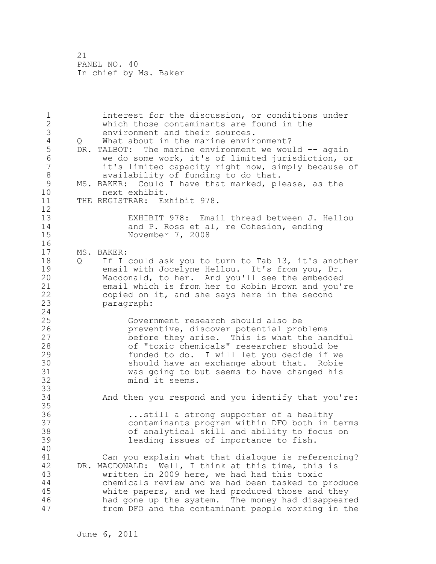1 interest for the discussion, or conditions under 2 which those contaminants are found in the<br>3 environment and their sources. 3 environment and their sources.<br>4 Q What about in the marine envir 4 Q What about in the marine environment?<br>5 DR. TALBOT: The marine environment we wou 5 DR. TALBOT: The marine environment we would -- again<br>6 We do some work, it's of limited jurisdiction, or 6 we do some work, it's of limited jurisdiction, or 7 it's limited capacity right now, simply because of<br>8 availability of funding to do that. 8 availability of funding to do that.<br>9 MS. BAKER: Could I have that marked, pl 9 MS. BAKER: Could I have that marked, please, as the next exhibit. 10 next exhibit.<br>11 THE REGISTRAR: Ex THE REGISTRAR: Exhibit 978.  $\begin{array}{c} 12 \\ 13 \end{array}$ 13 EXHIBIT 978: Email thread between J. Hellou 14 and P. Ross et al, re Cohesion, ending<br>15 Movember 7, 2008 November 7, 2008  $\frac{16}{17}$ 17 MS. BAKER:<br>18 0 If I 18 Q If I could ask you to turn to Tab 13, it's another 19 email with Jocelyne Hellou. It's from you, Dr.<br>20 Macdonald, to her. And you'll see the embedded 20 Macdonald, to her. And you'll see the embedded<br>21 email which is from her to Robin Brown and you's 21 email which is from her to Robin Brown and you're<br>22 copied on it, and she savs here in the second 22 copied on it, and she says here in the second<br>23 baragraph: paragraph:  $\frac{24}{25}$ 25 Government research should also be 26 **preventive, discover potential problems**<br>27 **before they arise.** This is what the ha 27 before they arise. This is what the handful<br>28 of "toxic chemicals" researcher should be 28 of "toxic chemicals" researcher should be<br>29 funded to do. I will let vou decide if we 29 funded to do. I will let you decide if we 30 should have an exchange about that. Robie<br>31 was going to but seems to have changed his 31 was going to but seems to have changed his mind it seems. 33<br>34 And then you respond and you identify that you're: 35<br>36 36 ...still a strong supporter of a healthy 37 contaminants program within DFO both in terms 38 of analytical skill and ability to focus on<br>39 and leading issues of importance to fish. leading issues of importance to fish. 40 41 Can you explain what that dialogue is referencing?<br>42 DR. MACDONALD: Well, I think at this time, this is 42 DR. MACDONALD: Well, I think at this time, this is<br>43 written in 2009 here, we had had this toxic 43 written in 2009 here, we had had this toxic<br>44 chemicals review and we had been tasked to 44 chemicals review and we had been tasked to produce white papers, and we had produced those and they 46 had gone up the system. The money had disappeared<br>47 from DFO and the contaminant people working in the from DFO and the contaminant people working in the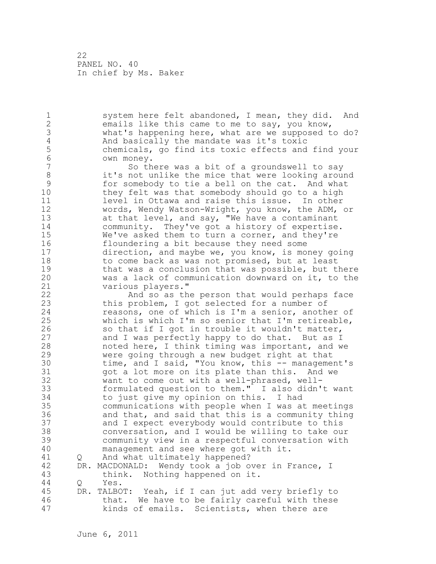1 system here felt abandoned, I mean, they did. And<br>2 emails like this came to me to sav, you know, 2 emails like this came to me to say, you know,<br>3 what's happening here, what are we supposed t 3 what's happening here, what are we supposed to do?<br>4 And basically the mandate was it's toxic 4 And basically the mandate was it's toxic<br>5 chemicals, go find its toxic effects and 5 chemicals, go find its toxic effects and find your 6 own money. 7 So there was a bit of a groundswell to say 8 it's not unlike the mice that were looking around<br>9 for somebody to tie a bell on the cat. And what 9 for somebody to tie a bell on the cat. And what 10 they felt was that somebody should go to a high<br>11 devel in Ottawa and raise this issue. In other 11 level in Ottawa and raise this issue. In other<br>12 words, Wendy Watson-Wright, you know, the ADM, 12 words, Wendy Watson-Wright, you know, the ADM, or<br>13 at that level, and sav, "We have a contaminant 13 at that level, and say, "We have a contaminant<br>14 community. They've got a history of expertise 14 community. They've got a history of expertise.<br>15 We've asked them to turn a corner, and they're 15 We've asked them to turn a corner, and they're<br>16 floundering a bit because they need some 16 floundering a bit because they need some<br>17 direction, and maybe we, you know, is mo 17 direction, and maybe we, you know, is money going<br>18 to come back as was not promised, but at least 18 to come back as was not promised, but at least<br>19 that was a conclusion that was possible, but t 19 that was a conclusion that was possible, but there<br>20 was a lack of communication downward on it, to the 20 was a lack of communication downward on it, to the<br>21 various players." 21 various players."<br>22 And so as the 22 And so as the person that would perhaps face<br>23 this problem, I got selected for a number of 23 this problem, I got selected for a number of<br>24 reasons, one of which is I'm a senior, anoth 24 reasons, one of which is I'm a senior, another of<br>25 which is which I'm so senior that I'm retireable, 25 which is which I'm so senior that I'm retireable,<br>26 so that if I got in trouble it wouldn't matter, 26 so that if I got in trouble it wouldn't matter,<br>27 and I was perfectly happy to do that. But as I 27 and I was perfectly happy to do that. But as I<br>28 hoted here, I think timing was important, and w 28 128 noted here, I think timing was important, and we<br>29 were going through a new budget right at that 29 were going through a new budget right at that<br>30 time, and I said, "You know, this -- manageme 30 time, and I said, "You know, this -- management's<br>31 opt a lot more on its plate than this. And we 31 got a lot more on its plate than this. And we<br>32 want to come out with a well-phrased, well-32 want to come out with a well-phrased, well-<br>33 formulated question to them." I also didn' 33 formulated question to them." I also didn't want<br>34 to just give my opinion on this. I had 34 to just give my opinion on this. I had<br>35 communications with people when I was a 35 communications with people when I was at meetings 36 and that, and said that this is a community thing<br>37 and I expect everybody would contribute to this 37 and I expect everybody would contribute to this<br>38 conversation, and I would be willing to take ou 38 conversation, and I would be willing to take our 39 community view in a respectful conversation with<br>40 management and see where got with it. 40 management and see where got with it.<br>41 O And what ultimately happened? 41 Q And what ultimately happened?<br>42 DR. MACDONALD: Wendy took a job o 42 DR. MACDONALD: Wendy took a job over in France, I<br>43 think. Nothing happened on it. think. Nothing happened on it. 44 Q Yes.<br>45 DR. TALBO DR. TALBOT: Yeah, if I can jut add very briefly to 46 that. We have to be fairly careful with these<br>47 https: Scientists, when there are kinds of emails. Scientists, when there are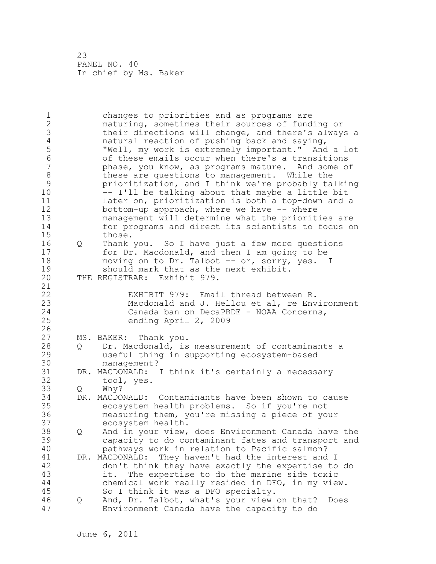1 changes to priorities and as programs are<br>2 maturing, sometimes their sources of fund 2 maturing, sometimes their sources of funding or 3 their directions will change, and there's always a<br>4 hatural reaction of pushing back and saying, 4 matural reaction of pushing back and saying,<br>5 Well, my work is extremely important." And 5 "Well, my work is extremely important." And a lot<br>6 of these emails occur when there's a transitions 6 of these emails occur when there's a transitions 7 phase, you know, as programs mature. And some of 7<br>8 these are questions to management. While the 8 these are questions to management. While the<br>9 prioritization, and I think we're probably ta 9 prioritization, and I think we're probably talking<br>10 -- I'll be talking about that maybe a little bit 10 -- I'll be talking about that maybe a little bit<br>11 11 ater on, prioritization is both a top-down and 11 later on, prioritization is both a top-down and a<br>12 bottom-up approach, where we have -- where 12 bottom-up approach, where we have -- where<br>13 management will determine what the priorit 13 management will determine what the priorities are 14 for programs and direct its scientists to focus on 15 those.<br>16 Q Thank 16 Q Thank you. So I have just a few more questions<br>17 for Dr. Macdonald, and then I am going to be 17 for Dr. Macdonald, and then I am going to be<br>18 moving on to Dr. Talbot -- or, sorry, yes. 18 moving on to Dr. Talbot -- or, sorry, yes. I<br>19 should mark that as the next exhibit. 19 should mark that as the next exhibit.<br>20 THE REGISTRAR: Exhibit 979. THE REGISTRAR: Exhibit 979.  $\frac{21}{22}$ 22 EXHIBIT 979: Email thread between R. 23 Macdonald and J. Hellou et al, re Environment<br>24 Canada ban on DecaPBDE - NOAA Concerns, 24 Canada ban on DecaPBDE - NOAA Concerns, ending April 2, 2009  $\frac{26}{27}$ 27 MS. BAKER: Thank you.<br>28 0 Dr. Macdonald, is 28 Q Dr. Macdonald, is measurement of contaminants a<br>29 a useful thing in supporting ecosystem-based 29 useful thing in supporting ecosystem-based 30 management?<br>31 DR. MACDONALD: 31 DR. MACDONALD: I think it's certainly a necessary<br>32 tool, ves. 32 tool, yes.<br>33 0 Whv? 33 Q Why? 34 DR. MACDONALD: Contaminants have been shown to cause 35 ecosystem health problems. So if you're not 36 measuring them, you're missing a piece of your 37 ecosystem health.<br>38 Q And in your view, 38 Q And in your view, does Environment Canada have the<br>39 Gapacity to do contaminant fates and transport and 39 capacity to do contaminant fates and transport and<br>40 bathways work in relation to Pacific salmon? 40 **pathways work in relation to Pacific salmon?**<br>41 DR. MACDONALD: They haven't had the interest and 41 DR. MACDONALD: They haven't had the interest and I<br>42 don't think they have exactly the expertise to 42 don't think they have exactly the expertise to do<br>43 it. The expertise to do the marine side toxic it. The expertise to do the marine side toxic 44 chemical work really resided in DFO, in my view.<br>45 So I think it was a DFO specialty. So I think it was a DFO specialty. 46 Q And, Dr. Talbot, what's your view on that? Does Environment Canada have the capacity to do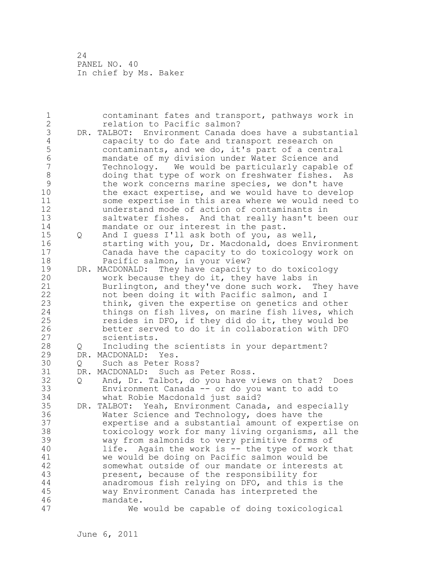| 1<br>$\overline{2}$ |     | contaminant fates and transport, pathways work in<br>relation to Pacific salmon?                        |
|---------------------|-----|---------------------------------------------------------------------------------------------------------|
| 3                   |     | DR. TALBOT: Environment Canada does have a substantial                                                  |
| $\sqrt{4}$          |     | capacity to do fate and transport research on                                                           |
| 5                   |     | contaminants, and we do, it's part of a central                                                         |
| 6                   |     | mandate of my division under Water Science and                                                          |
| $\overline{7}$      |     | Technology. We would be particularly capable of                                                         |
| $\,8\,$             |     | doing that type of work on freshwater fishes.<br>As                                                     |
| 9                   |     | the work concerns marine species, we don't have                                                         |
| 10<br>11            |     | the exact expertise, and we would have to develop<br>some expertise in this area where we would need to |
| 12                  |     | understand mode of action of contaminants in                                                            |
| 13                  |     | saltwater fishes. And that really hasn't been our                                                       |
| 14                  |     | mandate or our interest in the past.                                                                    |
| 15                  | Q   | And I guess I'll ask both of you, as well,                                                              |
| 16                  |     | starting with you, Dr. Macdonald, does Environment                                                      |
| 17                  |     | Canada have the capacity to do toxicology work on                                                       |
| 18                  |     | Pacific salmon, in your view?                                                                           |
| 19                  |     | DR. MACDONALD: They have capacity to do toxicology                                                      |
| 20                  |     | work because they do it, they have labs in                                                              |
| 21                  |     | Burlington, and they've done such work. They have                                                       |
| 22                  |     | not been doing it with Pacific salmon, and I                                                            |
| 23                  |     | think, given the expertise on genetics and other                                                        |
| 24                  |     | things on fish lives, on marine fish lives, which                                                       |
| 25                  |     | resides in DFO, if they did do it, they would be                                                        |
| 26<br>27            |     | better served to do it in collaboration with DFO                                                        |
| 28                  |     | scientists.<br>Including the scientists in your department?                                             |
| 29                  | Q   | DR. MACDONALD: Yes.                                                                                     |
| 30                  | Q   | Such as Peter Ross?                                                                                     |
| 31                  |     | DR. MACDONALD: Such as Peter Ross.                                                                      |
| 32                  | Q   | And, Dr. Talbot, do you have views on that? Does                                                        |
| 33                  |     | Environment Canada -- or do you want to add to                                                          |
| 34                  |     | what Robie Macdonald just said?                                                                         |
| 35                  | DR. | TALBOT: Yeah, Environment Canada, and especially                                                        |
| 36                  |     | Water Science and Technology, does have the                                                             |
| 37                  |     | expertise and a substantial amount of expertise on                                                      |
| 38                  |     | toxicology work for many living organisms, all the                                                      |
| 39                  |     | way from salmonids to very primitive forms of                                                           |
| 40                  |     | Again the work is $-$ the type of work that<br>life.                                                    |
| 41                  |     | we would be doing on Pacific salmon would be                                                            |
| 42<br>43            |     | somewhat outside of our mandate or interests at                                                         |
| 44                  |     | present, because of the responsibility for<br>anadromous fish relying on DFO, and this is the           |
| 45                  |     | way Environment Canada has interpreted the                                                              |
| 46                  |     | mandate.                                                                                                |
| 47                  |     | We would be capable of doing toxicological                                                              |
|                     |     |                                                                                                         |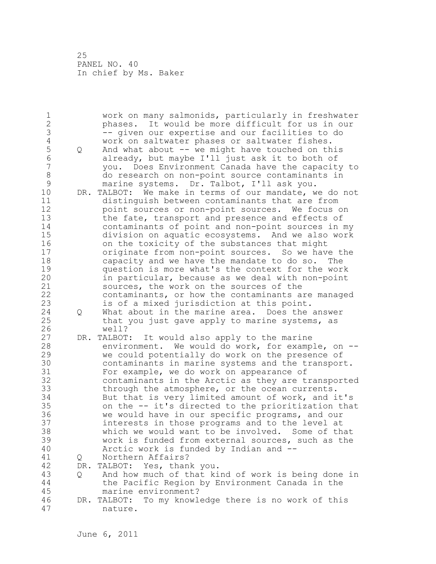1 work on many salmonids, particularly in freshwater<br>2 bhases. It would be more difficult for us in our 2 phases. It would be more difficult for us in our 3 -- given our expertise and our facilities to do<br>4 work on saltwater phases or saltwater fishes. 4 work on saltwater phases or saltwater fishes.<br>5 0 And what about -- we might have touched on th 5 Q And what about -- we might have touched on this 6 already, but maybe I'll just ask it to both of 7 you. Does Environment Canada have the capacity to 8 do research on non-point source contaminants in<br>9 marine systems. Dr. Talbot, I'll ask vou. 9 marine systems. Dr. Talbot, I'll ask you.<br>10 DR. TALBOT: We make in terms of our mandate, w 10 DR. TALBOT: We make in terms of our mandate, we do not<br>11 distinguish between contaminants that are from 11 distinguish between contaminants that are from 12 boint sources or non-point sources. We focus on<br>13 the fate, transport and presence and effects of 13 the fate, transport and presence and effects of<br>14 contaminants of point and non-point sources in: 14 contaminants of point and non-point sources in my<br>15 division on aquatic ecosystems. And we also work 15 division on aquatic ecosystems. And we also work<br>16 on the toxicity of the substances that might 16 on the toxicity of the substances that might<br>17 originate from non-point sources. So we hav 17 originate from non-point sources. So we have the 18 capacity and we have the mandate to do so. The<br>19 denotion is more what's the context for the wor 19 question is more what's the context for the work<br>20 in particular, because as we deal with non-point 20 in particular, because as we deal with non-point<br>21 sources, the work on the sources of the 21 sources, the work on the sources of the<br>22 contaminants, or how the contaminants a 22 contaminants, or how the contaminants are managed<br>23 is of a mixed jurisdiction at this point. is of a mixed jurisdiction at this point. 24 Q What about in the marine area. Does the answer<br>25 that you just gave apply to marine systems, as 25 that you just gave apply to marine systems, as<br>26 well? 26 well?<br>27 DR. TALBOT: 27 DR. TALBOT: It would also apply to the marine<br>28 The mariconment. We would do work, for examp 28 environment. We would do work, for example, on --<br>29 we could potentially do work on the presence of 29 we could potentially do work on the presence of 30 contaminants in marine systems and the transport.<br>31 For example, we do work on appearance of 31 For example, we do work on appearance of 32 32 contaminants in the Arctic as they are transported<br>33 through the atmosphere, or the ocean currents. 33 through the atmosphere, or the ocean currents.<br>34 But that is very limited amount of work, and i 34 But that is very limited amount of work, and it's<br>35 on the -- it's directed to the prioritization that 35 on the -- it's directed to the prioritization that<br>36 we would have in our specific programs, and our 36 we would have in our specific programs, and our<br>37 interests in those programs and to the level at 37 interests in those programs and to the level at<br>38 which we would want to be involved. Some of th 38 which we would want to be involved. Some of that<br>39 work is funded from external sources, such as the 39 work is funded from external sources, such as the 30 and the 40 and the 31 and the 31 and the 32 and 4-40 Arctic work is funded by Indian and -- 41 Q Northern Affairs?<br>42 DR. TALBOT: Yes, than 42 DR. TALBOT: Yes, thank you.<br>43 0 And how much of that ki 43 Q And how much of that kind of work is being done in 44 the Pacific Region by Environment Canada in the marine environment? 46 DR. TALBOT: To my knowledge there is no work of this nature.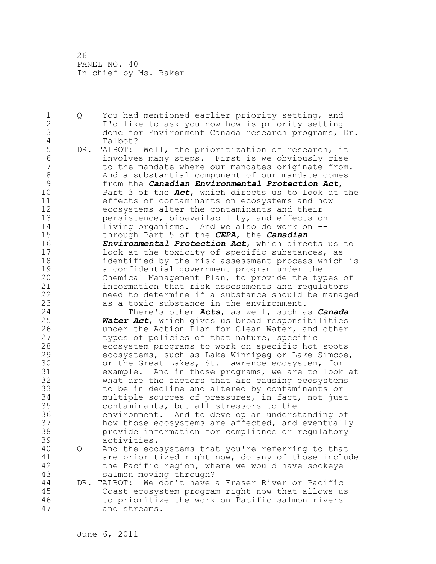1 Q You had mentioned earlier priority setting, and<br>2 1'd like to ask you now how is priority setting 2 I'd like to ask you now how is priority setting 3 done for Environment Canada research programs, Dr. 4 Talbot?<br>5 DR. TALBOT: 5 DR. TALBOT: Well, the prioritization of research, it<br>6 involves many steps. First is we obviously rise 6 involves many steps. First is we obviously rise 7 The mandate where our mandates originate from.<br>8 The and a substantial component of our mandate comes 8 And a substantial component of our mandate comes<br>9 from the *Canadian Environmental Protection Act.* 9 from the *Canadian Environmental Protection Act*, 10 Part 3 of the **Act**, which directs us to look at the<br>11 effects of contaminants on ecosystems and how 11 effects of contaminants on ecosystems and how<br>12 ecosystems alter the contaminants and their 12 ecosystems alter the contaminants and their<br>13 bersistence, bioavailability, and effects o 13 persistence, bioavailability, and effects on<br>14 1iving organisms. And we also do work on --14 living organisms. And we also do work on --<br>15 through Part 5 of the **CEPA,** the **Canadian** 15 through Part 5 of the *CEPA*, the *Canadian*  16 *Environmental Protection Act*, which directs us to 17 look at the toxicity of specific substances, as<br>18 identified by the risk assessment process which 18 identified by the risk assessment process which is 19 a confidential government program under the<br>20 Chemical Management Plan, to provide the ty 20 Chemical Management Plan, to provide the types of<br>21 information that risk assessments and requlators 21 information that risk assessments and regulators 22 heed to determine if a substance should be managed<br>23 https://www.as-a-toxic-substance-in-the-environment. as a toxic substance in the environment. 24 There's other *Acts*, as well, such as *Canada*  25 *Water Act*, which gives us broad responsibilities 26 under the Action Plan for Clean Water, and other<br>27 types of policies of that nature, specific 27 types of policies of that nature, specific<br>28 ecosystem programs to work on specific hot 28 ecosystem programs to work on specific hot spots<br>29 ecosystems, such as Lake Winnipeg or Lake Simcoe 29 ecosystems, such as Lake Winnipeg or Lake Simcoe,<br>30 or the Great Lakes, St. Lawrence ecosystem, for 30 or the Great Lakes, St. Lawrence ecosystem, for<br>31 example. And in those programs, we are to look 31 example. And in those programs, we are to look at<br>32 what are the factors that are causing ecosystems 32 what are the factors that are causing ecosystems 33 to be in decline and altered by contaminants or 34 multiple sources of pressures, in fact, not just<br>35 contaminants, but all stressors to the 35 contaminants, but all stressors to the 36 environment. And to develop an understanding of<br>37 how those ecosystems are affected, and eventuall 37 how those ecosystems are affected, and eventually<br>38 **houring provide information for compliance or requlatory** 38 provide information for compliance or regulatory activities. 40 Q And the ecosystems that you're referring to that<br>41 are prioritized right now, do any of those inclu 41 are prioritized right now, do any of those include<br>42 the Pacific region, where we would have sockeve 42 the Pacific region, where we would have sockeye<br>43 salmon moving through? salmon moving through? 44 DR. TALBOT: We don't have a Fraser River or Pacific Coast ecosystem program right now that allows us 46 to prioritize the work on Pacific salmon rivers<br>47 and streams. and streams.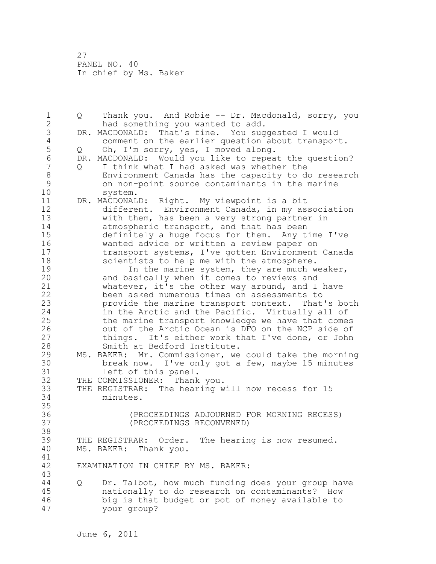1 Q Thank you. And Robie -- Dr. Macdonald, sorry, you<br>2 had something you wanted to add. 2 had something you wanted to add.<br>3 DR. MACDONALD: That's fine. You sug 3 DR. MACDONALD: That's fine. You suggested I would<br>4 comment on the earlier question about transpor 4 comment on the earlier question about transport.<br>5 0 Oh, I'm sorry, yes, I moved along. 5 Q Oh, I'm sorry, yes, I moved along.<br>6 DR. MACDONALD: Would vou like to repea 6 DR. MACDONALD: Would you like to repeat the question? 7 Q I think what I had asked was whether the<br>8 Thyironment Canada has the capacity to de 8 Environment Canada has the capacity to do research 9 on non-point source contaminants in the marine 10 system.<br>11 DR. MACDONAL 11 DR. MACDONALD: Right. My viewpoint is a bit<br>12 different. Environment Canada, in my as 12 different. Environment Canada, in my association<br>13 with them, has been a verv strong partner in 13 with them, has been a very strong partner in<br>14 atmospheric transport, and that has been 14 atmospheric transport, and that has been<br>15 definitely a huge focus for them. Any t. 15 definitely a huge focus for them. Any time I've<br>16 wanted advice or written a review paper on 16 wanted advice or written a review paper on<br>17 transport systems, I've gotten Environment 17 transport systems, I've gotten Environment Canada<br>18 scientists to help me with the atmosphere. 18 scientists to help me with the atmosphere.<br>19 19 10 In the marine system, they are much w 19 19 In the marine system, they are much weaker,<br>20 and basically when it comes to reviews and 20 and basically when it comes to reviews and<br>21 whatever, it's the other way around, and I 21 whatever, it's the other way around, and I have<br>22 been asked numerous times on assessments to 22 been asked numerous times on assessments to<br>23 been asked numerous times on assessments to 23 provide the marine transport context. That's both<br>24 in the Arctic and the Pacific. Virtually all of 24 11 in the Arctic and the Pacific. Virtually all of<br>25 the marine transport knowledge we have that come 25 the marine transport knowledge we have that comes<br>26 out of the Arctic Ocean is DFO on the NCP side of 26 out of the Arctic Ocean is DFO on the NCP side of<br>27 things. It's either work that I've done, or John 27 things. It's either work that I've done, or John<br>28 Smith at Bedford Institute. 28 Smith at Bedford Institute.<br>29 MS. BAKER: Mr. Commissioner, we 29 MS. BAKER: Mr. Commissioner, we could take the morning<br>30 break now. I've only got a few. maybe 15 minutes 30 break now. I've only got a few, maybe 15 minutes 31 left of this panel.<br>32 THE COMMISSIONER: Thank you. 32 THE COMMISSIONER:<br>33 THE REGISTRAR: The 33 THE REGISTRAR: The hearing will now recess for 15 minutes. 35<br>36 36 (PROCEEDINGS ADJOURNED FOR MORNING RECESS) 37 (PROCEEDINGS RECONVENED) 38<br>39 39 THE REGISTRAR: Order. The hearing is now resumed.<br>40 MS. BAKER: Thank vou. MS. BAKER: Thank you. 41<br>42 EXAMINATION IN CHIEF BY MS. BAKER: 43 44 Q Dr. Talbot, how much funding does your group have nationally to do research on contaminants? How 46 big is that budget or pot of money available to your group?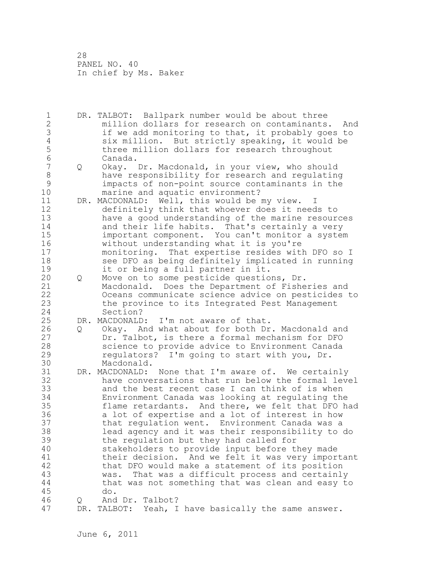1 DR. TALBOT: Ballpark number would be about three<br>2 million dollars for research on contaminants 2 million dollars for research on contaminants. And 3 if we add monitoring to that, it probably goes to<br>4 six million. But strictly speaking, it would be 4 six million. But strictly speaking, it would be<br>5 three million dollars for research throughout 5 three million dollars for research throughout<br>6 Canada. 6 Canada. 7 Q Okay. Dr. Macdonald, in your view, who should 8 have responsibility for research and regulating<br>9 **have inpacts of non-point source contaminants in the** 9 impacts of non-point source contaminants in the 10 marine and aquatic environment?<br>11 DR. MACDONALD: Well, this would be 11 DR. MACDONALD: Well, this would be my view. I<br>12 definitely think that whoever does it need 12 definitely think that whoever does it needs to<br>13 have a good understanding of the marine resoure 13 have a good understanding of the marine resources<br>14 and their life habits. That's certainly a very 14 and their life habits. That's certainly a very<br>15 important component. You can't monitor a system 15 important component. You can't monitor a system<br>16 without understanding what it is you're 16 without understanding what it is you're<br>17 monitoring. That expertise resides with 17 monitoring. That expertise resides with DFO so I<br>18 see DFO as being definitely implicated in running 18 see DFO as being definitely implicated in running<br>19 fill partner in it. 19 it or being a full partner in it.<br>20 0 Move on to some pesticide questio 20 Q Move on to some pesticide questions, Dr.<br>21 Macdonald. Does the Department of Fishe 21 Macdonald. Does the Department of Fisheries and<br>22 Oceans communicate science advice on pesticides t 22 Oceans communicate science advice on pesticides to the province to its Integrated Pest Management 24 Section?<br>25 DR. MACDONALD: 25 DR. MACDONALD: I'm not aware of that.<br>26 O Okav. And what about for both Dr 26 Q Okay. And what about for both Dr. Macdonald and<br>27 Dr. Talbot, is there a formal mechanism for DFO 27 Dr. Talbot, is there a formal mechanism for DFO<br>28 Science to provide advice to Environment Canada 28 science to provide advice to Environment Canada<br>29 segulators? I'm going to start with you, Dr. 29 regulators? I'm going to start with you, Dr. 30 Macdonald.<br>31 DR. MACDONALD: 31 DR. MACDONALD: None that I'm aware of. We certainly<br>32 have conversations that run below the formal leve 32 have conversations that run below the formal level<br>33 and the best recent case I can think of is when 33 and the best recent case I can think of is when 34 Environment Canada was looking at regulating the 35 flame retardants. And there, we felt that DFO had<br>36 a lot of expertise and a lot of interest in how 36 a lot of expertise and a lot of interest in how<br>37 bhat regulation went. Environment Canada was a 37 that regulation went. Environment Canada was a<br>38 1ead agency and it was their responsibility to 38 lead agency and it was their responsibility to do 39 the regulation but they had called for<br>40 stakeholders to provide input before t 40 stakeholders to provide input before they made<br>41 their decision. And we felt it was verv impor 41 their decision. And we felt it was very important<br>42 that DFO would make a statement of its position 42 that DFO would make a statement of its position<br>43 was. That was a difficult process and certainly was. That was a difficult process and certainly 44 that was not something that was clean and easy to<br>45 do. 45 do. 46 Q And Dr. Talbot? DR. TALBOT: Yeah, I have basically the same answer.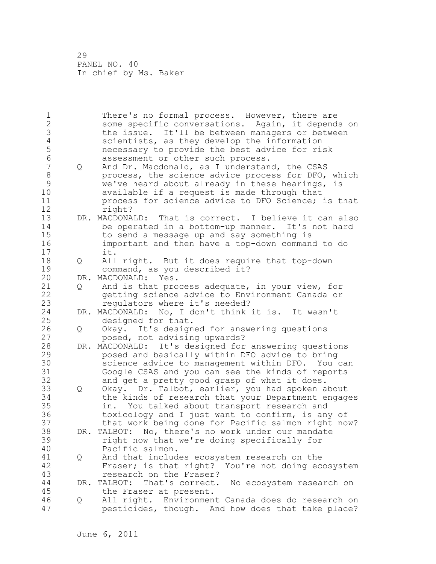| $\mathbf 1$    |     | There's no formal process. However, there are              |
|----------------|-----|------------------------------------------------------------|
| $\overline{2}$ |     | some specific conversations. Again, it depends on          |
| 3              |     | the issue. It'll be between managers or between            |
| $\overline{4}$ |     | scientists, as they develop the information                |
| 5              |     | necessary to provide the best advice for risk              |
| $\sqrt{6}$     |     | assessment or other such process.                          |
| $\overline{7}$ | Q   | And Dr. Macdonald, as I understand, the CSAS               |
| $\,8\,$        |     | process, the science advice process for DFO, which         |
| $\mathsf{S}$   |     | we've heard about already in these hearings,<br>is         |
| 10             |     |                                                            |
| 11             |     | available if a request is made through that                |
|                |     | process for science advice to DFO Science; is that         |
| 12             |     | right?                                                     |
| 13             |     | That is correct. I believe it can also<br>DR. MACDONALD:   |
| 14             |     | be operated in a bottom-up manner. It's not hard           |
| 15             |     | to send a message up and say something is                  |
| 16             |     | important and then have a top-down command to do           |
| 17             |     | it.                                                        |
| 18             | Q   | All right. But it does require that top-down               |
| 19             |     | command, as you described it?                              |
| 20             |     | DR. MACDONALD: Yes.                                        |
| 21             | Q   | And is that process adequate, in your view, for            |
| 22             |     | getting science advice to Environment Canada or            |
| 23             |     | regulators where it's needed?                              |
| 24             | DR. | MACDONALD: No, I don't think it is. It wasn't              |
| 25             |     | designed for that.                                         |
| 26             | Q   | Okay. It's designed for answering questions                |
| 27             |     | posed, not advising upwards?                               |
| 28             | DR. | MACDONALD: It's designed for answering questions           |
| 29             |     | posed and basically within DFO advice to bring             |
| 30             |     | science advice to management within DFO. You can           |
| 31             |     | Google CSAS and you can see the kinds of reports           |
| 32             |     | and get a pretty good grasp of what it does.               |
| 33             |     | Okay. Dr. Talbot, earlier, you had spoken about            |
| 34             | Q   |                                                            |
| 35             |     | the kinds of research that your Department engages         |
| 36             |     | in. You talked about transport research and                |
|                |     | toxicology and I just want to confirm, is any of           |
| 37             |     | that work being done for Pacific salmon right now?         |
| 38             |     | DR. TALBOT: No, there's no work under our mandate          |
| 39             |     | right now that we're doing specifically for                |
| 40             |     | Pacific salmon.                                            |
| 41             | Q   | And that includes ecosystem research on the                |
| 42             |     | Fraser; is that right? You're not doing ecosystem          |
| 43             |     | research on the Fraser?                                    |
| $4\,4$         |     | DR. TALBOT:<br>That's correct.<br>No ecosystem research on |
| 45             |     | the Fraser at present.                                     |
| 46             | Q   | All right. Environment Canada does do research on          |
| 47             |     | pesticides, though. And how does that take place?          |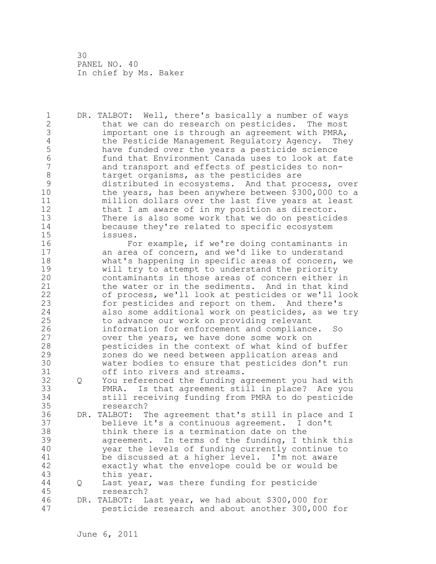30 PANEL NO. 40 In chief by Ms. Baker

1 DR. TALBOT: Well, there's basically a number of ways<br>2 that we can do research on pesticides. The most 2 that we can do research on pesticides. The most<br>3 important one is through an agreement with PMRA, 3 important one is through an agreement with PMRA,<br>4 the Pesticide Management Requlatory Agency. The 4 the Pesticide Management Regulatory Agency. They<br>5 have funded over the years a pesticide science 5 have funded over the years a pesticide science 6 fund that Environment Canada uses to look at fate 7 and transport and effects of pesticides to non-<br>8 target organisms, as the pesticides are 8 target organisms, as the pesticides are<br>9 distributed in ecosystems. And that pro 9 distributed in ecosystems. And that process, over 10 the years, has been anywhere between \$300,000 to a<br>11 million dollars over the last five vears at least 11 million dollars over the last five years at least<br>12 that I am aware of in my position as director. 12 that I am aware of in my position as director.<br>13 There is also some work that we do on pesticid 13 There is also some work that we do on pesticides<br>14 because thev're related to specific ecosystem 14 because they're related to specific ecosystem 15 issues.<br>16 Fo 16 For example, if we're doing contaminants in<br>17 an area of concern, and we'd like to understand 17 an area of concern, and we'd like to understand<br>18 bundary state and we areas of concern, the section of the what's happening in specific areas of concern, 18 what's happening in specific areas of concern, we<br>19 will try to attempt to understand the priority 19 will try to attempt to understand the priority<br>20 contaminants in those areas of concern either 20 contaminants in those areas of concern either in<br>21 the water or in the sediments. And in that kind 21 the water or in the sediments. And in that kind<br>22 of process, we'll look at pesticides or we'll loo 22 of process, we'll look at pesticides or we'll look<br>23 for pesticides and report on them. And there's for pesticides and report on them. And there's 24 also some additional work on pesticides, as we try<br>25 to advance our work on providing relevant 25 to advance our work on providing relevant<br>26 information for enforcement and complianc 26 information for enforcement and compliance. So<br>27 over the years, we have done some work on 27 over the years, we have done some work on<br>28 besticides in the context of what kind of 28 pesticides in the context of what kind of buffer 29 20 zones do we need between application areas and<br>20 30 water bodies to ensure that pesticides don't re 30 water bodies to ensure that pesticides don't run 31 off into rivers and streams.<br>32 O You referenced the funding a 32 Q You referenced the funding agreement you had with 33 PMRA. Is that agreement still in place? Are you still receiving funding from PMRA to do pesticide 35 research?<br>36 DR. TALBOT: T 36 DR. TALBOT: The agreement that's still in place and I 37 believe it's a continuous agreement. I don't 38 think there is a termination date on the<br>39 agreement. In terms of the funding, I t agreement. In terms of the funding, I think this 40 year the levels of funding currently continue to<br>41 be discussed at a higher level. I'm not aware 41 be discussed at a higher level.<br>42 exactly what the envelope could 42 exactly what the envelope could be or would be 43 this year. 44 Q Last year, was there funding for pesticide research? 46 DR. TALBOT: Last year, we had about \$300,000 for<br>47 besticide research and about another 300,000 pesticide research and about another 300,000 for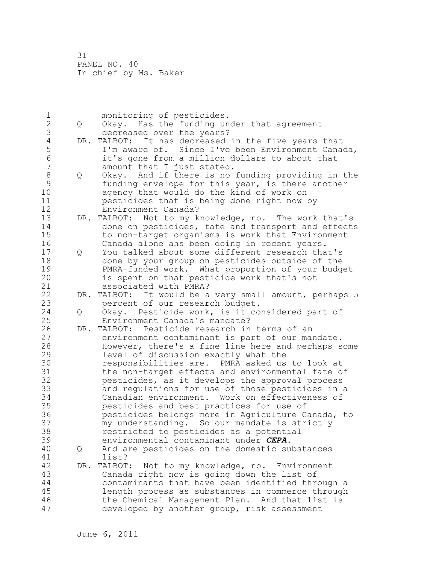31 PANEL NO. 40 In chief by Ms. Baker

1 monitoring of pesticides.<br>2 0 Okav. Has the funding un 2 Q Okay. Has the funding under that agreement 3 decreased over the years?<br>4 DR. TALBOT: It has decreased 4 DR. TALBOT: It has decreased in the five years that<br>5 I'm aware of. Since I've been Environment Cana 5 I'm aware of. Since I've been Environment Canada,<br>6 it's gone from a million dollars to about that 6 it's gone from a million dollars to about that<br>7 amount that I just stated. 7 amount that I just stated.<br>8 0 Okav. And if there is no 8 Q Okay. And if there is no funding providing in the<br>9 funding envelope for this vear, is there another 9 funding envelope for this year, is there another<br>10 agency that would do the kind of work on 10 agency that would do the kind of work on<br>11 besticides that is being done right now 1 11 **11** pesticides that is being done right now by<br>12 **Eulie** Environment Canada? 12 Environment Canada?<br>13 DR. TALBOT: Not to my k 13 DR. TALBOT: Not to my knowledge, no. The work that's<br>14 done on pesticides, fate and transport and effect. 14 done on pesticides, fate and transport and effects<br>15 to non-target organisms is work that Environment 15 to non-target organisms is work that Environment<br>16 Canada alone ahs been doing in recent years. 16 Canada alone ahs been doing in recent years. 17 Q You talked about some different research that's 18 done by your group on pesticides outside of the 19 PMRA-funded work. What proportion of your budget<br>20 is spent on that pesticide work that's not 20 is spent on that pesticide work that's not<br>21 associated with PMRA? 21 associated with PMRA?<br>22 DR. TALBOT: It would be a 22 DR. TALBOT: It would be a very small amount, perhaps 5<br>23 bercent of our research budget. 23 percent of our research budget.<br>24 0 Okay. Pesticide work, is it co 24 Q Okay. Pesticide work, is it considered part of 25 Environment Canada's mandate?<br>26 DR. TALBOT: Pesticide research in 26 DR. TALBOT: Pesticide research in terms of an<br>27 environment contaminant is part of our man 27 environment contaminant is part of our mandate.<br>28 However, there's a fine line here and perhaps s 28 However, there's a fine line here and perhaps some<br>29 Hevel of discussion exactly what the 29 1evel of discussion exactly what the<br>30 19 19 19 responsibilities are. PMRA asked us 30 responsibilities are. PMRA asked us to look at 31 the non-target effects and environmental fate of<br>32 sesticides, as it develops the approval process 32 besticides, as it develops the approval process<br>33 and requiations for use of those pesticides in 33 and regulations for use of those pesticides in a 34 Canadian environment. Work on effectiveness of<br>35 besticides and best practices for use of 35 pesticides and best practices for use of 36 pesticides belongs more in Agriculture Canada, to 37 my understanding. So our mandate is strictly<br>38 sestricted to pesticides as a potential 38 **restricted to pesticides as a potential**<br>39 **representive and anti-** and annual contaminant under **CEPA**. 39 environmental contaminant under *CEPA*. 40 Q And are pesticides on the domestic substances 41 list?<br>42 DR. TALBOT 42 DR. TALBOT: Not to my knowledge, no. Environment<br>43 Canada right now is going down the list of Canada right now is going down the list of 44 contaminants that have been identified through a length process as substances in commerce through 46 the Chemical Management Plan. And that list is<br>47 developed by another group, risk assessment developed by another group, risk assessment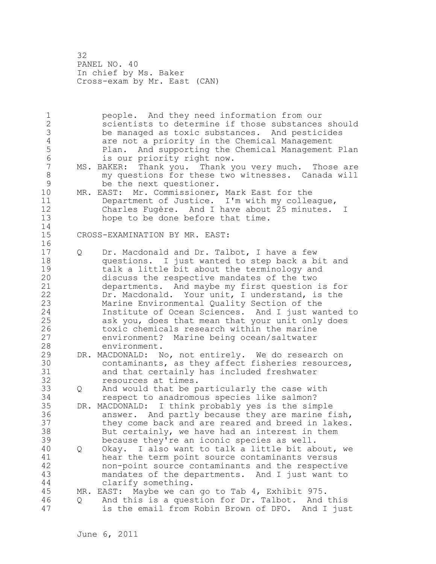32 PANEL NO. 40 In chief by Ms. Baker Cross-exam by Mr. East (CAN)

1 people. And they need information from our<br>2 scientists to determine if those substances 2 3 Scientists to determine if those substances should<br>3 3 be managed as toxic substances. And pesticides 3 be managed as toxic substances. And pesticides 4 are not a priority in the Chemical Management<br>5 Plan. And supporting the Chemical Management 5 Plan. And supporting the Chemical Management Plan<br>6 is our priority right now. 6 is our priority right now.<br>7 MS. BAKER: Thank you. Thank y 7 MS. BAKER: Thank you. Thank you very much. Those are<br>8 my questions for these two witnesses. Canada will 8 my questions for these two witnesses. Canada will 9 be the next questioner.<br>10 MR. EAST: Mr. Commissioner, 10 MR. EAST: Mr. Commissioner, Mark East for the<br>11 Department of Justice. I'm with my colle 11 Department of Justice. I'm with my colleague,<br>12 Charles Fugère. And I have about 25 minutes. 12 Charles Fugère. And I have about 25 minutes. I<br>13 hope to be done before that time. hope to be done before that time.  $\begin{array}{c} 14 \\ 15 \end{array}$ CROSS-EXAMINATION BY MR. EAST:  $\frac{16}{17}$ 17 Q Dr. Macdonald and Dr. Talbot, I have a few<br>18 duestions. I just wanted to step back a b 18 questions. I just wanted to step back a bit and 19 talk a little bit about the terminology and<br>20 discuss the respective mandates of the two 20 discuss the respective mandates of the two<br>21 departments. And maybe my first question 21 departments. And maybe my first question is for<br>22 Dr. Macdonald. Your unit, I understand, is the 22 Dr. Macdonald. Your unit, I understand, is the<br>23 Marine Environmental Ouality Section of the Marine Environmental Quality Section of the 24 Institute of Ocean Sciences. And I just wanted to 25 ask you, does that mean that your unit only does<br>26 toxic chemicals research within the marine 26 toxic chemicals research within the marine<br>27 environment? Marine being ocean/saltwater 27 environment? Marine being ocean/saltwater 28 environment.<br>29 DR. MACDONALD: N 29 DR. MACDONALD: No, not entirely. We do research on 30 contaminants, as they affect fisheries resources,<br>31 and that certainly has included freshwater 31 and that certainly has included freshwater<br>32 resources at times. 32 resources at times.<br>33 0 And would that be p 33 Q And would that be particularly the case with respect to anadromous species like salmon? 35 DR. MACDONALD: I think probably yes is the simple 36 answer. And partly because they are marine fish,<br>37 they come back and are reared and breed in lakes. 37 they come back and are reared and breed in lakes.<br>38 But certainly, we have had an interest in them 38 But certainly, we have had an interest in them<br>39 because thev're an iconic species as well. because they're an iconic species as well. 40 Q Okay. I also want to talk a little bit about, we 41 hear the term point source contaminants versus<br>42 hon-point source contaminants and the respective 42 12 non-point source contaminants and the respective<br>43 mandates of the departments. And I just want to mandates of the departments. And I just want to 44 clarify something.<br>45 MR. EAST: Mavbe we can MR. EAST: Maybe we can go to Tab 4, Exhibit 975. 46 Q And this is a question for Dr. Talbot. And this is the email from Robin Brown of DFO. And I just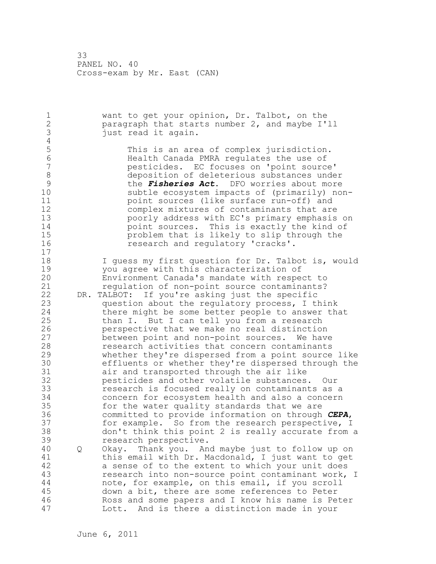1 want to get your opinion, Dr. Talbot, on the<br>2 baragraph that starts number 2, and maybe I' 2 paragraph that starts number 2, and maybe I'll just read it again.  $\frac{4}{5}$ 5 This is an area of complex jurisdiction. 6 Health Canada PMRA regulates the use of 7 pesticides. EC focuses on 'point source' 8 deposition of deleterious substances under<br>9 the *Fisheries Act*. DFO worries about more 9 the *Fisheries Act*. DFO worries about more 10 Subtle ecosystem impacts of (primarily) non-<br>11 moint sources (like surface run-off) and 11 **11** point sources (like surface run-off) and<br>12 **12** complex mixtures of contaminants that are 12 complex mixtures of contaminants that are<br>13 coorly address with EC's primary emphasis 13 poorly address with EC's primary emphasis on 14 **14** point sources. This is exactly the kind of 15 15 **problem that is likely to slip through the**<br>16 **problem** that is likely to slip through the research and regulatory 'cracks'.  $\begin{array}{c} 17 \\ 18 \end{array}$ 18 18 I guess my first question for Dr. Talbot is, would<br>19 19 I vou agree with this characterization of 19 19 you agree with this characterization of<br>20 19 Environment Canada's mandate with respe 20 Environment Canada's mandate with respect to 21 regulation of non-point source contaminants?<br>22 DR. TALBOT: If you're asking just the specific 22 DR. TALBOT: If you're asking just the specific<br>23 ouestion about the regulatory process, I tl question about the regulatory process, I think 24 there might be some better people to answer that<br>25 than I. But I can tell you from a research 25 than I. But I can tell you from a research<br>26 berspective that we make no real distinction 26 **perspective that we make no real distinction**<br>27 between point and non-point sources. We have 27 between point and non-point sources. We have 28 research activities that concern contaminants<br>29 whether thev're dispersed from a point source 29 whether they're dispersed from a point source like 30 effluents or whether they're dispersed through the 31 air and transported through the air like<br>32 besticides and other volatile substances 32 pesticides and other volatile substances. Our 33 research is focused really on contaminants as a concern for ecosystem health and also a concern 35 for the water quality standards that we are<br>36 committed to provide information on through 36 committed to provide information on through *CEPA*, 37 for example. So from the research perspective, I<br>38 don't think this point 2 is really accurate from 38 don't think this point 2 is really accurate from a research perspective. 40 Q Okay. Thank you. And maybe just to follow up on 41 this email with Dr. Macdonald, I just want to get<br>42 a sense of to the extent to which your unit does 42 a sense of to the extent to which your unit does<br>43 sesearch into non-source point contaminant work, research into non-source point contaminant work, I 44 mote, for example, on this email, if you scroll<br>45 down a bit, there are some references to Peter down a bit, there are some references to Peter 46 Ross and some papers and I know his name is Peter<br>47 Lott. And is there a distinction made in your Lott. And is there a distinction made in your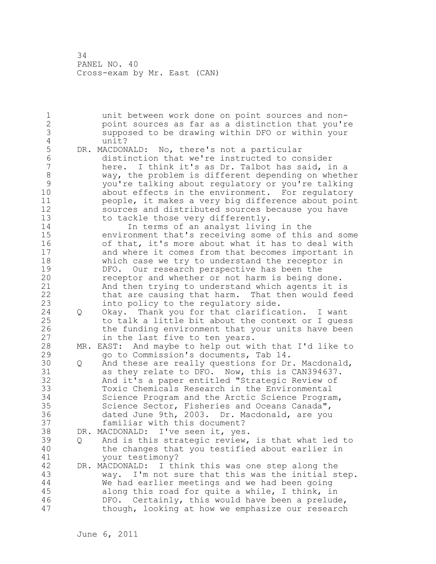1 unit between work done on point sources and non-2 point sources as far as a distinction that you're 3 supposed to be drawing within DFO or within your 4 unit?<br>5 DR. MACDON 5 DR. MACDONALD: No, there's not a particular 6 distinction that we're instructed to consider 7 here. I think it's as Dr. Talbot has said, in a<br>8 way, the problem is different depending on wheth 8 way, the problem is different depending on whether 9 you're talking about regulatory or you're talking 10 about effects in the environment. For regulatory<br>11 beople, it makes a very big difference about point 11 beople, it makes a very big difference about point<br>12 sources and distributed sources because vou have 12 sources and distributed sources because you have<br>13 to tackle those very differently. 13 to tackle those very differently.<br>14 14 The terms of an analyst livin 14 14 In terms of an analyst living in the<br>15 environment that's receiving some of this 15 environment that's receiving some of this and some<br>16 of that, it's more about what it has to deal with 16 of that, it's more about what it has to deal with<br>17 and where it comes from that becomes important in 17 and where it comes from that becomes important in<br>18 which case we try to understand the receptor in 18 which case we try to understand the receptor in<br>19 DFO. Our research perspective has been the 19 DFO. Our research perspective has been the<br>20 meceptor and whether or not harm is being d 20 receptor and whether or not harm is being done.<br>21 and then trying to understand which agents it i 21 and then trying to understand which agents it is<br>22 that are causing that harm. That then would feed 22 that are causing that harm. That then would feed<br>23 the policy to the regulatory side. into policy to the regulatory side. 24 Q Okay. Thank you for that clarification. I want<br>25 to talk a little bit about the context or I ques 25 to talk a little bit about the context or I guess<br>26 the funding environment that your units have been 26 the funding environment that your units have been<br>27 in the last five to ten years. 27 in the last five to ten years.<br>28 MR. EAST: And maybe to help out wi 28 MR. EAST: And maybe to help out with that I'd like to<br>29 ao to Commission's documents, Tab 14. 29 go to Commission's documents, Tab 14.<br>30 O And these are really questions for Dr 30 Q And these are really questions for Dr. Macdonald,<br>31 as they relate to DFO. Now, this is CAN394637. 31 as they relate to DFO. Now, this is CAN394637.<br>32 And it's a paper entitled "Strategic Review of 32 And it's a paper entitled "Strategic Review of 33 Toxic Chemicals Research in the Environmental 34 Science Program and the Arctic Science Program,<br>35 Science Sector, Fisheries and Oceans Canada", 35 Science Sector, Fisheries and Oceans Canada", 36 dated June 9th, 2003. Dr. Macdonald, are you<br>37 familiar with this document? 37 familiar with this document?<br>38 DR. MACDONALD: I've seen it, yes 38 DR. MACDONALD: I've seen it, yes.<br>39 0 And is this strategic review, 39 Q And is this strategic review, is that what led to 40 the changes that you testified about earlier in<br>41 vour testimonv? 41 your testimony?<br>42 DR. MACDONALD: I th 42 DR. MACDONALD: I think this was one step along the way. I'm not sure that this was the initial step. 44 We had earlier meetings and we had been going<br>45 along this road for guite a while, I think, in along this road for quite a while, I think, in 46 DFO. Certainly, this would have been a prelude,<br>47 though, looking at how we emphasize our research though, looking at how we emphasize our research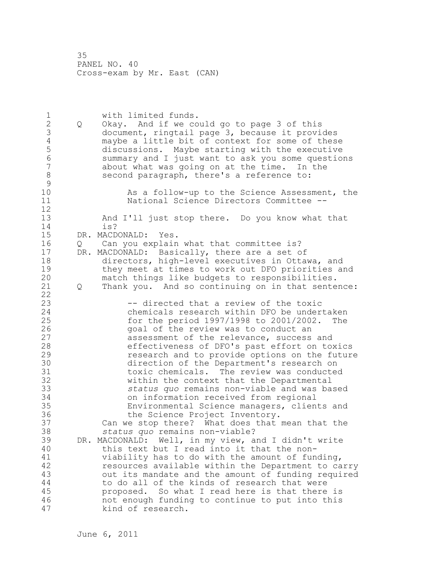1 with limited funds.<br>2 0 Okav. And if we co 2 Q Okay. And if we could go to page 3 of this 3 document, ringtail page 3, because it provides 4 maybe a little bit of context for some of these<br>5 discussions. Maybe starting with the executive 5 discussions. Maybe starting with the executive 6 summary and I just want to ask you some questions 7 about what was going on at the time. In the<br>8 second paragraph, there's a reference to: second paragraph, there's a reference to:  $\begin{array}{c} 9 \\ 10 \end{array}$ 10 As a follow-up to the Science Assessment, the<br>11 Mational Science Directors Committee --National Science Directors Committee -- $\begin{array}{c} 12 \\ 13 \end{array}$ 13 And I'll just stop there. Do you know what that 14 is?<br>15 DR. MACD 15 DR. MACDONALD: Yes.<br>16 0 Can you explain 16 Q Can you explain what that committee is?<br>17 DR. MACDONALD: Basically, there are a set o 17 DR. MACDONALD: Basically, there are a set of<br>18 directors, high-level executives in Otta 18 directors, high-level executives in Ottawa, and<br>19 thev meet at times to work out DFO priorities an 19 they meet at times to work out DFO priorities and<br>20 match things like budgets to responsibilities. 20 match things like budgets to responsibilities.<br>21 0 Thank you. And so continuing on in that sente 0 Thank you. And so continuing on in that sentence:  $\frac{22}{23}$ 23 -- directed that a review of the toxic<br>24 chemicals research within DFO be under 24 chemicals research within DFO be undertaken<br>25 for the period 1997/1998 to 2001/2002. The 25 for the period 1997/1998 to 2001/2002. The<br>26 6 and of the review was to conduct an 26 32 goal of the review was to conduct an 27 states assessment of the relevance, success 27 assessment of the relevance, success and<br>28 effectiveness of DFO's past effort on to 28 effectiveness of DFO's past effort on toxics<br>29 esearch and to provide options on the future 29 **19** research and to provide options on the future<br>30 **19 contained in the Department's research** on 30 direction of the Department's research on<br>31 toxic chemicals. The review was conducted 31 toxic chemicals. The review was conducted<br>32 within the context that the Departmental 32 within the context that the Departmental<br>33 status quo remains non-viable and was ba 33 *status quo* remains non-viable and was based 34 on information received from regional 35 Environmental Science managers, clients and 36 the Science Project Inventory.<br>37 Can we stop there? What does that 37 Can we stop there? What does that mean that the<br>38 Status quo remains non-viable? 38 *status quo* remains non-viable? 39 DR. MACDONALD: Well, in my view, and I didn't write 40 this text but I read into it that the non-<br>41 viability has to do with the amount of fun 41 viability has to do with the amount of funding,<br>42 Tesources available within the Department to ca 42 resources available within the Department to carry<br>43 out its mandate and the amount of funding required out its mandate and the amount of funding required 44 to do all of the kinds of research that were<br>45 proposed. So what I read here is that there proposed. So what I read here is that there is 46 mot enough funding to continue to put into this<br>47 https://www.tind.off.com/search. kind of research.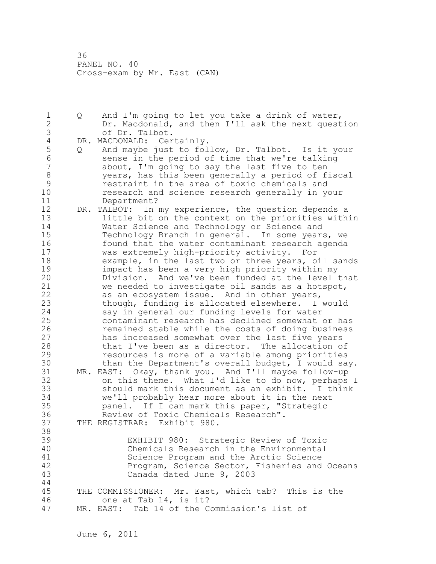1 Q And I'm going to let you take a drink of water,<br>2 Dr. Macdonald, and then I'll ask the next quest 2 Dr. Macdonald, and then I'll ask the next question 3 of Dr. Talbot.<br>4 DR. MACDONALD: Cer 4 DR. MACDONALD: Certainly.<br>5 Q And maybe just to fol 5 Q And maybe just to follow, Dr. Talbot. Is it your<br>6 sense in the period of time that we're talking 6 sense in the period of time that we're talking<br>7 about, I'm going to say the last five to ten 7 about, I'm going to say the last five to ten<br>8 wears, has this been generally a period of f 8 years, has this been generally a period of fiscal<br>9 separate in the area of toxic chemicals and 9 **19** restraint in the area of toxic chemicals and<br>10 **19** research and science research generally in ve 10 research and science research generally in your 11 Department?<br>12 DR. TALBOT: In 12 DR. TALBOT: In my experience, the question depends a<br>13 little bit on the context on the priorities with 13 little bit on the context on the priorities within<br>14 Water Science and Technology or Science and 14 Water Science and Technology or Science and<br>15 Technology Branch in general. In some years 15 Technology Branch in general. In some years, we<br>16 found that the water contaminant research agenda 16 found that the water contaminant research agenda<br>17 was extremely high-priority activity. For 17 was extremely high-priority activity. For 18 example, in the last two or three years, oil sands<br>19 fimpact has been a very high priority within my 19 19 impact has been a very high priority within my<br>20 10 Division. And we've been funded at the level 20 Division. And we've been funded at the level that<br>21 we needed to investigate oil sands as a hotspot, 21 we needed to investigate oil sands as a hotspot,<br>22 as an ecosystem issue. And in other years, 22 as an ecosystem issue. And in other years,<br>23 though, funding is allocated elsewhere. I though, funding is allocated elsewhere. I would 24 say in general our funding levels for water<br>25 contaminant research has declined somewhat 25 contaminant research has declined somewhat or has 26 remained stable while the costs of doing business<br>27 has increased somewhat over the last five years 27 has increased somewhat over the last five years<br>28 that I've been as a director. The allocation o 28 that I've been as a director. The allocation of<br>29 sessences is more of a variable among priorities 29 29 resources is more of a variable among priorities<br>20 than the Department's overall budget, I would sa 30 than the Department's overall budget, I would say.<br>31 MR. EAST: Okav, thank you. And I'll maybe follow-up 31 MR. EAST: Okay, thank you. And I'll maybe follow-up 32 on this theme. What I'd like to do now, perhaps I 33 should mark this document as an exhibit. I think 34 we'll probably hear more about it in the next<br>35 banel. If I can mark this paper, "Strategic 35 panel. If I can mark this paper, "Strategic 36 Review of Toxic Chemicals Research". THE REGISTRAR: Exhibit 980. 38<br>39 39 EXHIBIT 980: Strategic Review of Toxic 40 Chemicals Research in the Environmental 41 Science Program and the Arctic Science 42 Program, Science Sector, Fisheries and Oceans Canada dated June 9, 2003  $44$ <br> $45$ THE COMMISSIONER: Mr. East, which tab? This is the 46 one at Tab 14, is it?<br>47 MR. EAST: Tab 14 of the C MR. EAST: Tab 14 of the Commission's list of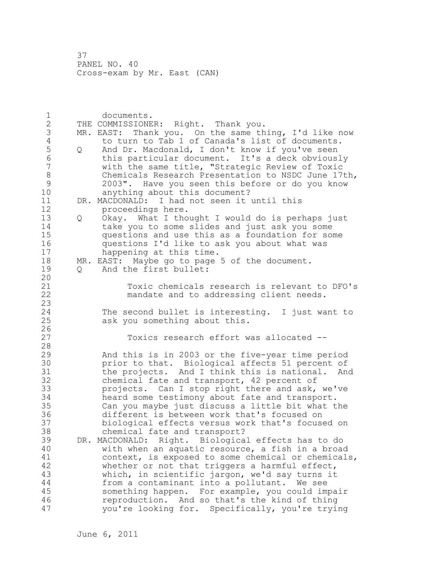1 documents.<br>2 THE COMMISSIONE 2 THE COMMISSIONER: Right. Thank you.<br>3 MR. EAST: Thank you. On the same th 3 MR. EAST: Thank you. On the same thing, I'd like now<br>4 to turn to Tab 1 of Canada's list of documents. 4 to turn to Tab 1 of Canada's list of documents.<br>5 0 And Dr. Macdonald, I don't know if you've seen 5 Q And Dr. Macdonald, I don't know if you've seen<br>6 this particular document. It's a deck obvious. 6 this particular document. It's a deck obviously 7 3 With the same title, "Strategic Review of Toxic<br>8 6 Chemicals Research Presentation to NSDC June 17 8 Chemicals Research Presentation to NSDC June 17th,<br>9 2003". Have you seen this before or do you know 9 2003". Have you seen this before or do you know 10 anything about this document?<br>11 DR. MACDONALD: I had not seen it 11 DR. MACDONALD: I had not seen it until this<br>12 orderedings here. 12 proceedings here.<br>13 0 Okav. What I tho 13 Q Okay. What I thought I would do is perhaps just 14 take you to some slides and just ask you some<br>15 questions and use this as a foundation for some 15 questions and use this as a foundation for some<br>16 questions I'd like to ask you about what was 16 questions I'd like to ask you about what was<br>17 happening at this time. 17 bappening at this time.<br>18 MR. EAST: Maybe go to page 18 MR. EAST: Maybe go to page 5 of the document.<br>19 0 And the first bullet: 19 Q And the first bullet:  $\begin{array}{c} 20 \\ 21 \end{array}$ 21 Toxic chemicals research is relevant to DFO's<br>22 mandate and to addressing client needs. mandate and to addressing client needs.  $\frac{23}{24}$ 24 The second bullet is interesting. I just want to<br>25 ask you something about this. ask you something about this.  $\frac{26}{27}$ Toxics research effort was allocated --28 29 And this is in 2003 or the five-year time period 30 prior to that. Biological affects 51 percent of<br>31 bhe projects. And I think this is national. And 31 the projects. And I think this is national. And<br>32 chemical fate and transport, 42 percent of 32 chemical fate and transport, 42 percent of<br>33 projects. Can I stop right there and ask, 33 brojects. Can I stop right there and ask, we've 34 and transport. 34 heard some testimony about fate and transport.<br>35 Can you maybe just discuss a little bit what t 35 Can you maybe just discuss a little bit what the 36 different is between work that's focused on 37 biological effects versus work that's focused on 38 chemical fate and transport?<br>39 DR. MACDONALD: Right. Biologica 39 DR. MACDONALD: Right. Biological effects has to do 40 with when an aquatic resource, a fish in a broad<br>41 context, is exposed to some chemical or chemical 41 context, is exposed to some chemical or chemicals,<br>42 whether or not that triggers a harmful effect, 42 whether or not that triggers a harmful effect,<br>43 which, in scientific jargon, we'd say turns it which, in scientific jargon, we'd say turns it 44 from a contaminant into a pollutant. We see something happen. For example, you could impair 46 reproduction. And so that's the kind of thing<br>47 vou're looking for. Specifically, you're tryi you're looking for. Specifically, you're trying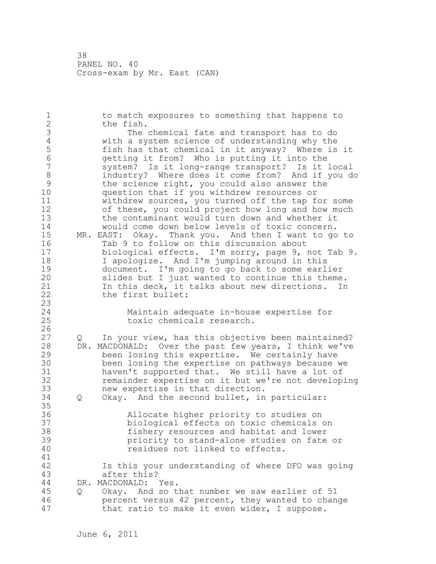1 to match exposures to something that happens to 2 2 the fish.<br>3 The 3 The chemical fate and transport has to do<br>4 with a system science of understanding why the 4 with a system science of understanding why the 5 fish has that chemical in it anyway? Where is it 6 getting it from? Who is putting it into the 7 system? Is it long-range transport? Is it local<br>8 industry? Where does it come from? And if you d 8 industry? Where does it come from? And if you do 9 the science right, you could also answer the<br>10 ouestion that if you withdrew resources or 10 question that if you withdrew resources or<br>11 withdrew sources, you turned off the tap f 11 withdrew sources, you turned off the tap for some<br>12 of these, you could project how long and how much 12 of these, you could project how long and how much<br>13 the contaminant would turn down and whether it 13 the contaminant would turn down and whether it<br>14 would come down below levels of toxic concern. 14 would come down below levels of toxic concern.<br>15 MR. EAST: Okav. Thank you. And then I want to go 15 MR. EAST: Okay. Thank you. And then I want to go to<br>16 Tab 9 to follow on this discussion about 16 Tab 9 to follow on this discussion about<br>17 biological effects. I'm sorry, page 9, 17 biological effects. I'm sorry, page 9, not Tab 9.<br>18 18 11 apologize. And I'm jumping around in this 18 I apologize. And I'm jumping around in this<br>19 document. I'm going to go back to some earl 19 document. I'm going to go back to some earlier<br>20 slides but I just wanted to continue this theme 20 slides but I just wanted to continue this theme. 21 In this deck, it talks about new directions. In 22 the first bullet: 23 24 Maintain adequate in-house expertise for toxic chemicals research.  $\frac{26}{27}$ 27 Q In your view, has this objective been maintained?<br>28 DR. MACDONALD: Over the past few vears, I think we've 28 DR. MACDONALD: Over the past few years, I think we've<br>29 been losing this expertise. We certainly have 29 been losing this expertise. We certainly have 30 been losing the expertise on pathways because we 31 haven't supported that. We still have a lot of<br>32 memainder expertise on it but we're not develop. 32 cemainder expertise on it but we're not developing<br>33 hew expertise in that direction. 33 carrier in that direction.<br>34 0 Okav. And the second bullet, in Q Okay. And the second bullet, in particular: 35<br>36 36 Allocate higher priority to studies on 37 biological effects on toxic chemicals on<br>38 fishery resources and habitat and lower 38 fishery resources and habitat and lower 39 priority to stand-alone studies on fate or residues not linked to effects. 41<br>42 42 Is this your understanding of where DFO was going after this? 44 DR. MACDONALD: Yes.<br>45 0 Okav. And so t Q Okay. And so that number we saw earlier of 51 46 percent versus 42 percent, they wanted to change that ratio to make it even wider, I suppose.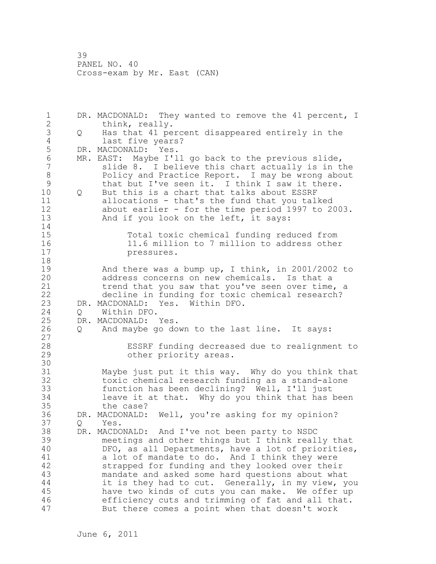1 DR. MACDONALD: They wanted to remove the 41 percent, I<br>2 think, really. 2 think, really.<br>3 Q Has that 41 pe 3 Q Has that 41 percent disappeared entirely in the 4 last five years?<br>5 DR. MACDONALD: Yes. 5 DR. MACDONALD: Yes.<br>6 MR. EAST: Mavbe I'l 6 MR. EAST: Maybe I'll go back to the previous slide,<br>7 slide 8. I believe this chart actually is in t 7 slide 8. I believe this chart actually is in the<br>8 Rolicy and Practice Report. I may be wrong about 8 Policy and Practice Report. I may be wrong about<br>9 that but I've seen it. I think I saw it there. 9 that but I've seen it. I think I saw it there.<br>10 0 But this is a chart that talks about ESSRF 10 0 But this is a chart that talks about ESSRF<br>11 allocations - that's the fund that you tal 11 allocations - that's the fund that you talked<br>12 about earlier - for the time period 1997 to 2 12 about earlier - for the time period 1997 to 2003.<br>13 And if you look on the left, it says: And if you look on the left, it says:  $\begin{array}{c} 14 \\ 15 \end{array}$ 15 Total toxic chemical funding reduced from<br>16 11.6 million to 7 million to address othe: 16 11.6 million to 7 million to address other<br>17 pressures. 18<br>19 19 And there was a bump up, I think, in 2001/2002 to<br>20 address concerns on new chemicals. Is that a 20 address concerns on new chemicals. Is that a<br>21 trend that you saw that you've seen over time 21 trend that you saw that you've seen over time, a<br>22 decline in funding for toxic chemical research? 22 decline in funding for toxic chemical research?<br>23 DR. MACDONALD: Yes. Within DFO. DR. MACDONALD: 24 Q Within DFO.<br>25 DR. MACDONALD: 25 DR. MACDONALD: Yes.<br>26 0 And maybe go do Q And maybe go down to the last line. It says:  $\begin{array}{c} 27 \\ 28 \end{array}$ 28 ESSRF funding decreased due to realignment to other priority areas. 30<br>31 31 Maybe just put it this way. Why do you think that 32 toxic chemical research funding as a stand-alone<br>33 function has been declining? Well, I'll just 33 function has been declining? Well, I'll just 34 leave it at that. Why do you think that has been<br>35 the case? 35 the case?<br>36 DR. MACDONALD: 36 DR. MACDONALD: Well, you're asking for my opinion? 37 Q Yes.<br>38 DR.MACDO 38 DR. MACDONALD: And I've not been party to NSDC 39 meetings and other things but I think really that 40 DFO, as all Departments, have a lot of priorities,<br>41 a lot of mandate to do. And I think they were 41 a lot of mandate to do. And I think they were<br>42 strapped for funding and they looked over their 42 strapped for funding and they looked over their<br>43 mandate and asked some hard questions about wha mandate and asked some hard questions about what 44 it is they had to cut. Generally, in my view, you<br>45 have two kinds of cuts you can make. We offer up have two kinds of cuts you can make. We offer up 46 efficiency cuts and trimming of fat and all that.<br>47 But there comes a point when that doesn't work But there comes a point when that doesn't work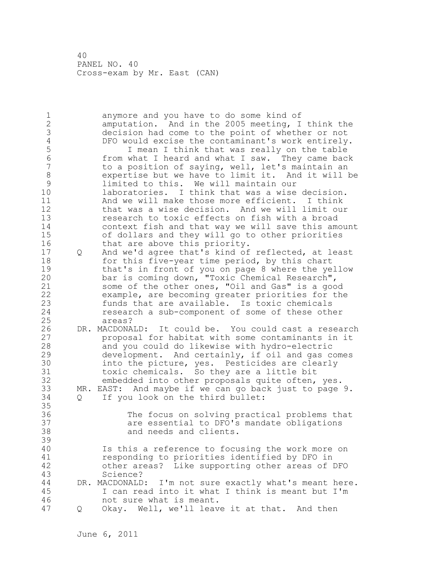1 anymore and you have to do some kind of<br>2 amputation. And in the 2005 meeting, I 2 amputation. And in the 2005 meeting, I think the 3 decision had come to the point of whether or not<br>4 DFO would excise the contaminant's work entirely 4 DFO would excise the contaminant's work entirely.<br>5 T mean I think that was really on the table 5 I mean I think that was really on the table<br>6 from what I heard and what I saw. They came bac 6 from what I heard and what I saw. They came back 7 to a position of saying, well, let's maintain an<br>8 expertise but we have to limit it. And it will I 8 expertise but we have to limit it. And it will be<br>9 limited to this. We will maintain our 9 1imited to this. We will maintain our<br>10 1aboratories. I think that was a wise 10 laboratories. I think that was a wise decision.<br>11 and we will make those more efficient. I think 11 and we will make those more efficient. I think<br>12 that was a wise decision. And we will limit our 12 that was a wise decision. And we will limit our<br>13 sesearch to toxic effects on fish with a broad 13 13 research to toxic effects on fish with a broad<br>14 context fish and that way we will save this ame 14 context fish and that way we will save this amount<br>15 6 of dollars and they will go to other priorities 15 of dollars and they will go to other priorities<br>16 bhat are above this priority. 16 that are above this priority.<br>17 0 And we'd agree that's kind of 17 Q And we'd agree that's kind of reflected, at least<br>18 for this five-vear time period, by this chart 18 for this five-year time period, by this chart<br>19 that's in front of you on page 8 where the ye 19 that's in front of you on page 8 where the yellow<br>20 bar is coming down, "Toxic Chemical Research", 20 bar is coming down, "Toxic Chemical Research",<br>21 some of the other ones, "Oil and Gas" is a goo 21 some of the other ones, "Oil and Gas" is a good<br>22 example, are becoming greater priorities for th 22 example, are becoming greater priorities for the<br>23 funds that are available. Is toxic chemicals 23 funds that are available. Is toxic chemicals<br>24 fesearch a sub-component of some of these oth 24 research a sub-component of some of these other 25 areas?<br>26 DR. MACDONA 26 DR. MACDONALD: It could be. You could cast a research<br>27 broposal for habitat with some contaminants in it 27 **proposal for habitat with some contaminants in it**<br>28 and you could do likewise with hydro-electric 28 and you could do likewise with hydro-electric<br>29 development. And certainly, if oil and gas c 29 development. And certainly, if oil and gas comes<br>30 into the picture, ves. Pesticides are clearly 30 into the picture, yes. Pesticides are clearly<br>31 toxic chemicals. So they are a little bit 31 toxic chemicals. So they are a little bit<br>32 embedded into other proposals quite often. 32 embedded into other proposals quite often, yes.<br>33 MR. EAST: And maybe if we can go back just to page 33 MR. EAST: And maybe if we can go back just to page 9. If you look on the third bullet: 35<br>36 36 The focus on solving practical problems that<br>37 The essential to DFO's mandate obligations 37 are essential to DFO's mandate obligations<br>38 and needs and clients. and needs and clients. 39 40 Is this a reference to focusing the work more on<br>41 Tesponding to priorities identified by DFO in 41 responding to priorities identified by DFO in<br>42 other areas? Like supporting other areas of 42 other areas? Like supporting other areas of DFO Science? 44 DR. MACDONALD: I'm not sure exactly what's meant here.<br>45 1 can read into it what I think is meant but I'm I can read into it what I think is meant but I'm 46 mot sure what is meant.<br>47 0 Okay. Well, we'll leav Q Okay. Well, we'll leave it at that. And then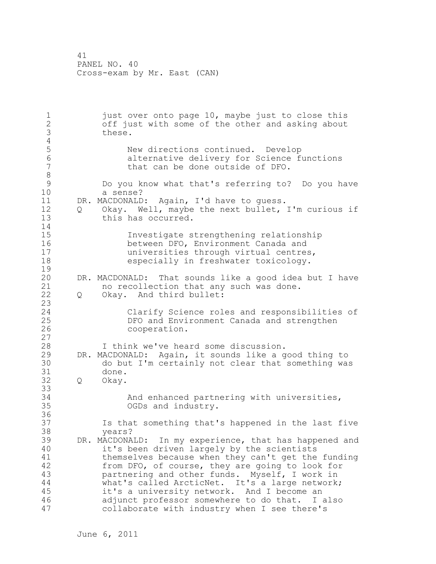1 just over onto page 10, maybe just to close this<br>2 off just with some of the other and asking about 2 off just with some of the other and asking about these.  $\frac{4}{5}$ 5 1 New directions continued. Develop<br>6 1 alternative delivery for Science f 6 alternative delivery for Science functions<br>7 bhat can be done outside of DFO. that can be done outside of DFO. 8<br>9 9 Do you know what that's referring to? Do you have 10 a sense?<br>11 DR. MACDONALD 11 DR. MACDONALD: Again, I'd have to guess.<br>12 0 Okay, Well, maybe the next bullet. 12 Q Okay. Well, maybe the next bullet, I'm curious if<br>13 this has occurred. this has occurred.  $\frac{14}{15}$ 15 Investigate strengthening relationship<br>16 between DFO, Environment Canada and 16 between DFO, Environment Canada and<br>17 miversities through virtual centres 17 **17** universities through virtual centres,<br>18 especially in freshwater toxicology. especially in freshwater toxicology.  $\frac{19}{20}$ 20 DR. MACDONALD: That sounds like a good idea but I have<br>21 on recollection that any such was done. 21 and recollection that any such was done.<br>22 0 Okav. And third bullet: Q Okay. And third bullet:  $\frac{23}{24}$ 24 Clarify Science roles and responsibilities of 25 DFO and Environment Canada and strengthen<br>26 cooperation. cooperation.  $\begin{array}{c} 27 \\ 28 \end{array}$ 28 1 think we've heard some discussion.<br>29 DR. MACDONALD: Again, it sounds like a g 29 DR. MACDONALD: Again, it sounds like a good thing to 30 do but I'm certainly not clear that something was 31 done.<br>32 0 Okav. Q Okay. 33<br>34 34 And enhanced partnering with universities,<br>35 OGDs and industry. OGDs and industry. 36<br>37 37 Is that something that's happened in the last five 38 years?<br>39 DR. MACDONA 39 DR. MACDONALD: In my experience, that has happened and it's been driven largely by the scientists 40 it's been driven largely by the scientists<br>41 themselves because when they can't get the 41 themselves because when they can't get the funding<br>42 from DFO, of course, they are going to look for 42 from DFO, of course, they are going to look for<br>43 partnering and other funds. Myself, I work in partnering and other funds. Myself, I work in 44 what's called ArcticNet. It's a large network;<br>45 it's a university network. And I become an it's a university network. And I become an 46 adjunct professor somewhere to do that. I also<br>47 collaborate with industry when I see there's collaborate with industry when I see there's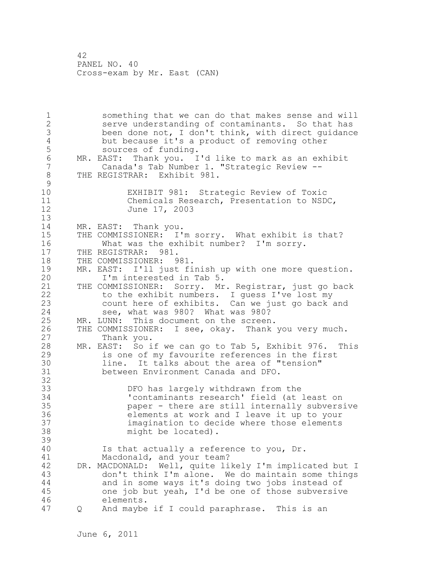1 something that we can do that makes sense and will<br>2 serve understanding of contaminants. So that has 2 serve understanding of contaminants. So that has<br>3 been done not, I don't think, with direct quidance 3 been done not, I don't think, with direct guidance 4 but because it's a product of removing other<br>5 sources of funding. 5 sources of funding.<br>6 MR. EAST: Thank you. I 6 MR. EAST: Thank you. I'd like to mark as an exhibit 7 Canada's Tab Number 1. "Strategic Review -- THE REGISTRAR: Exhibit 981.  $\begin{smallmatrix} 9 \\ 10 \end{smallmatrix}$ 10 EXHIBIT 981: Strategic Review of Toxic 11 Chemicals Research, Presentation to NSDC,<br>12 June 17, 2003 June 17, 2003 13<br>14 14 MR. EAST: Thank you.<br>15 THE COMMISSIONER: I' 15 THE COMMISSIONER: I'm sorry. What exhibit is that?<br>16 What was the exhibit number? I'm sorry. 16 What was the exhibit number? I'm sorry.<br>17 THE REGISTRAR: 981. 17 THE REGISTRAR: 981.<br>18 THE COMMISSIONER: 9 18 THE COMMISSIONER: 981.<br>19 MR. EAST: I'll just fi 19 MR. EAST: I'll just finish up with one more question.<br>20 I'm interested in Tab 5. 20 I'm interested in Tab 5.<br>21 THE COMMISSIONER: Sorry. Mr 21 THE COMMISSIONER: Sorry. Mr. Registrar, just go back<br>22 to the exhibit numbers. I quess I've lost mv 22 to the exhibit numbers. I guess I've lost my<br>23 count here of exhibits. Can we just go back 23 count here of exhibits. Can we just go back and<br>24 see, what was 980? What was 980? 24 see, what was 980? What was 980?<br>25 MR. LUNN: This document on the screen 25 MR. LUNN: This document on the screen.<br>26 THE COMMISSIONER: I see, okav. Thank 26 THE COMMISSIONER: I see, okay. Thank you very much.<br>27 Thank you. 27 Thank you. 28 MR. EAST: So if we can go to Tab 5, Exhibit 976. This<br>29 is one of my favourite references in the first 29 is one of my favourite references in the first<br>30 1ine. It talks about the area of "tension" 30 1ine. It talks about the area of "tension"<br>31 between Environment Canada and DFO. between Environment Canada and DFO. 32<br>33 33 DFO has largely withdrawn from the 34 'contaminants research' field (at least on 35 paper - there are still internally subversive 36 elements at work and I leave it up to your 37 imagination to decide where those elements<br>38 might be located). might be located). 39 40 Is that actually a reference to you, Dr.<br>41 Macdonald, and your team? 41 Macdonald, and your team?<br>42 DR. MACDONALD: Well, quite li 42 DR. MACDONALD: Well, quite likely I'm implicated but I<br>43 don't think I'm alone. We do maintain some things 43 don't think I'm alone. We do maintain some things<br>44 and in some ways it's doing two jobs instead of 44 and in some ways it's doing two jobs instead of<br>45 one job but yeah, I'd be one of those subversive one job but yeah, I'd be one of those subversive 46 elements.<br>47 Q And maybe Q And maybe if I could paraphrase. This is an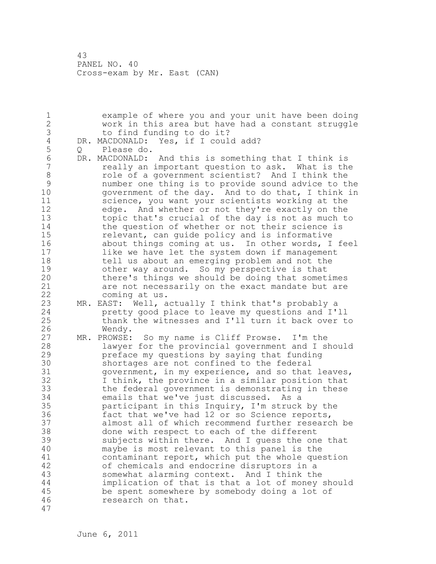1 example of where you and your unit have been doing<br>2 work in this area but have had a constant struggle 2 work in this area but have had a constant struggle 3 to find funding to do it?<br>4 DR. MACDONALD: Yes, if I coul 4 DR. MACDONALD: Yes, if I could add?<br>5 0 Please do. 5 Q Please do.<br>6 DR. MACDONALD: 6 DR. MACDONALD: And this is something that I think is 7 **19 The Manual Munistion Corpor** 1 really an important question to ask. What is the 18 read 1 read 1 read 1 read 1 read 1 read 1 read 1 read 1 read 1 read 1 read 1 read 1 read 1 read 1 read 1 read 1 read 1 read 1 read 1 8 role of a government scientist? And I think the<br>9 mumber one thing is to provide sound advice to t 9 number one thing is to provide sound advice to the 10 government of the day. And to do that, I think in<br>11 science, you want your scientists working at the 11 science, you want your scientists working at the<br>12 edge. And whether or not thev're exactly on the 12 edge. And whether or not they're exactly on the<br>13 topic that's crucial of the dav is not as much to 13 topic that's crucial of the day is not as much to<br>14 the question of whether or not their science is 14 the question of whether or not their science is<br>15 felevant, can quide policy and is informative 15 relevant, can guide policy and is informative<br>16 about things coming at us. In other words, I 16 about things coming at us. In other words, I feel 17 like we have let the system down if management<br>18 fell us about an emerging problem and not the 18 tell us about an emerging problem and not the<br>19 fother way around. So my perspective is that 19 other way around. So my perspective is that<br>20 there's things we should be doing that somet 20 there's things we should be doing that sometimes<br>21 are not necessarily on the exact mandate but are 21 are not necessarily on the exact mandate but are<br>22 coming at us. 22 coming at us.<br>23 MR. EAST: Well, a 23 MR. EAST: Well, actually I think that's probably a<br>24 The pretty good place to leave my questions and I' 24 pretty good place to leave my questions and I'll 25 thank the witnesses and I'll turn it back over to<br>26 Wendy. 26 Wendy.<br>27 MR. PROWSE: 27 MR. PROWSE: So my name is Cliff Prowse. I'm the<br>28 1awver for the provincial government and I sl 28 1 lawyer for the provincial government and I should<br>29 1 preface my questions by saving that funding 29 preface my questions by saying that funding 30 shortages are not confined to the federal<br>31 overnment, in my experience, and so that 31 government, in my experience, and so that leaves,<br>32 I think, the province in a similar position that 32 I think, the province in a similar position that<br>33 The federal government is demonstrating in these 33 the federal government is demonstrating in these<br>34 emails that we've just discussed. As a 34 emails that we've just discussed. As a<br>35 participant in this Inquiry, I'm struck 35 participant in this Inquiry, I'm struck by the 36 fact that we've had 12 or so Science reports,<br>37 almost all of which recommend further researd 37 almost all of which recommend further research be 38 done with respect to each of the different<br>39 subjects within there. And I quess the on 39 subjects within there. And I guess the one that<br>40 maybe is most relevant to this panel is the 40 maybe is most relevant to this panel is the<br>41 contaminant report, which put the whole que 41 contaminant report, which put the whole question<br>42 of chemicals and endocrine disruptors in a 42 of chemicals and endocrine disruptors in a<br>43 somewhat alarming context. And I think the somewhat alarming context. And I think the 44 implication of that is that a lot of money should be spent somewhere by somebody doing a lot of 46 research on that. 47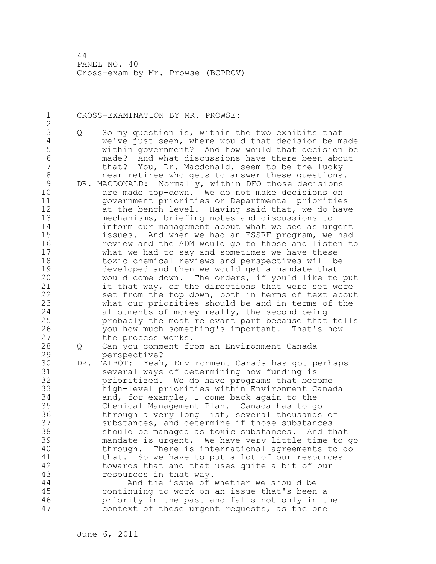44 PANEL NO. 40 Cross-exam by Mr. Prowse (BCPROV)

1 CROSS-EXAMINATION BY MR. PROWSE:  $\frac{2}{3}$ 3 Q So my question is, within the two exhibits that<br>4 We've just seen, where would that decision be m 4 we've just seen, where would that decision be made<br>5 within government? And how would that decision be 5 within government? And how would that decision be 6 made? And what discussions have there been about 7 that? You, Dr. Macdonald, seem to be the lucky<br>8 hear retiree who gets to answer these questions 8 mear retiree who gets to answer these questions.<br>9 DR. MACDONALD: Normally, within DFO those decisions 9 DR. MACDONALD: Normally, within DFO those decisions<br>10 are made top-down. We do not make decisions on 10 are made top-down. We do not make decisions on<br>11 oovernment priorities or Departmental prioritie: 11 government priorities or Departmental priorities 12 at the bench level. Having said that, we do have<br>13 mechanisms, briefing notes and discussions to 13 mechanisms, briefing notes and discussions to 14 inform our management about what we see as urgent<br>15 issues. And when we had an ESSRF program, we had 15 issues. And when we had an ESSRF program, we had<br>16 feview and the ADM would go to those and listen to 16 10 review and the ADM would go to those and listen to<br>17 what we had to sav and sometimes we have these 17 what we had to say and sometimes we have these<br>18 toxic chemical reviews and perspectives will be 18 toxic chemical reviews and perspectives will be<br>19 developed and then we would get a mandate that 19 developed and then we would get a mandate that<br>20 would come down. The orders, if you'd like to 20 would come down. The orders, if you'd like to put<br>21 it that way, or the directions that were set were 21 it that way, or the directions that were set were<br>22 set from the top down, both in terms of text about 22 set from the top down, both in terms of text about<br>23 what our priorities should be and in terms of the 23 what our priorities should be and in terms of the<br>24 allotments of monev really, the second being 24 allotments of money really, the second being 25 brobably the most relevant part because that tells<br>26 bou how much something's important. That's how 26 you how much something's important. That's how<br>27 the process works. 27 the process works.<br>28 0 Can you comment fr 28 Q Can you comment from an Environment Canada 29 perspective?<br>30 DR. TALBOT: Yeah 30 DR. TALBOT: Yeah, Environment Canada has got perhaps 31 several ways of determining how funding is<br>32 brioritized. We do have programs that become 32 prioritized. We do have programs that become 33 high-level priorities within Environment Canada 34 and, for example, I come back again to the<br>35 Chemical Management Plan. Canada has to go 35 Chemical Management Plan. Canada has to go 36 through a very long list, several thousands of<br>37 substances, and determine if those substances 37 substances, and determine if those substances<br>38 should be managed as toxic substances. And t 38 should be managed as toxic substances. And that<br>39 mandate is urgent. We have very little time to 39 mandate is urgent. We have very little time to go 40 through. There is international agreements to do<br>41 that. So we have to put a lot of our resources 41 that. So we have to put a lot of our resources<br>42 towards that and that uses quite a bit of our 42 towards that and that uses quite a bit of our<br>43 sessurces in that way. 43 **resources in that way.**<br>44 **And the issue of** 44 And the issue of whether we should be<br>45 Continuing to work on an issue that's been continuing to work on an issue that's been a 46 priority in the past and falls not only in the context of these urgent requests, as the one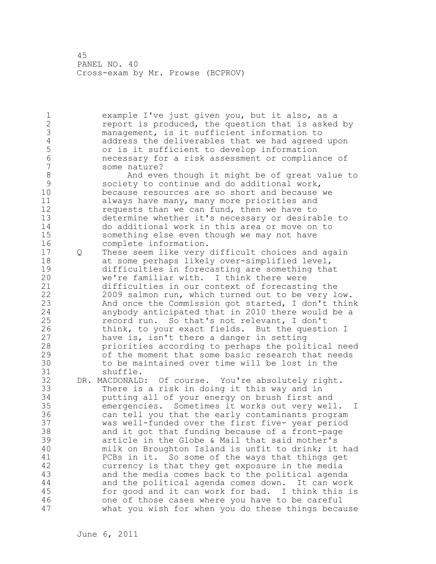45 PANEL NO. 40 Cross-exam by Mr. Prowse (BCPROV)

1 example I've just given you, but it also, as a<br>2 ereport is produced, the question that is asked 2 report is produced, the question that is asked by<br>3 management, is it sufficient information to 3 management, is it sufficient information to 4 address the deliverables that we had agreed upon<br>5 or is it sufficient to develop information 5 or is it sufficient to develop information 6 necessary for a risk assessment or compliance of 7 some nature?<br>8 And ever 8 And even though it might be of great value to<br>9 society to continue and do additional work, 9 society to continue and do additional work, 10 because resources are so short and because we<br>11 always haye many, many more priorities and 11 always have many, many more priorities and<br>12 Tequests than we can fund, then we have to 12 12 requests than we can fund, then we have to<br>13 determine whether it's necessary or desiral 13 determine whether it's necessary or desirable to 14 do additional work in this area or move on to 15 something else even though we may not have<br>16 complete information. 16 complete information.<br>17 0 These seem like verv 17 Q These seem like very difficult choices and again<br>18 at some perhaps likely over-simplified level, 18 at some perhaps likely over-simplified level,<br>19 difficulties in forecasting are something tha 19 difficulties in forecasting are something that<br>20 we're familiar with. I think there were 20 we're familiar with. I think there were<br>21 difficulties in our context of forecasti 21 difficulties in our context of forecasting the<br>22 2009 salmon run, which turned out to be very 1 22 2009 salmon run, which turned out to be very low.<br>23 23 And once the Commission got started, I don't thin And once the Commission got started, I don't think 24 anybody anticipated that in 2010 there would be a 25 record run. So that's not relevant, I don't<br>26 think, to your exact fields. But the questi 26 think, to your exact fields. But the question I<br>27 have is, isn't there a danger in setting 27 have is, isn't there a danger in setting<br>28 haviorities according to perhaps the poli 28 **19 priorities according to perhaps the political need**<br>29 **19 of the moment that some basic research that needs** 29 65 of the moment that some basic research that needs<br>20 6 to be maintained over time will be lost in the 30 to be maintained over time will be lost in the 31 shuffle.<br>32 DR. MACDONALD 32 DR. MACDONALD: Of course. You're absolutely right. 33 There is a risk in doing it this way and in 34 putting all of your energy on brush first and 35 emergencies. Sometimes it works out very well. I 36 can tell you that the early contaminants program 37 was well-funded over the first five- year period 38 and it got that funding because of a front-page<br>39 article in the Globe & Mail that said mother's 39 39 article in the Globe & Mail that said mother's<br>40 milk on Broughton Island is unfit to drink; it 40 milk on Broughton Island is unfit to drink; it had 41 PCBs in it. So some of the ways that things get<br>42 currency is that they get exposure in the media 42 currency is that they get exposure in the media<br>43 and the media comes back to the political agend and the media comes back to the political agenda 44 and the political agenda comes down. It can work<br>45 for good and it can work for bad. I think this is for good and it can work for bad. I think this is 46 one of those cases where you have to be careful<br>47 what you wish for when you do these things beca what you wish for when you do these things because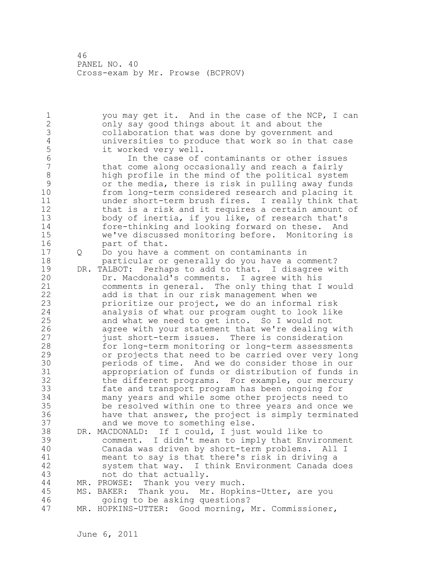46 PANEL NO. 40 Cross-exam by Mr. Prowse (BCPROV)

1 you may get it. And in the case of the NCP, I can<br>2 only say good things about it and about the 2 only say good things about it and about the<br>3 collaboration that was done by government a 3 collaboration that was done by government and 4 universities to produce that work so in that case 5 it worked very well.<br>6 1n the case of 6 In the case of contaminants or other issues 7 that come along occasionally and reach a fairly 8 high profile in the mind of the political system<br>9 0 or the media, there is risk in pulling away fund 9 or the media, there is risk in pulling away funds 10 from long-term considered research and placing it 11 12 under short-term brush fires. I really think that<br>12 that is a risk and it requires a certain amount of 12 that is a risk and it requires a certain amount of<br>13 body of inertia, if you like, of research that's 13 body of inertia, if you like, of research that's<br>14 fore-thinking and looking forward on these. And 14 fore-thinking and looking forward on these. And<br>15 we've discussed monitoring before. Monitoring i 15 we've discussed monitoring before. Monitoring is<br>16 mart of that. 16 part of that.<br>17 0 Do vou have a 17 Q Do you have a comment on contaminants in<br>18 **Departicular or generally do you have a co** 18 **particular or generally do you have a comment?**<br>19 DR. TALBOT: Perhaps to add to that. I disagree wi 19 DR. TALBOT: Perhaps to add to that. I disagree with<br>20 Dr. Macdonald's comments. I agree with his 20 Dr. Macdonald's comments. I agree with his<br>21 comments in general. The only thing that I 21 comments in general. The only thing that I would<br>22 add is that in our risk management when we 22 add is that in our risk management when we<br>23 herioritize our project, we do an informal p prioritize our project, we do an informal risk 24 analysis of what our program ought to look like<br>25 and what we need to get into. So I would not 25 and what we need to get into. So I would not<br>26 agree with your statement that we're dealing 26 agree with your statement that we're dealing with<br>27 fust short-term issues. There is consideration 27 3 iust short-term issues. There is consideration<br>28 5 1 for long-term monitoring or long-term assessment 28 for long-term monitoring or long-term assessments<br>29 or projects that need to be carried over yerv long 29 or projects that need to be carried over very long 30 periods of time. And we do consider those in our 31 appropriation of funds or distribution of funds in<br>32 the different programs. For example, our mercury 32 the different programs. For example, our mercury<br>33 fate and transport program has been ongoing for 33 fate and transport program has been ongoing for 34 many years and while some other projects need to 35 be resolved within one to three years and once we<br>36 have that answer, the project is simply terminate 36 have that answer, the project is simply terminated<br>37 and we move to something else. 37 and we move to something else.<br>38 DR. MACDONALD: If I could, I just 38 DR. MACDONALD: If I could, I just would like to<br>39 comment. I didn't mean to imply that Envire 39 comment. I didn't mean to imply that Environment 40 Canada was driven by short-term problems. All I 41 meant to say is that there's risk in driving a<br>42 system that way. I think Environment Canada do 42 system that way. I think Environment Canada does<br>43 hot do that actually. not do that actually. 44 MR. PROWSE: Thank you very much.<br>45 MS. BAKER: Thank you. Mr. Hopki MS. BAKER: Thank you. Mr. Hopkins-Utter, are you 46 going to be asking questions?<br>47 MR. HOPKINS-UTTER: Good morning, 3 MR. HOPKINS-UTTER: Good morning, Mr. Commissioner,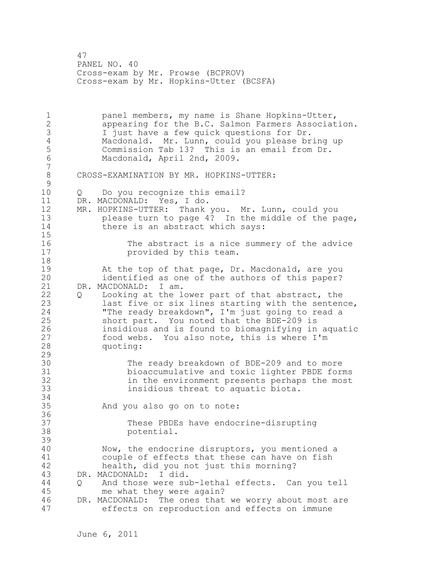47 PANEL NO. 40 Cross-exam by Mr. Prowse (BCPROV) Cross-exam by Mr. Hopkins-Utter (BCSFA)

1 panel members, my name is Shane Hopkins-Utter,<br>2 appearing for the B.C. Salmon Farmers Associat 2 appearing for the B.C. Salmon Farmers Association.<br>3 1 just have a few quick questions for Dr. 3 I just have a few quick questions for Dr.<br>4 Macdonald. Mr. Lunn, could you please br 4 Macdonald. Mr. Lunn, could you please bring up<br>5 Commission Tab 13? This is an email from Dr. 5 Commission Tab 13? This is an email from Dr.<br>6 Macdonald, April 2nd, 2009. Macdonald, April 2nd, 2009.  $\begin{array}{c} 7 \\ 8 \end{array}$ 8 CROSS-EXAMINATION BY MR. HOPKINS-UTTER:  $\begin{smallmatrix} 9 \\ 10 \end{smallmatrix}$ 10 Q Do you recognize this email?<br>11 DR. MACDONALD: Yes, I do. 11 DR. MACDONALD: Yes, I do.<br>12 MR. HOPKINS-UTTER: Thank 12 MR. HOPKINS-UTTER: Thank you. Mr. Lunn, could you<br>13 blease turn to page 4? In the middle of the pa 13 blease turn to page 4? In the middle of the page,<br>14 there is an abstract which savs: there is an abstract which says:  $\frac{15}{16}$ 16 The abstract is a nice summery of the advice<br>17 The abstract is a nice summery of the advice provided by this team. 18<br>19 19 19 At the top of that page, Dr. Macdonald, are you<br>20 1dentified as one of the authors of this paper? 20 identified as one of the authors of this paper?<br>21 DR. MACDONALD: I am. 21 DR. MACDONALD:<br>22 0 Looking at 22 Q Looking at the lower part of that abstract, the<br>23 last five or six lines starting with the senten last five or six lines starting with the sentence, 24 "The ready breakdown", I'm just going to read a<br>25 short part. You noted that the BDE-209 is 25 short part. You noted that the BDE-209 is<br>26 insidious and is found to biomagnifying in 26 insidious and is found to biomagnifying in aquatic<br>27 food webs. You also note, this is where I'm 27 food webs. You also note, this is where I'm<br>28 duoting: quoting:  $\frac{29}{30}$ 30 The ready breakdown of BDE-209 and to more<br>31 bioaccumulative and toxic lighter PBDE for 31 bioaccumulative and toxic lighter PBDE forms<br>32 in the environment presents perhaps the most 32 in the environment presents perhaps the most<br>33 insidious threat to aquatic biota. insidious threat to aquatic biota. 34<br>35 And you also go on to note: 36<br>37 37 These PBDEs have endocrine-disrupting<br>38 potential. potential. 39 40 Now, the endocrine disruptors, you mentioned a<br>41 couple of effects that these can have on fish 41 couple of effects that these can have on fish<br>42 health, did you not just this morning? 42 health, did you not just this morning?<br>43 DR. MACDONALD: I did. DR. MACDONALD: 44 Q And those were sub-lethal effects. Can you tell me what they were again? 46 DR. MACDONALD: The ones that we worry about most are<br>47 effects on reproduction and effects on immune effects on reproduction and effects on immune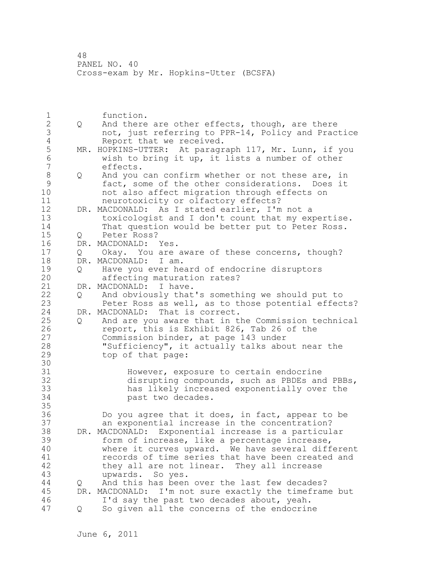48 PANEL NO. 40 Cross-exam by Mr. Hopkins-Utter (BCSFA)

1 function.<br>2 0 And there 2 Q And there are other effects, though, are there<br>3 anot, just referring to PPR-14, Policy and Prac 3 not, just referring to PPR-14, Policy and Practice<br>4 Report that we received. 4 Report that we received.<br>5 MR. HOPKINS-UTTER: At paragr 5 MR. HOPKINS-UTTER: At paragraph 117, Mr. Lunn, if you<br>6 wish to bring it up, it lists a number of other 6 wish to bring it up, it lists a number of other 7 effects.<br>8 O And vou 8 Q And you can confirm whether or not these are, in<br>9 fact, some of the other considerations. Does it 9 fact, some of the other considerations. Does it 10 hot also affect migration through effects on<br>11 heurotoxicity or olfactory effects? 11 meurotoxicity or olfactory effects?<br>12 DR. MACDONALD: As I stated earlier, I'm 12 DR. MACDONALD: As I stated earlier, I'm not a<br>13 toxicologist and I don't count that my ex-13 toxicologist and I don't count that my expertise.<br>14 That question would be better put to Peter Ross. 14 That question would be better put to Peter Ross.<br>15 0 Peter Ross? 15 Q Peter Ross?<br>16 DR. MACDONALD: 16 DR. MACDONALD: Yes.<br>17 0 Okav. You are. 17 Q Okay. You are aware of these concerns, though?<br>18 DR. MACDONALD: I am. 18 DR. MACDONALD: I am.<br>19 0 Have you ever he 19 Q Have you ever heard of endocrine disruptors<br>20 affecting maturation rates? 20 affecting maturation rates?<br>21 DR. MACDONALD: I have. 21 DR. MACDONALD: I have.<br>22 0 And obviously that 22 Q And obviously that's something we should put to<br>23 Deter Ross as well, as to those potential effec Peter Ross as well, as to those potential effects? 24 DR. MACDONALD: That is correct.<br>25 0 And are you aware that in t 25 Q And are you aware that in the Commission technical<br>26 Teport, this is Exhibit 826, Tab 26 of the 26 report, this is Exhibit 826, Tab 26 of the<br>27 Commission binder, at page 143 under 27 Commission binder, at page 143 under<br>28 TSufficiency", it actually talks abo 28 "Sufficiency", it actually talks about near the<br>29 top of that page: top of that page: 30<br>31 31 However, exposure to certain endocrine<br>32 disrupting compounds, such as PBDEs and 32 disrupting compounds, such as PBDEs and PBBs, 33 has likely increased exponentially over the past two decades. 35<br>36 36 Do you agree that it does, in fact, appear to be 37 an exponential increase in the concentration?<br>38 DR. MACDONALD: Exponential increase is a particul 38 DR. MACDONALD: Exponential increase is a particular<br>39 form of increase, like a percentage increase, 39 form of increase, like a percentage increase,<br>40 where it curves upward. We have several diff 40 where it curves upward. We have several different<br>41 records of time series that have been created and 41 records of time series that have been created and<br>42 they all are not linear. They all increase 42 they all are not linear. They all increase<br>43 upwards. So yes. upwards. So yes. 44 Q and this has been over the last few decades?<br>45 DR. MACDONALD: I'm not sure exactly the timefram DR. MACDONALD: I'm not sure exactly the timeframe but 46 I'd say the past two decades about, yeah. 47 Q So given all the concerns of the endocrine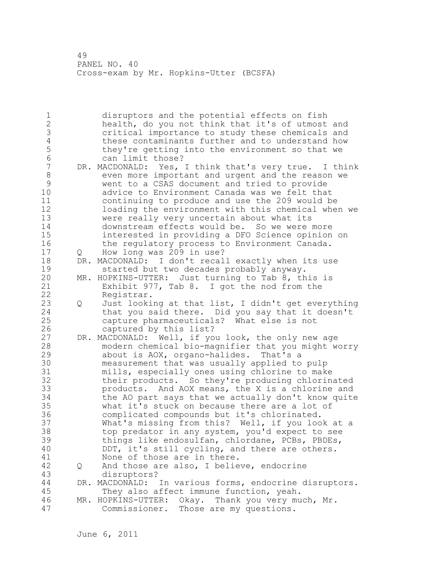49 PANEL NO. 40 Cross-exam by Mr. Hopkins-Utter (BCSFA)

1 disruptors and the potential effects on fish<br>2 health, do you not think that it's of utmost 2 health, do you not think that it's of utmost and 3 critical importance to study these chemicals and 4 these contaminants further and to understand how<br>5 they're getting into the environment so that we 5 they're getting into the environment so that we<br>6 can limit those? 6 can limit those?<br>7 DR. MACDONALD: Yes, 7 DR. MACDONALD: Yes, I think that's very true. I think<br>8 even more important and urgent and the reason we 8 even more important and urgent and the reason we<br>9 went to a CSAS document and tried to provide 9 went to a CSAS document and tried to provide 10 advice to Environment Canada was we felt that<br>11 continuing to produce and use the 209 would b 11 continuing to produce and use the 209 would be 12 loading the environment with this chemical when we<br>13 were really yery uncertain about what its 13 were really very uncertain about what its<br>14 downstream effects would be. So we were p 14 downstream effects would be. So we were more<br>15 interested in providing a DFO Science opinion 15 interested in providing a DFO Science opinion on<br>16 the requlatory process to Environment Canada. 16 the regulatory process to Environment Canada.<br>17 0 How long was 209 in use? 17 Q How long was 209 in use?<br>18 DR. MACDONALD: I don't recall 18 DR. MACDONALD: I don't recall exactly when its use<br>19 started but two decades probably anyway. 19 started but two decades probably anyway.<br>20 MR. HOPKINS-UTTER: Just turning to Tab 8, th 20 MR. HOPKINS-UTTER: Just turning to Tab 8, this is<br>21 Tab 877, Tab 8. I got the nod from the 21 Exhibit 977, Tab 8. I got the nod from the 22 22 Registrar. 23 Q Just looking at that list, I didn't get everything 24 that you said there. Did you say that it doesn't<br>25 capture pharmaceuticals? What else is not 25 capture pharmaceuticals? What else is not 26 captured by this list?<br>27 DR. MACDONALD: Well, if yo 27 DR. MACDONALD: Well, if you look, the only new age 28 modern chemical bio-magnifier that you might worry<br>29 about is AOX, organo-halides. That's a 29 about is AOX, organo-halides.<br>30 measurement that was usually a 30 measurement that was usually applied to pulp<br>31 mills, especially ones using chlorine to make 31 mills, especially ones using chlorine to make<br>32 their products. So they're producing chlorin 32 their products. So they're producing chlorinated<br>33 broducts. And AOX means, the X is a chlorine and 33 products. And AOX means, the X is a chlorine and 34 the AO part says that we actually don't know quite<br>35 what it's stuck on because there are a lot of 35 what it's stuck on because there are a lot of<br>36 complicated compounds but it's chlorinated. 36 complicated compounds but it's chlorinated.<br>37 What's missing from this? Well, if you loo 37 What's missing from this? Well, if you look at a<br>38 top predator in any system, you'd expect to see 38 top predator in any system, you'd expect to see<br>39 things like endosulfan, chlordane, PCBs, PBDEs, 39 things like endosulfan, chlordane, PCBs, PBDEs,<br>30 DDT, it's still cycling, and there are others. 40 DDT, it's still cycling, and there are others.<br>41 Mone of those are in there. 41 None of those are in there.<br>42 O And those are also, I belie 42 Q And those are also, I believe, endocrine<br>43 disruptors? disruptors? 44 DR. MACDONALD: In various forms, endocrine disruptors.<br>45 They also affect immune function, veah. They also affect immune function, yeah. 46 MR. HOPKINS-UTTER: Okay. Thank you very much, Mr. Commissioner. Those are my questions.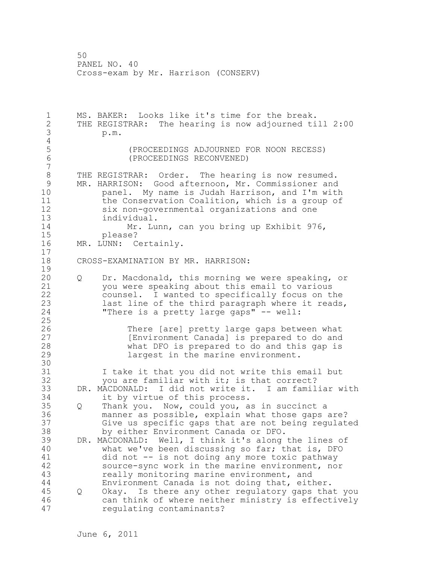1 MS. BAKER: Looks like it's time for the break.<br>2 THE REGISTRAR: The hearing is now adjourned ti 2 THE REGISTRAR: The hearing is now adjourned till 2:00<br>3 p.m. 3 p.m.  $\frac{4}{5}$ 5 (PROCEEDINGS ADJOURNED FOR NOON RECESS) 6 (PROCEEDINGS RECONVENED)  $\begin{array}{c} 7 \\ 8 \end{array}$ 8 THE REGISTRAR: Order. The hearing is now resumed.<br>9 MR. HARRISON: Good afternoon, Mr. Commissioner and 9 MR. HARRISON: Good afternoon, Mr. Commissioner and<br>10 **manel.** My name is Judah Harrison, and I'm with 10 10 panel. My name is Judah Harrison, and I'm with<br>11 the Conservation Coalition, which is a group of 11 the Conservation Coalition, which is a group of<br>12 six non-governmental organizations and one 12 six non-governmental organizations and one 13 individual.<br>14 Mr. Lu 14 Mr. Lunn, can you bring up Exhibit 976,<br>15 blease? 15 please?<br>16 MR. LUNN: C MR. LUNN: Certainly.  $\frac{17}{18}$ CROSS-EXAMINATION BY MR. HARRISON:  $\frac{19}{20}$ 20 Q Dr. Macdonald, this morning we were speaking, or 21 you were speaking about this email to various<br>22 counsel. I wanted to specifically focus on the 22 counsel. I wanted to specifically focus on the last line of the third paragraph where it reads, 24 "There is a pretty large gaps" -- well:  $\frac{25}{26}$ 26 There [are] pretty large gaps between what<br>27 [Environment Canada] is prepared to do and 27 [Environment Canada] is prepared to do and<br>28 The What DFO is prepared to do and this gap is 28 what DFO is prepared to do and this gap is<br>29 1argest in the marine environment. largest in the marine environment. 30<br>31 31 I take it that you did not write this email but<br>32 vou are familiar with it: is that correct? 32 you are familiar with it; is that correct?<br>33 DR. MACDONALD: I did not write it. I am famil 33 DR. MACDONALD: I did not write it. I am familiar with 34 it by virtue of this process.<br>35 0 Thank vou. Now, could you, a 35 Q Thank you. Now, could you, as in succinct a 36 manner as possible, explain what those gaps are?<br>37 Give us specific gaps that are not being regulat 37 Give us specific gaps that are not being regulated<br>38 by either Environment Canada or DFO. 38 by either Environment Canada or DFO.<br>39 DR. MACDONALD: Well, I think it's along 39 DR. MACDONALD: Well, I think it's along the lines of<br>40 what we've been discussing so far; that is, DFO 40 what we've been discussing so far; that is, DFO<br>41 did not -- is not doing any more toxic pathway 41 did not -- is not doing any more toxic pathway<br>42 source-sync work in the marine environment, no 42 source-sync work in the marine environment, nor<br>43 feally monitoring marine environment, and really monitoring marine environment, and 44 Environment Canada is not doing that, either. 45 Q Okay. Is there any other regulatory gaps that you 46 can think of where neither ministry is effectively regulating contaminants?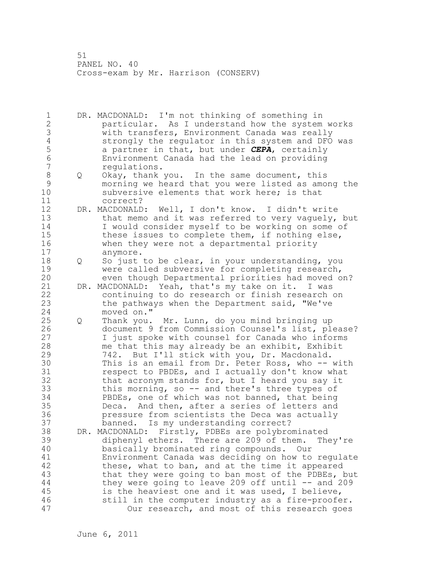1 DR. MACDONALD: I'm not thinking of something in 2 particular. As I understand how the system works 3 with transfers, Environment Canada was really 4 strongly the regulator in this system and DFO was<br>5 a partner in that, but under **CEPA**, certainly 5 a partner in that, but under *CEPA*, certainly 6 Environment Canada had the lead on providing 7 regulations. 8 Q Okay, thank you. In the same document, this<br>9 morning we heard that you were listed as amo. 9 morning we heard that you were listed as among the<br>10 subversive elements that work here; is that 10 subversive elements that work here; is that 11 11 correct?<br>12 DR. MACDONALD 12 DR. MACDONALD: Well, I don't know. I didn't write<br>13 that memo and it was referred to very vaguely, 13 that memo and it was referred to very vaguely, but<br>14 I would consider myself to be working on some of 14 I would consider myself to be working on some of<br>15 these issues to complete them, if nothing else, 15 these issues to complete them, if nothing else,<br>16 when they were not a departmental priority 16 when they were not a departmental priority<br>17 anvmore. 17 anymore.<br>18 O Soiust 18 Q So just to be clear, in your understanding, you<br>19 were called subversive for completing research, 19 were called subversive for completing research,<br>20 even though Departmental priorities had moved o 20 even though Departmental priorities had moved on?<br>21 DR. MACDONALD: Yeah, that's my take on it. I was 21 DR. MACDONALD: Yeah, that's my take on it. I was<br>22 continuing to do research or finish research 22 continuing to do research or finish research on<br>23 the pathways when the Department said, "We've the pathways when the Department said, "We've 24 moved on."<br>25 Q Thank you. 25 Q Thank you. Mr. Lunn, do you mind bringing up<br>26 document 9 from Commission Counsel's list, pl 26 document 9 from Commission Counsel's list, please?<br>27 1 just spoke with counsel for Canada who informs 27 1 Just spoke with counsel for Canada who informs<br>28 1 1 me that this may already be an exhibit, Exhibit 28 me that this may already be an exhibit, Exhibit<br>29 142. But I'll stick with you, Dr. Macdonald. 29 742. But I'll stick with you, Dr. Macdonald. 30 This is an email from Dr. Peter Ross, who -- with<br>31 Tespect to PBDEs, and I actually don't know what 31 respect to PBDEs, and I actually don't know what<br>32 that acronym stands for, but I heard you say it 32 that acronym stands for, but I heard you say it<br>33 this morning, so -- and there's three types of 33 this morning, so -- and there's three types of<br>34 PBDEs, one of which was not banned, that being 34 PBDEs, one of which was not banned, that being<br>35 Deca. And then, after a series of letters and 35 Deca. And then, after a series of letters and<br>36 The pressure from scientists the Deca was actually 36 pressure from scientists the Deca was actually 37 banned. Is my understanding correct?<br>38 DR. MACDONALD: Firstly, PDBEs are polybro: 38 DR. MACDONALD: Firstly, PDBEs are polybrominated 39 diphenyl ethers. There are 209 of them. They're<br>40 basically brominated ring compounds. Our 40 basically brominated ring compounds. Our 41 Environment Canada was deciding on how to regulate<br>42 these, what to ban, and at the time it appeared 42 these, what to ban, and at the time it appeared<br>43 that they were going to ban most of the PDBEs, 1 that they were going to ban most of the PDBEs, but 44 they were going to leave 209 off until -- and 209 is the heaviest one and it was used, I believe, 46 still in the computer industry as a fire-proofer.<br>47 Our research, and most of this research goes Our research, and most of this research goes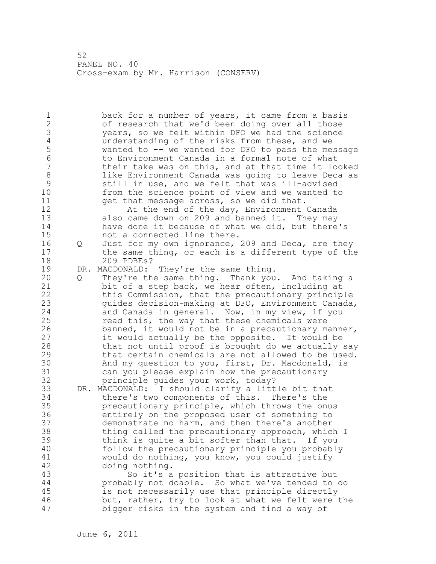1 back for a number of years, it came from a basis<br>2 of research that we'd been doing over all those 2 of research that we'd been doing over all those<br>3 vears, so we felt within DFO we had the science 3 years, so we felt within DFO we had the science<br>4 understanding of the risks from these, and we 4 understanding of the risks from these, and we<br>5 wanted to -- we wanted for DFO to pass the me 5 wanted to -- we wanted for DFO to pass the message 6 to Environment Canada in a formal note of what 7 Their take was on this, and at that time it looked<br>8 Thike Environment Canada was going to leave Deca as 8 like Environment Canada was going to leave Deca as<br>9 still in use, and we felt that was ill-advised 9 still in use, and we felt that was ill-advised 10 from the science point of view and we wanted to<br>11 oet that message across, so we did that. 11 get that message across, so we did that.<br>12 12 At the end of the dav. Environment 12 12 At the end of the day, Environment Canada<br>13 also came down on 209 and banned it. They may 13 also came down on 209 and banned it. They may<br>14 have done it because of what we did, but there 14 have done it because of what we did, but there's<br>15 hot a connected line there. 15 not a connected line there.<br>16 0 Just for my own ignorance, 16 Q Just for my own ignorance, 209 and Deca, are they<br>17 the same thing, or each is a different type of the 17 the same thing, or each is a different type of the<br>18 209 PDBEs? 18 209 PDBEs?<br>19 DR. MACDONALD: 19 DR. MACDONALD: They're the same thing.<br>20 0 They're the same thing. Thank you 20 Q They're the same thing. Thank you. And taking a<br>21 bit of a step back, we hear often, including at 21 bit of a step back, we hear often, including at<br>22 this Commission, that the precautionary princip 22 this Commission, that the precautionary principle<br>23 cuides decision-making at DFO, Environment Canada guides decision-making at DFO, Environment Canada, 24 and Canada in general. Now, in my view, if you<br>25 read this, the way that these chemicals were 25 read this, the way that these chemicals were<br>26 banned, it would not be in a precautionary m 26 banned, it would not be in a precautionary manner,<br>27 it would actually be the opposite. It would be 27 it would actually be the opposite. It would be<br>28 that not until proof is brought do we actually 28 that not until proof is brought do we actually say<br>29 that certain chemicals are not allowed to be used. 29 that certain chemicals are not allowed to be used.<br>20 That and my question to you, first, Dr. Macdonald, is 30 And my question to you, first, Dr. Macdonald, is<br>31 can you please explain how the precautionary 31 can you please explain how the precautionary<br>32 brinciple quides your work, today? principle guides your work, today? 33 DR. MACDONALD: I should clarify a little bit that 34 there's two components of this. There's the<br>35 brecautionary principle, which throws the on 35 brecautionary principle, which throws the onus<br>36 entirely on the proposed user of something to 36 entirely on the proposed user of something to<br>37 demonstrate no harm, and then there's another 37 demonstrate no harm, and then there's another<br>38 thing called the precautionary approach, which 38 thing called the precautionary approach, which I<br>39 think is quite a bit softer than that. If you think is quite a bit softer than that. If you 40 follow the precautionary principle you probably<br>41 would do nothing, you know, you could justify 41 would do nothing, you know, you could justify<br>42 doing nothing. 42 doing nothing.<br>43 So it's a So it's a position that is attractive but 44 probably not doable. So what we've tended to do is not necessarily use that principle directly 46 but, rather, try to look at what we felt were the<br>47 bigger risks in the system and find a way of bigger risks in the system and find a way of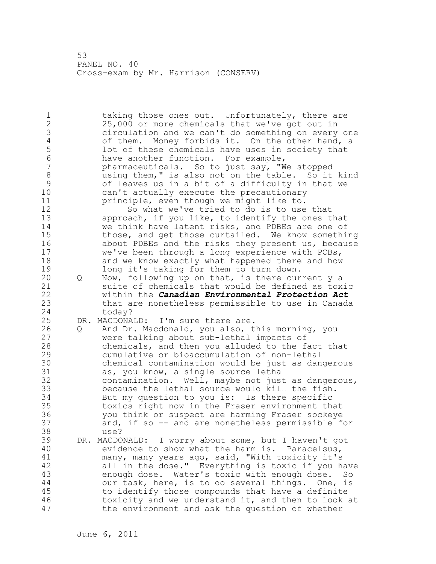1 taking those ones out. Unfortunately, there are<br>2 25,000 or more chemicals that we've got out in 2 25,000 or more chemicals that we've got out in<br>3 3 circulation and we can't do something on every 3 circulation and we can't do something on every one 4 of them. Money forbids it. On the other hand, a<br>5 10t of these chemicals have uses in society that 5 10t of these chemicals have uses in society that<br>6 3 have another function. For example, 6 have another function. For example, 7 pharmaceuticals. So to just say, "We stopped 8 using them," is also not on the table. So it kind<br>9 of leaves us in a bit of a difficulty in that we 9 of leaves us in a bit of a difficulty in that we 10 can't actually execute the precautionary<br>11 principle, even though we might like to. 11 **principle, even though we might like to.**<br>12 **black of the So what we've tried to do is to use** 12 So what we've tried to do is to use that<br>13 approach, if you like, to identify the ones t 13 approach, if you like, to identify the ones that<br>14 we think have latent risks, and PDBEs are one of 14 we think have latent risks, and PDBEs are one of<br>15 those, and get those curtailed. We know somethi 15 those, and get those curtailed. We know something<br>16 about PDBEs and the risks they present us, because 16 about PDBEs and the risks they present us, because<br>17 we've been through a long experience with PCBs, 17 we've been through a long experience with PCBs,<br>18 and we know exactly what happened there and how 18 and we know exactly what happened there and how<br>19 19 and it's taking for them to turn down. 19 10 long it's taking for them to turn down.<br>20 0 Now, following up on that, is there cur 20 Q Now, following up on that, is there currently a<br>21 suite of chemicals that would be defined as tox 21 suite of chemicals that would be defined as toxic<br>22 within the *Canadian Environmental Protection Act* 22 within the *Canadian Environmental Protection Act* that are nonetheless permissible to use in Canada 24 today?<br>25 DR. MACDONALD: 25 DR. MACDONALD: I'm sure there are.<br>26 0 And Dr. Macdonald, you also, t 26 Q And Dr. Macdonald, you also, this morning, you<br>27 were talking about sub-lethal impacts of 27 were talking about sub-lethal impacts of<br>28 chemicals, and then you alluded to the f 28 chemicals, and then you alluded to the fact that<br>29 cumulative or bioaccumulation of non-lethal 29 cumulative or bioaccumulation of non-lethal 30 chemical contamination would be just as dangerous 31 as, you know, a single source lethal<br>32 contamination. Well, maybe not just 32 contamination. Well, maybe not just as dangerous,<br>33 because the lethal source would kill the fish. 33 because the lethal source would kill the fish.<br>34 But my question to you is: Is there specific 34 But my question to you is: Is there specific<br>35 toxics right now in the Fraser environment th 35 toxics right now in the Fraser environment that 36 you think or suspect are harming Fraser sockeye 37 and, if so -- and are nonetheless permissible for<br>38 use? 38 use? I worry about some, but I haven't got 40 evidence to show what the harm is. Paracelsus,<br>41 many, many years ago, said, "With toxicity it's 41 many, many years ago, said, "With toxicity it's<br>42 all in the dose." Everything is toxic if you h 42 all in the dose." Everything is toxic if you have<br>43 enough dose. Water's toxic with enough dose. So enough dose. Water's toxic with enough dose. So 44 our task, here, is to do several things. One, is<br>45 to identify those compounds that have a definite to identify those compounds that have a definite 46 toxicity and we understand it, and then to look at<br>47 the environment and ask the question of whether the environment and ask the question of whether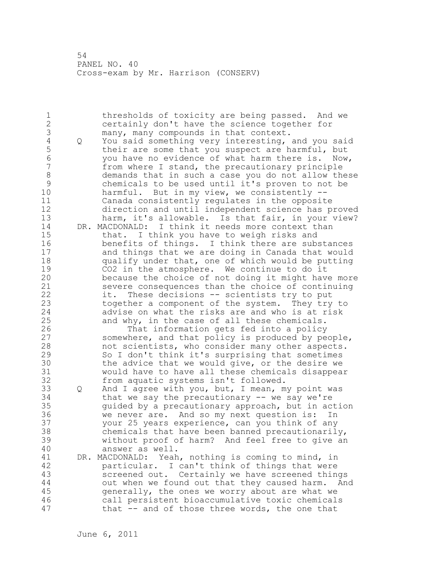1 thresholds of toxicity are being passed. And we<br>2 certainly don't have the science together for 2 certainly don't have the science together for<br>3 many, many compounds in that context. 3 many, many compounds in that context.<br>4 0 You said something very interesting, 4 Q You said something very interesting, and you said<br>5 their are some that you suspect are harmful, but 5 their are some that you suspect are harmful, but<br>6 (5) you have no evidence of what harm there is. Now 6 you have no evidence of what harm there is. Now, 7 from where I stand, the precautionary principle<br>8 demands that in such a case you do not allow th 8 8 demands that in such a case you do not allow these<br>9 chemicals to be used until it's proven to not be 9 chemicals to be used until it's proven to not be<br>10 harmful. But in my view, we consistently --10 harmful. But in my view, we consistently --<br>11 Canada consistently regulates in the opposit 11 Canada consistently regulates in the opposite 12 direction and until independent science has proved<br>13 harm, it's allowable. Is that fair, in your view? 13 harm, it's allowable. Is that fair, in your view?<br>14 DR. MACDONALD: I think it needs more context than 14 DR. MACDONALD: I think it needs more context than<br>15 that. I think you have to weigh risks and 15 that. I think you have to weigh risks and<br>16 benefits of things. I think there are sub 16 benefits of things. I think there are substances<br>17 and things that we are doing in Canada that would 17 and things that we are doing in Canada that would<br>18 and if y under that, one of which would be putting 18 qualify under that, one of which would be putting<br>19 602 in the atmosphere. We continue to do it 19 CO2 in the atmosphere. We continue to do it<br>20 because the choice of not doing it might hav 20 because the choice of not doing it might have more<br>21 severe consequences than the choice of continuing 21 severe consequences than the choice of continuing<br>22 it. These decisions -- scientists try to put 22 it. These decisions -- scientists try to put 23 together a component of the system. They try to<br>24 advise on what the risks are and who is at risk 24 advise on what the risks are and who is at risk<br>25 and why, in the case of all these chemicals. 25 and why, in the case of all these chemicals.<br>26 That information gets fed into a policy 26 That information gets fed into a policy<br>27 Somewhere, and that policy is produced by pe 27 somewhere, and that policy is produced by people,<br>28 hot scientists, who consider many other aspects. 28 and scientists, who consider many other aspects.<br>29 30 I don't think it's surprising that sometimes 29 So I don't think it's surprising that sometimes<br>30 the advice that we would give, or the desire we 30 the advice that we would give, or the desire we<br>31 would have to have all these chemicals disappea 31 would have to have all these chemicals disappear from aquatic systems isn't followed. 33 Q And I agree with you, but, I mean, my point was<br>34 that we sav the precautionary -- we sav we're that we say the precautionary  $-$  we say we're 35 guided by a precautionary approach, but in action<br>36 we never are. And so my next question is: In 36 we never are. And so my next question is: In 37 your 25 years experience, can you think of any 38 chemicals that have been banned precautionarily,<br>39 without proof of harm? And feel free to give an 39 without proof of harm? And feel free to give an 40 answer as well.<br>41 DR. MACDONALD: Yeah 41 DR. MACDONALD: Yeah, nothing is coming to mind, in<br>42 **East Lines in team** think of things that were 42 particular. I can't think of things that were<br>43 screened out. Certainly we have screened thin screened out. Certainly we have screened things 44 out when we found out that they caused harm. And<br>45 oenerally, the ones we worry about are what we generally, the ones we worry about are what we 46 call persistent bioaccumulative toxic chemicals<br>47 that -- and of those three words, the one that that  $-$  and of those three words, the one that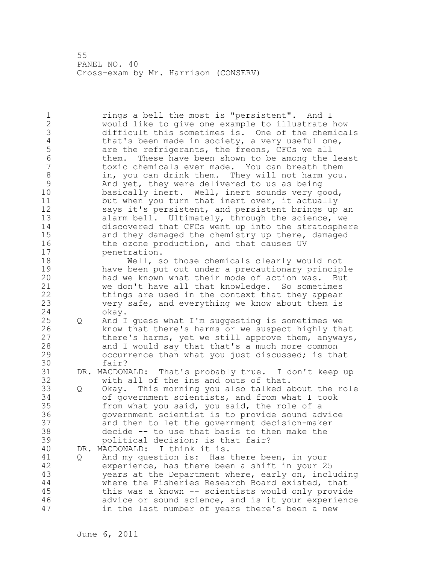1 1 rings a bell the most is "persistent". And I<br>2 3 - Would like to give one example to illustrate 2 would like to give one example to illustrate how 3 difficult this sometimes is. One of the chemicals<br>4 that's been made in society, a very useful one, 4 that's been made in society, a very useful one,<br>5 are the refrigerants, the freons, CFCs we all 5 are the refrigerants, the freons, CFCs we all<br>6 them. These have been shown to be among the 6 them. These have been shown to be among the least 7 toxic chemicals ever made. You can breath them 8 in, you can drink them. They will not harm you.<br>9 3 And yet, they were delivered to us as being 9 And yet, they were delivered to us as being<br>10 basically inert. Well, inert sounds very q 10 basically inert. Well, inert sounds very good,<br>11 but when you turn that inert over, it actually 11 but when you turn that inert over, it actually<br>12 savs it's persistent, and persistent brings up 12 says it's persistent, and persistent brings up an<br>13 alarm bell. Ultimatelv, through the science, we 13 alarm bell. Ultimately, through the science, we<br>14 discovered that CFCs went up into the stratosphe 14 discovered that CFCs went up into the stratosphere<br>15 and they damaged the chemistry up there, damaged 15 and they damaged the chemistry up there, damaged<br>16 the ozone production, and that causes UV 16 the ozone production, and that causes UV<br>17 senetration. 17 penetration.<br>18 Well, s 18 Well, so those chemicals clearly would not<br>19 have been put out under a precautionary princip 19 have been put out under a precautionary principle<br>20 had we known what their mode of action was. But 20 had we known what their mode of action was. But<br>21 we don't have all that knowledge. So sometimes 21 we don't have all that knowledge. So sometimes<br>22 things are used in the context that they appear 22 things are used in the context that they appear<br>23 very safe, and everything we know about them is very safe, and everything we know about them is 24 okay.<br>25 Q And I 25 Q And I guess what I'm suggesting is sometimes we 26 know that there's harms or we suspect highly that<br>27 there's harms, yet we still approve them, anyways 27 there's harms, yet we still approve them, anyways,<br>28 and I would say that that's a much more common 28 and I would say that that's a much more common<br>29 cocurrence than what you just discussed: is the 29 occurrence than what you just discussed; is that 30 fair?<br>31 DR. MACDON 31 DR. MACDONALD: That's probably true. I don't keep up 32 with all of the ins and outs of that.<br>33 0 Okav. This morning you also talked a 33 Q Okay. This morning you also talked about the role of government scientists, and from what I took 35 from what you said, you said, the role of a<br>36 from provernment scientist is to provide sound ad 36 government scientist is to provide sound advice 37 and then to let the government decision-maker<br>38 decide -- to use that basis to then make the 38 decide -- to use that basis to then make the<br>39 bolitical decision: is that fair? political decision; is that fair? 40 DR. MACDONALD: I think it is.<br>41 0 And my question is: Has 41 Q And my question is: Has there been, in your<br>42 experience, has there been a shift in your 2 42 experience, has there been a shift in your 25<br>43 vears at the Department where, early on, incl years at the Department where, early on, including 44 where the Fisheries Research Board existed, that this was a known  $-$  scientists would only provide 46 advice or sound science, and is it your experience in the last number of years there's been a new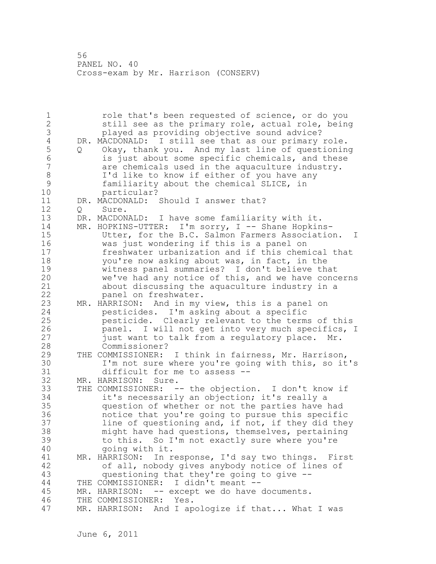1 1 role that's been requested of science, or do you<br>2 3 - Still see as the primary role, actual role, bein 2 3 still see as the primary role, actual role, being<br>3 3 blayed as providing objective sound advice? 3 played as providing objective sound advice?<br>4 DR. MACDONALD: I still see that as our primary 4 DR. MACDONALD: I still see that as our primary role.<br>5 0 Okay, thank you. And my last line of questionin 5 Q Okay, thank you. And my last line of questioning<br>6 is just about some specific chemicals, and these 6 is just about some specific chemicals, and these 7 are chemicals used in the aquaculture industry.<br>8 1'd like to know if either of you have any 8 I'd like to know if either of you have any<br>9 familiarity about the chemical SLICE, in 9 familiarity about the chemical SLICE, in<br>10 barticular? 10 particular?<br>11 DR. MACDONALD: 11 DR. MACDONALD: Should I answer that?<br>12 0 Sure. 12 Q Sure.<br>13 DR.MACDON 13 DR. MACDONALD: I have some familiarity with it. 14 MR. HOPKINS-UTTER: I'm sorry, I -- Shane Hopkins-<br>15 Utter, for the B.C. Salmon Farmers Associatio 15 Utter, for the B.C. Salmon Farmers Association. I<br>16 was just wondering if this is a panel on 16 was just wondering if this is a panel on<br>17 freshwater urbanization and if this chem 17 freshwater urbanization and if this chemical that<br>18 vou're now asking about was, in fact, in the 18 you're now asking about was, in fact, in the<br>19 witness panel summaries? I don't believe the 19 witness panel summaries? I don't believe that<br>20 we've had any notice of this, and we have conc 20 we've had any notice of this, and we have concerns<br>21 about discussing the aquaculture industry in a 21 about discussing the aquaculture industry in a<br>22 banel on freshwater. 22 panel on freshwater.<br>23 MR. HARRISON: And in my MR. HARRISON: And in my view, this is a panel on 24 pesticides. I'm asking about a specific<br>25 pesticide. Clearly relevant to the term 25 pesticide. Clearly relevant to the terms of this<br>26 panel. I will not get into very much specifics, 26 panel. I will not get into very much specifics, I<br>27 fust want to talk from a requlatory place. Mr. 27 just want to talk from a regulatory place. Mr. 28 Commissioner?<br>29 THE COMMISSIONER: 29 THE COMMISSIONER: I think in fairness, Mr. Harrison,<br>30 1'm not sure where you're going with this, so it 30 I'm not sure where you're going with this, so it's<br>31 difficult for me to assess --31 difficult for me to assess --<br>32 MR. HARRISON: Sure. 32 MR. HARRISON: Sure.<br>33 THE COMMISSIONER: -33 THE COMMISSIONER: -- the objection. I don't know if<br>34 it's necessarily an objection: it's really a 34 it's necessarily an objection; it's really a<br>35 ouestion of whether or not the parties have I 35 question of whether or not the parties have had 36 10 notice that you're going to pursue this specific<br>37 1ine of questioning and, if not, if they did the 37 line of questioning and, if not, if they did they<br>38 might have had questions, themselves, pertaining 38 might have had questions, themselves, pertaining<br>39 to this. So I'm not exactly sure where you're to this. So I'm not exactly sure where you're 40 going with it.<br>41 MR. HARRISON: In r 41 MR. HARRISON: In response, I'd say two things. First<br>42 of all, nobody gives anybody notice of lines of 42 of all, nobody gives anybody notice of lines of<br>43 ouestioning that they're going to give -questioning that they're going to give --44 THE COMMISSIONER: I didn't meant -- MR. HARRISON: -- except we do have documents. 46 THE COMMISSIONER: Yes.<br>47 MR. HARRISON: And I ap MR. HARRISON: And I apologize if that... What I was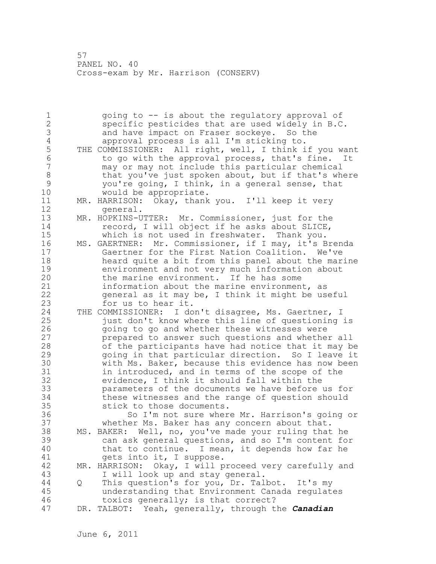1 and going to -- is about the regulatory approval of<br>2 and specific pesticides that are used widely in B.C 2 specific pesticides that are used widely in B.C.<br>3 and have impact on Fraser sockeye. So the 3 and have impact on Fraser sockeye. So the<br>4 approval process is all I'm sticking to. 4 approval process is all I'm sticking to.<br>5 THE COMMISSIONER: All right, well, I think i 5 THE COMMISSIONER: All right, well, I think if you want<br>6 to go with the approval process, that's fine. It 6 to go with the approval process, that's fine. It<br>7 may or may not include this particular chemical 7 may or may not include this particular chemical<br>8 hat you've just spoken about, but if that's wh 8 that you've just spoken about, but if that's where<br>9 vou're going, I think, in a general sense, that 9 you're going, I think, in a general sense, that<br>10 would be appropriate. 10 would be appropriate.<br>11 MR. HARRISON: Okav, thank 11 MR. HARRISON: Okay, thank you. I'll keep it very<br>12 deneral. 12 general.<br>13 MR. HOPKINS-U 13 MR. HOPKINS-UTTER: Mr. Commissioner, just for the 14 record, I will object if he asks about SLICE,<br>15 which is not used in freshwater. Thank you. 15 which is not used in freshwater. Thank you.<br>16 MS. GAERTNER: Mr. Commissioner, if I may, it's B 16 MS. GAERTNER: Mr. Commissioner, if I may, it's Brenda<br>17 Gaertner for the First Nation Coalition. We've 17 Gaertner for the First Nation Coalition. We've<br>18 heard quite a bit from this panel about the mar 18 heard quite a bit from this panel about the marine<br>19 heavironment and not very much information about 19 environment and not very much information about<br>20 the marine environment. If he has some 20 the marine environment. If he has some<br>21 information about the marine environmen 21 information about the marine environment, as 22 general as it may be, I think it might be useful<br>23 for us to hear it. for us to hear it. 24 THE COMMISSIONER: I don't disagree, Ms. Gaertner, I<br>25 iust don't know where this line of questioning 25 just don't know where this line of questioning is 26 30 going to go and whether these witnesses were<br>27 30 prepared to answer such questions and whether 27 **prepared to answer such questions and whether all**<br>28 **budge of the participants have had notice that it may b** 28 of the participants have had notice that it may be<br>29 ooing in that particular direction. So I leave it 29 30 going in that particular direction. So I leave it<br>30 30 with Ms. Baker, because this evidence has now been 30 with Ms. Baker, because this evidence has now been<br>31 in introduced, and in terms of the scope of the 31 in introduced, and in terms of the scope of the 32 evidence, I think it should fall within the 32 evidence, I think it should fall within the<br>33 barameters of the documents we have before 33 parameters of the documents we have before us for 34 these witnesses and the range of question should<br>35 stick to those documents. 35 stick to those documents.<br>36 So I'm not sure wher 36 So I'm not sure where Mr. Harrison's going or<br>37 whether Ms. Baker has any concern about that. 37 whether Ms. Baker has any concern about that.<br>38 MS. BAKER: Well, no, you've made your ruling that 38 MS. BAKER: Well, no, you've made your ruling that he 39 can ask general questions, and so I'm content for 40 that to continue. I mean, it depends how far he<br>41 orts into it, I suppose. 41 gets into it, I suppose.<br>42 MR. HARRISON: Okay, I will p 42 MR. HARRISON: Okay, I will proceed very carefully and<br>43 I will look up and stay general. I will look up and stay general. 44 Q This question's for you, Dr. Talbot. It's my understanding that Environment Canada regulates 46 toxics generally; is that correct?<br>47 DR. TALBOT: Yeah, generally, through t DR. TALBOT: Yeah, generally, through the *Canadian*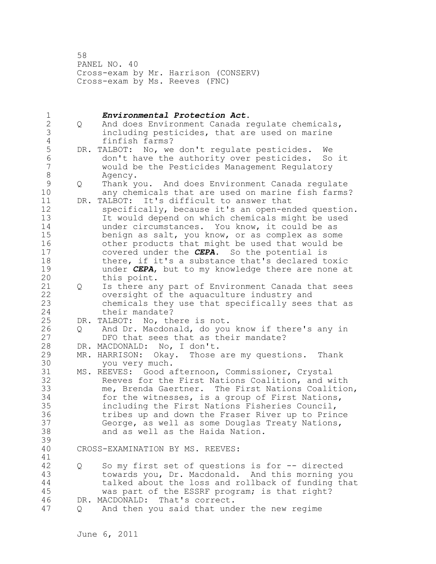58 PANEL NO. 40 Cross-exam by Mr. Harrison (CONSERV) Cross-exam by Ms. Reeves (FNC)

1 *Environmental Protection Act*. 2 Q And does Environment Canada regulate chemicals, 3 including pesticides, that are used on marine 4 finfish farms?<br>5 DR. TALBOT: No, we 5 DR. TALBOT: No, we don't regulate pesticides. We<br>6 don't have the authority over pesticides. So 6 don't have the authority over pesticides. So it 7 would be the Pesticides Management Regulatory 8 Agency. 9 Q Thank you. And does Environment Canada regulate 10 any chemicals that are used on marine fish farms?<br>11 DR. TALBOT: It's difficult to answer that 11 DR. TALBOT: It's difficult to answer that<br>12 Specifically, because it's an open-end 12 specifically, because it's an open-ended question.<br>13 11 would depend on which chemicals might be used 13 13 It would depend on which chemicals might be used<br>14 14 Under circumstances. You know, it could be as 14 under circumstances. You know, it could be as<br>15 benign as salt, you know, or as complex as som 15 benign as salt, you know, or as complex as some<br>16 beher products that might be used that would be 16 other products that might be used that would be 17 covered under the **CEPA**. So the potential is 17 covered under the *CEPA*. So the potential is 18 there, if it's a substance that's declared toxic<br>19 http://www.mateure.com/www.knowledge-there-are-none-are-19 under *CEPA*, but to my knowledge there are none at 20 this point.<br>21 0 Is there an 21 Q Is there any part of Environment Canada that sees<br>22 oversight of the aguaculture industry and 22 coversight of the aquaculture industry and<br>23 chemicals they use that specifically sees chemicals they use that specifically sees that as 24 their mandate?<br>25 DR. TALBOT: No, th 25 DR. TALBOT: No, there is not.<br>26 0 And Dr. Macdonald, do vou 26 Q And Dr. Macdonald, do you know if there's any in<br>27 DFO that sees that as their mandate? 27 DFO that sees that as their mandate?<br>28 DR. MACDONALD: No. I don't. 28 DR. MACDONALD: No, I don't.<br>29 MR. HARRISON: Okav. Those 29 MR. HARRISON: Okay. Those are my questions. Thank 30 you very much.<br>31 MS. REEVES: Good a 31 MS. REEVES: Good afternoon, Commissioner, Crystal 32 Reeves for the First Nations Coalition, and with<br>33 me, Brenda Gaertner. The First Nations Coalition 33 me, Brenda Gaertner. The First Nations Coalition,<br>34 for the witnesses, is a group of First Nations, for the witnesses, is a group of First Nations, 35 including the First Nations Fisheries Council,<br>36 tribes up and down the Fraser River up to Prin 36 12 tribes up and down the Fraser River up to Prince<br>37 6 George, as well as some Douglas Treaty Nations, 37 George, as well as some Douglas Treaty Nations,<br>38 and as well as the Haida Nation. and as well as the Haida Nation. 39 CROSS-EXAMINATION BY MS. REEVES: 41<br>42 42 Q So my first set of questions is for -- directed towards you, Dr. Macdonald. And this morning you 44 talked about the loss and rollback of funding that<br>45 was part of the ESSRF program: is that right? was part of the ESSRF program; is that right? 46 DR. MACDONALD: That's correct.<br>47 0 And then you said that und 47 Q And then you said that under the new regime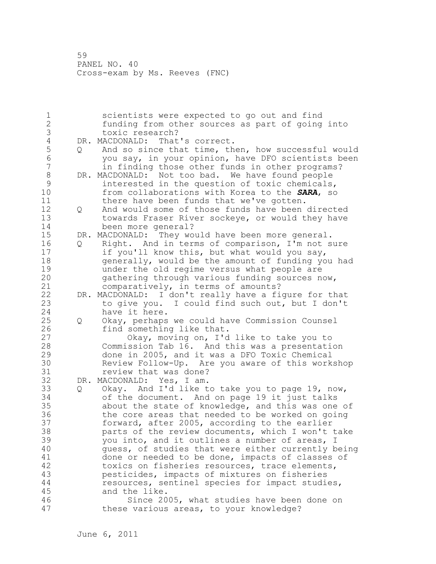1 scientists were expected to go out and find<br>2 3 funding from other sources as part of going 2 funding from other sources as part of going into 3 toxic research?<br>4 DR. MACDONALD: That 4 DR. MACDONALD: That's correct.<br>5 Q And so since that time, th 5 Q And so since that time, then, how successful would 6 you say, in your opinion, have DFO scientists been 7 in finding those other funds in other programs?<br>8 DR. MACDONALD: Not too bad. We have found people 8 DR. MACDONALD: Not too bad. We have found people<br>9 interested in the question of toxic chemicals 9 interested in the question of toxic chemicals,<br>10 from collaborations with Korea to the **SARA**, so 10 from collaborations with Korea to the *SARA*, so 11 there have been funds that we've gotten.<br>12 0 And would some of those funds have been 12 Q And would some of those funds have been directed<br>13 towards Fraser River sockeve, or would they have 13 towards Fraser River sockeye, or would they have 14 been more general?<br>15 DR. MACDONALD: They wo 15 DR. MACDONALD: They would have been more general.<br>16 0 Right. And in terms of comparison, I'm not s 16 Q Right. And in terms of comparison, I'm not sure<br>17 if you'll know this, but what would you sav. 17 if you'll know this, but what would you say,<br>18 oenerally, would be the amount of funding yo 18 generally, would be the amount of funding you had<br>19 ander the old regime versus what people are 19 19 under the old regime versus what people are<br>20 31 The pathering through various funding sources n 20 gathering through various funding sources now,<br>21 comparatively, in terms of amounts? 21 comparatively, in terms of amounts?<br>22 DR. MACDONALD: I don't really have a fi-22 DR. MACDONALD: I don't really have a figure for that<br>23 to give you. I could find such out, but I don't to give you. I could find such out, but I don't 24 have it here.<br>25 0 Okay, perhaps 25 Q Okay, perhaps we could have Commission Counsel 26 find something like that.<br>27 0kay, moving on, I'd 27 Commission Tab 16. And this was a presentation Commission Tab 16. And this was a presentation 28 Commission Tab 16. And this was a presentation 29 done in 2005, and it was a DFO Toxic Chemical 30 Review Follow-Up. Are you aware of this workshop 31 review that was done?<br>32 DR. MACDONALD: Yes, I am. 32 DR. MACDONALD:<br>33 0 Okav. And 33 Q Okay. And I'd like to take you to page 19, now, of the document. And on page 19 it just talks 35 about the state of knowledge, and this was one of 36 the core areas that needed to be worked on going<br>37 forward, after 2005, according to the earlier 37 forward, after 2005, according to the earlier<br>38 **hours** parts of the review documents, which I won't 38 parts of the review documents, which I won't take<br>39 vou into, and it outlines a number of areas, I 39 you into, and it outlines a number of areas, I<br>40 you samess, of studies that were either currently b 40 guess, of studies that were either currently being<br>41 done or needed to be done, impacts of classes of 41 done or needed to be done, impacts of classes of<br>42 toxics on fisheries resources, trace elements, 42 toxics on fisheries resources, trace elements,<br>43 besticides, impacts of mixtures on fisheries pesticides, impacts of mixtures on fisheries 44 resources, sentinel species for impact studies,<br>45 and the like. and the like. 46 Since 2005, what studies have been done on<br>47 these various areas, to your knowledge? these various areas, to your knowledge?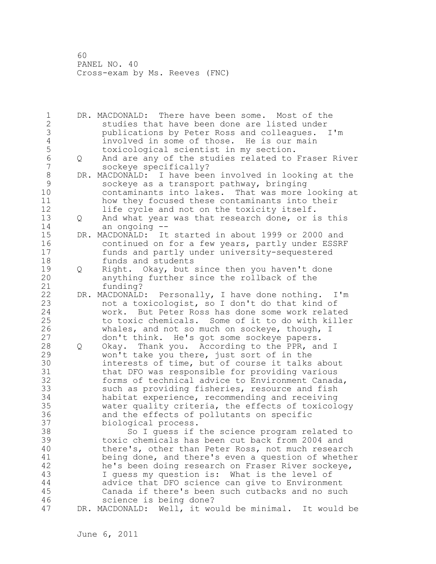1 DR. MACDONALD: There have been some. Most of the<br>2 studies that have been done are listed under 2 studies that have been done are listed under<br>3 publications by Peter Ross and colleagues. 3 publications by Peter Ross and colleagues. I'm 4 involved in some of those. He is our main<br>5 toxicological scientist in my section. 5 toxicological scientist in my section. 6 Q And are any of the studies related to Fraser River 7 sockeye specifically?<br>8 DR. MACDONALD: I have bee 8 DR. MACDONALD: I have been involved in looking at the<br>9 sockeve as a transport pathway, bringing 9 sockeye as a transport pathway, bringing 10 contaminants into lakes. That was more looking at 11 how they focused these contaminants into their<br>12 **houring the interpotator** the toxicity itself. 12 life cycle and not on the toxicity itself.<br>13 0 And what year was that research done, or i 13 Q And what year was that research done, or is this<br>14 an ongoing --14 an ongoing --<br>15 DR. MACDONALD: It 15 DR. MACDONALD: It started in about 1999 or 2000 and<br>16 continued on for a few years, partly under ESSRI 16 continued on for a few years, partly under ESSRF<br>17 funds and partly under university-sequestered 17 funds and partly under university-sequestered 18 funds and students<br>19 0 Right. Okav, but 19 Q Right. Okay, but since then you haven't done<br>20 anything further since the rollback of the 20 anything further since the rollback of the 21 funding?<br>22 DR. MACDONALD 22 DR. MACDONALD: Personally, I have done nothing. I'm<br>23 hot a toxicologist, so I don't do that kind of not a toxicologist, so I don't do that kind of 24 work. But Peter Ross has done some work related 25 to toxic chemicals. Some of it to do with killer<br>26 whales, and not so much on sockeve, though, I 26 whales, and not so much on sockeye, though, I<br>27 don't think. He's got some sockeye papers. 27 don't think. He's got some sockeye papers. 28 Q Okay. Thank you. According to the PPR, and I<br>29 won't take you there, just sort of in the 29 won't take you there, just sort of in the<br>30 interests of time, but of course it talks 30 interests of time, but of course it talks about<br>31 that DFO was responsible for providing various 31 that DFO was responsible for providing various<br>32 forms of technical advice to Environment Canad 32 forms of technical advice to Environment Canada,<br>33 such as providing fisheries, resource and fish 33 such as providing fisheries, resource and fish<br>34 habitat experience, recommending and receiving 34 habitat experience, recommending and receiving<br>35 water quality criteria, the effects of toxicol 35 water quality criteria, the effects of toxicology 36 and the effects of pollutants on specific<br>37 biological process. 37 biological process.<br>38 So I quess if 38 So I guess if the science program related to<br>39 toxic chemicals has been cut back from 2004 and 39 toxic chemicals has been cut back from 2004 and<br>40 there's, other than Peter Ross, not much researd 40 there's, other than Peter Ross, not much research<br>41 being done, and there's even a question of whether 41 being done, and there's even a question of whether<br>42 he's been doing research on Fraser River sockeve, 42 he's been doing research on Fraser River sockeye,<br>43 1 quess my question is: What is the level of I guess my question is: What is the level of 44 advice that DFO science can give to Environment Canada if there's been such cutbacks and no such 46 science is being done?<br>47 DR. MACDONALD: Well, it wo DR. MACDONALD: Well, it would be minimal. It would be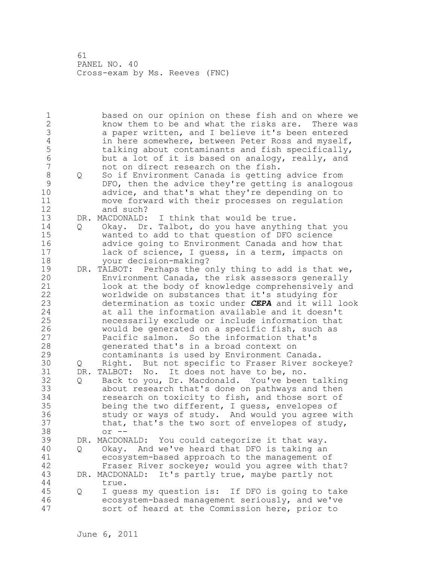1 based on our opinion on these fish and on where we<br>2 know them to be and what the risks are. There was 2 know them to be and what the risks are. There was<br>3 a paper written, and I believe it's been entered 3 a paper written, and I believe it's been entered<br>4 in here somewhere, between Peter Ross and myself 4 in here somewhere, between Peter Ross and myself,<br>5 talking about contaminants and fish specifically, 5 talking about contaminants and fish specifically, 6 but a lot of it is based on analogy, really, and 7 10 11 not on direct research on the fish.<br>8 0 16 Environment Canada is getting 8 Q So if Environment Canada is getting advice from<br>9 DFO, then the advice they're getting is analogom 9 DFO, then the advice they're getting is analogous<br>10 advice, and that's what they're depending on to 10 advice, and that's what they're depending on to<br>11 move forward with their processes on regulation 11 move forward with their processes on regulation<br>12 and such? 12 and such?<br>13 DR. MACDONALD: 13 DR. MACDONALD: I think that would be true.<br>14 0 Okav. Dr. Talbot, do vou have anythin 14 Q Okay. Dr. Talbot, do you have anything that you<br>15 wanted to add to that question of DFO science 15 wanted to add to that question of DFO science<br>16 advice going to Environment Canada and how that 16 advice going to Environment Canada and how that 17 lack of science, I guess, in a term, impacts on<br>18 vour decision-making? 18 your decision-making?<br>19 DR. TALBOT: Perhaps the o 19 DR. TALBOT: Perhaps the only thing to add is that we,<br>20 Environment Canada, the risk assessors generally 20 Environment Canada, the risk assessors generally<br>21 100k at the body of knowledge comprehensively and 21 look at the body of knowledge comprehensively and<br>22 worldwide on substances that it's studving for 22 worldwide on substances that it's studying for<br>23 determination as toxic under CEPA and it will 23 determination as toxic under *CEPA* and it will look 24 at all the information available and it doesn't<br>25 hecessarily exclude or include information that 25 hecessarily exclude or include information that<br>26 would be generated on a specific fish, such as 26 would be generated on a specific fish, such as<br>27 Pacific salmon. So the information that's 27 Pacific salmon. So the information that's<br>28 orderated that's in a broad context on 28 328 generated that's in a broad context on<br>29 328 contaminants is used by Environment Ca 29 contaminants is used by Environment Canada. 30 Q Right. But not specific to Fraser River sockeye? 31 DR. TALBOT: No. It does not have to be, no.<br>32 0 Back to vou, Dr. Macdonald. You've been 32 Q Back to you, Dr. Macdonald. You've been talking 33 about research that's done on pathways and then research on toxicity to fish, and those sort of 35 being the two different, I guess, envelopes of 36 contracts and study or ways of study. And would you agree w 36 study or ways of study. And would you agree with<br>37 that, that's the two sort of envelopes of study, 37 that, that's the two sort of envelopes of study,<br>38 or --38 or -- 39 DR. MACDONALD: You could categorize it that way. 40 Q Okay. And we've heard that DFO is taking an 41 ecosystem-based approach to the management of<br>42 Fraser River sockeve: would you agree with th 42 Fraser River sockeye; would you agree with that?<br>43 DR. MACDONALD: It's partly true, maybe partly not DR. MACDONALD: It's partly true, maybe partly not 44 true.<br>45 0 I que Q I guess my question is: If DFO is going to take 46 ecosystem-based management seriously, and we've<br>47 sort of heard at the Commission here, prior to sort of heard at the Commission here, prior to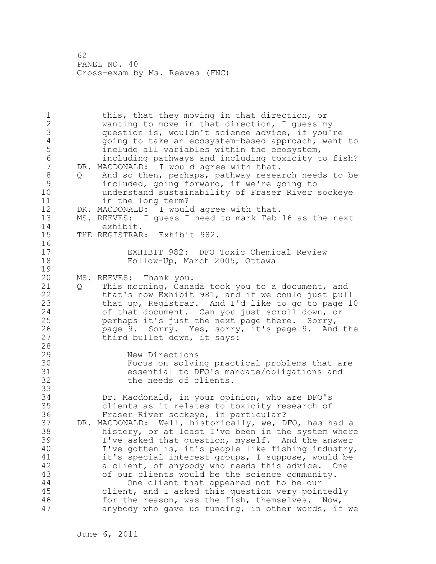1 this, that they moving in that direction, or<br>2 wanting to move in that direction, I quess m 2 wanting to move in that direction, I guess my<br>3 Guestion is, wouldn't science advice, if you' 3 question is, wouldn't science advice, if you're<br>4 qoing to take an ecosystem-based approach, want 4 going to take an ecosystem-based approach, want to<br>5 include all variables within the ecosystem, 5 include all variables within the ecosystem,<br>6 including pathways and including toxicity t 6 including pathways and including toxicity to fish? 7 DR. MACDONALD: I would agree with that. 8 Q And so then, perhaps, pathway research needs to be<br>9 included, going forward, if we're going to 9 included, going forward, if we're going to 10 understand sustainability of Fraser River sockeye 11 in the long term?<br>12 DR. MACDONALD: I woul 12 DR. MACDONALD: I would agree with that.<br>13 MS. REEVES: I quess I need to mark Tab 13 MS. REEVES: I guess I need to mark Tab 16 as the next<br>14 exhibit. 14 exhibit.<br>15 THE REGISTRAR THE REGISTRAR: Exhibit 982.  $\frac{16}{17}$ 17 EXHIBIT 982: DFO Toxic Chemical Review Follow-Up, March 2005, Ottawa  $\frac{19}{20}$ 20 MS. REEVES: Thank you.<br>21 0 This morning, Cana 21 Q This morning, Canada took you to a document, and<br>22 that's now Exhibit 981, and if we could just pull 22 that's now Exhibit 981, and if we could just pull<br>23 that up, Registrar. And I'd like to go to page 1 that up, Registrar. And I'd like to go to page 10 24 of that document. Can you just scroll down, or<br>25 berhaps it's just the next page there. Sorry, 25 perhaps it's just the next page there. Sorry,<br>26 bage 9. Sorry. Yes, sorry, it's page 9. And 26 page 9. Sorry. Yes, sorry, it's page 9. And the 27 third bullet down, it says: 28 29 New Directions<br>30 Tocus on solvi 30 Focus on solving practical problems that are<br>31 Sessential to DFO's mandate/obligations and 31 essential to DFO's mandate/obligations and the needs of clients. 33<br>34 34 Dr. Macdonald, in your opinion, who are DFO's 35 clients as it relates to toxicity research of 36 Fraser River sockeye, in particular?<br>37 DR. MACDONALD: Well, historically, we, D 37 DR. MACDONALD: Well, historically, we, DFO, has had a<br>38 history, or at least I've been in the system where 38 history, or at least I've been in the system where<br>39 1've asked that question, myself. And the answer I've asked that question, myself. And the answer 40 I've gotten is, it's people like fishing industry,<br>41 it's special interest groups, I suppose, would be 41 it's special interest groups, I suppose, would be<br>42 a client, of anybody who needs this advice. One 42 a client, of anybody who needs this advice. One<br>43 of our clients would be the science community. of our clients would be the science community. 44 One client that appeared not to be our<br>45 Client, and I asked this question very poin client, and I asked this question very pointedly 46 for the reason, was the fish, themselves. Now,<br>47 anybody who qave us funding, in other words, if anybody who gave us funding, in other words, if we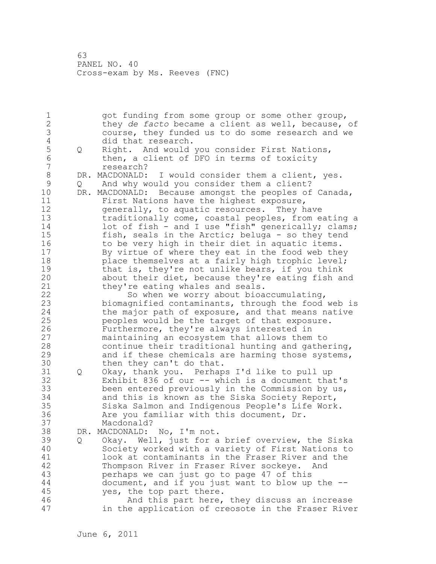1 got funding from some group or some other group,<br>2 because, they de facto became a client as well, because, 2 they *de facto* became a client as well, because, of 3 course, they funded us to do some research and we 4 did that research.<br>5 0 Right. And would 5 Q Right. And would you consider First Nations,<br>6 then, a client of DFO in terms of toxicity 6 then, a client of DFO in terms of toxicity 7 research?<br>8 DR. MACDONALD: 8 DR. MACDONALD: I would consider them a client, yes.<br>9 0 And why would you consider them a client? 9 Q And why would you consider them a client?<br>10 DR. MACDONALD: Because amongst the peoples of 10 DR. MACDONALD: Because amongst the peoples of Canada,<br>11 First Nations have the highest exposure. 11 First Nations have the highest exposure,<br>12 The organizer of aquatic resources. They h 12 9 generally, to aquatic resources. They have<br>13 traditionally come, coastal peoples, from e 13 traditionally come, coastal peoples, from eating a<br>14 14 lot of fish - and I use "fish" generically: clams: 14 lot of fish - and I use "fish" generically; clams;<br>15 fish, seals in the Arctic; beluga - so they tend 15 fish, seals in the Arctic; beluga - so they tend<br>16 to be very high in their diet in aquatic items. 16 to be very high in their diet in aquatic items.<br>17 By virtue of where they eat in the food web the 17 By virtue of where they eat in the food web they<br>18 blace themselves at a fairly high trophic level: 18 blace themselves at a fairly high trophic level;<br>19 bhat is, they're not unlike bears, if you think 19 that is, they're not unlike bears, if you think<br>20 about their diet, because they're eating fish an 20 about their diet, because they're eating fish and<br>21 they're eating whales and seals. 21 they're eating whales and seals.<br>22 So when we worry about bioa 22 So when we worry about bioaccumulating,<br>23 biomagnified contaminants, through the food biomagnified contaminants, through the food web is 24 the major path of exposure, and that means native<br>25 seephes would be the target of that exposure. 25 beoples would be the target of that exposure.<br>26 Furthermore, they're always interested in 26 Furthermore, they're always interested in<br>27 maintaining an ecosystem that allows them 27 maintaining an ecosystem that allows them to 28 continue their traditional hunting and gathering,<br>29 and if these chemicals are harming those systems. 29 and if these chemicals are harming those systems,<br>30 then they can't do that. 30 then they can't do that.<br>31 0 Okav, thank you. Perhap 31 Q Okay, thank you. Perhaps I'd like to pull up<br>32 Exhibit 836 of our -- which is a document tha 32 Exhibit 836 of our -- which is a document that's 33 been entered previously in the Commission by us,<br>34 and this is known as the Siska Society Report, and this is known as the Siska Society Report, 35 Siska Salmon and Indigenous People's Life Work. 36 Are you familiar with this document, Dr. 37 Macdonald?<br>38 DR. MACDONALD: 38 DR. MACDONALD: No, I'm not.<br>39 0 Okav. Well, just for a Q Okay. Well, just for a brief overview, the Siska 40 Society worked with a variety of First Nations to 41 look at contaminants in the Fraser River and the<br>42 Thompson River in Fraser River sockeye. And 42 Thompson River in Fraser River sockeye. And<br>43 Therhaps we can just go to page 47 of this perhaps we can just go to page 47 of this 44 document, and if you just want to blow up the --<br>45 ves, the top part there. yes, the top part there. 46 And this part here, they discuss an increase<br>47 in the application of creosote in the Fraser Rive in the application of creosote in the Fraser River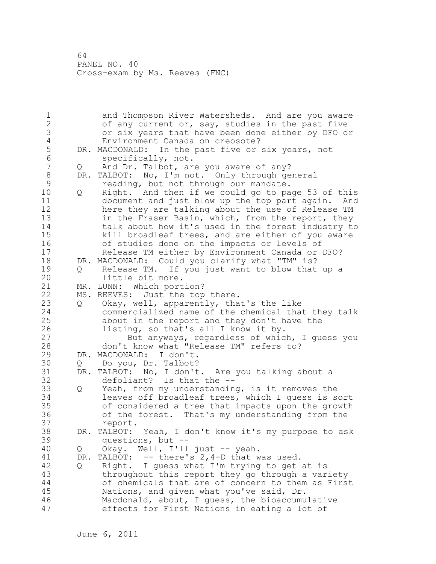1 and Thompson River Watersheds. And are you aware<br>2 6 of any current or, say, studies in the past five 2 of any current or, say, studies in the past five<br>3 or six years that have been done either by DFO or 3 or six years that have been done either by DFO or 4 Environment Canada on creosote?<br>5 DR. MACDONALD: In the past five or 5 DR. MACDONALD: In the past five or six years, not<br>6 specifically, not. 6 specifically, not.<br>7 0 And Dr. Talbot, ar 7 Q And Dr. Talbot, are you aware of any?<br>8 DR. TALBOT: No, I'm not. Only through ge 8 DR. TALBOT: No, I'm not. Only through general<br>9 reading, but not through our mandate. 9 reading, but not through our mandate.<br>10 0 Right. And then if we could go to pa 10 Q Right. And then if we could go to page 53 of this<br>11 document and just blow up the top part again. And 11 document and just blow up the top part again. And<br>12 here they are talking about the use of Release TM 12 here they are talking about the use of Release TM<br>13 in the Fraser Basin, which, from the report, they 13 13 in the Fraser Basin, which, from the report, they<br>14 talk about how it's used in the forest industry to 14 talk about how it's used in the forest industry to<br>15 htill broadleaf trees, and are either of you aware 15 kill broadleaf trees, and are either of you aware<br>16 6 of studies done on the impacts or levels of 16 16 of studies done on the impacts or levels of 17 17 Release TM either by Environment Canada or DFO?<br>18 DR. MACDONALD: Could vou clarify what "TM" is? 18 DR. MACDONALD: Could you clarify what "TM" is?<br>19 0 Release TM. If you just want to blow that 19 Q Release TM. If you just want to blow that up a<br>20 little bit more. 20 little bit more.<br>21 MR. LUNN: Which port 21 MR. LUNN: Which portion?<br>22 MS. REEVES: Just the top 22 MS. REEVES: Just the top there.<br>23 O Okav. well. apparently. tha Q Okay, well, apparently, that's the like 24 commercialized name of the chemical that they talk<br>25 about in the report and they don't have the 25 about in the report and they don't have the<br>26 listing, so that's all I know it by. 26 listing, so that's all I know it by.<br>27 But anyways, regardless of whic 27 But anyways, regardless of which, I guess you<br>28 don't know what "Release TM" refers to? 28 don't know what "Release TM" refers to?<br>29 DR. MACDONALD: I don't. 29 DR. MACDONALD:<br>30 0 Dovou, Dr 30 Q Do you, Dr. Talbot?<br>31 DR. TALBOT: No, I don't 31 DR. TALBOT: No, I don't. Are you talking about a<br>32 defoliant? Is that the --32 defoliant? Is that the --<br>33 0 Yeah, from my understandin 33 Q Yeah, from my understanding, is it removes the leaves off broadleaf trees, which I guess is sort 35 of considered a tree that impacts upon the growth 36 of the forest. That's my understanding from the 37 report.<br>38 DR. TALBOT: 38 DR. TALBOT: Yeah, I don't know it's my purpose to ask<br>39 diestions, but --39 questions, but -- 40 Q Okay. Well, I'll just -- yeah. 41 DR. TALBOT: -- there's 2,4-D that was used. 42 Q Right. I guess what I'm trying to get at is<br>43 throughout this report they go through a var throughout this report they go through a variety 44 of chemicals that are of concern to them as First<br>45 Mations, and given what you've said, Dr. Nations, and given what you've said, Dr. 46 Macdonald, about, I guess, the bioaccumulative<br>47 effects for First Nations in eating a lot of effects for First Nations in eating a lot of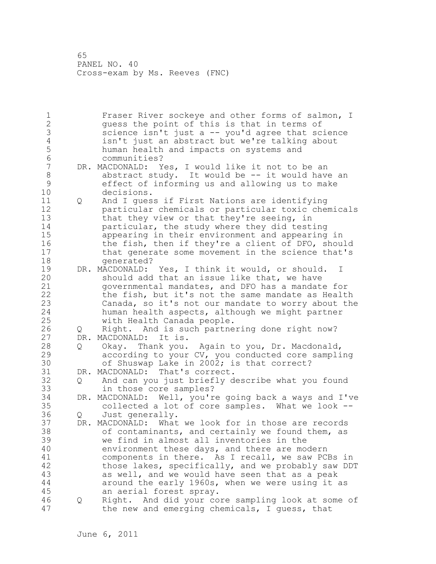1 Traser River sockeye and other forms of salmon, I<br>2 Guess the point of this is that in terms of 2 guess the point of this is that in terms of<br>3 science isn't just a -- you'd agree that sc 3 science isn't just a -- you'd agree that science<br>4 isn't just an abstract but we're talking about 4 isn't just an abstract but we're talking about<br>5 human health and impacts on systems and 5 human health and impacts on systems and 6 communities?<br>7 DR. MACDONALD: Y 7 DR. MACDONALD: Yes, I would like it not to be an<br>8 abstract study. It would be -- it would have 8 abstract study. It would be -- it would have an<br>9 effect of informing us and allowing us to make 9 effect of informing us and allowing us to make 10 decisions.<br>11 0 And I ques 11 Q And I guess if First Nations are identifying 12 **12** particular chemicals or particular toxic chemicals<br>13 **but** that they view or that they're seeing, in 13 that they view or that they're seeing, in<br>14 barticular, the study where they did test: 14 **particular, the study where they did testing**<br>15 **belomance and in their environment and appearing** 15 appearing in their environment and appearing in<br>16 the fish, then if they're a client of DFO, shou 16 the fish, then if they're a client of DFO, should<br>17 that generate some movement in the science that's 17 that generate some movement in the science that's<br>18 orderated? 18 generated?<br>19 DR. MACDONALD: 19 DR. MACDONALD: Yes, I think it would, or should. I<br>20 Should add that an issue like that, we have 20 should add that an issue like that, we have<br>21 oovernmental mandates, and DFO has a mandat 21 governmental mandates, and DFO has a mandate for<br>22 the fish, but it's not the same mandate as Healtl 22 the fish, but it's not the same mandate as Health<br>23 Canada, so it's not our mandate to worry about the Canada, so it's not our mandate to worry about the 24 human health aspects, although we might partner 25 with Health Canada people. 26 Q Right. And is such partnering done right now?<br>27 DR. MACDONALD: It is. 27 DR. MACDONALD:<br>28 0 Okav. Tha 28 Q Okay. Thank you. Again to you, Dr. Macdonald, 29 according to your CV, you conducted core sampling<br>30 6f Shuswap Lake in 2002: is that correct? 30 of Shuswap Lake in 2002; is that correct?<br>31 DR. MACDONALD: That's correct. 31 DR. MACDONALD: That's correct. 32 Q And can you just briefly describe what you found 33 in those core samples?<br>34 DR. MACDONALD: Well, vou'r 34 DR. MACDONALD: Well, you're going back a ways and I've<br>35 collected a lot of core samples. What we look --35 collected a lot of core samples. What we look -- 36 Q Just generally.<br>37 DR. MACDONALD: What 37 DR. MACDONALD: What we look for in those are records<br>38 of contaminants, and certainly we found them, as 38 of contaminants, and certainly we found them, as<br>39 we find in almost all inventories in the 39 we find in almost all inventories in the<br>40 environment these days, and there are mo 40 environment these days, and there are modern<br>41 components in there. As I recall, we saw PCI 41 components in there. As I recall, we saw PCBs in<br>42 those lakes, specifically, and we probably saw DD' 42 those lakes, specifically, and we probably saw DDT<br>43 as well, and we would have seen that as a peak as well, and we would have seen that as a peak 44 around the early 1960s, when we were using it as<br>45 an aerial forest spray. an aerial forest spray. 46 Q Right. And did your core sampling look at some of<br>47 the new and emerging chemicals, I quess, that the new and emerging chemicals, I guess, that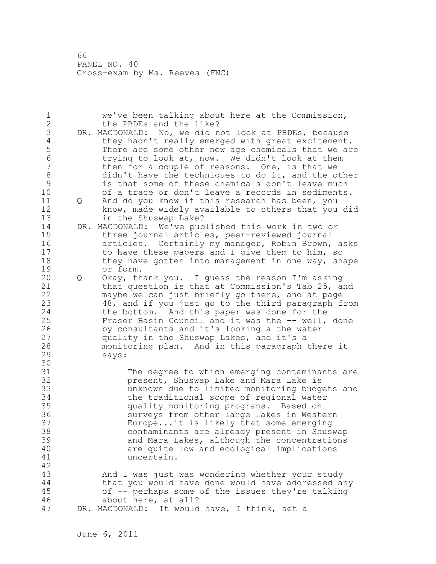1 we've been talking about here at the Commission,<br>2 been papers and the like? 2 the PBDEs and the like?<br>3 DR. MACDONALD: No, we did n 3 DR. MACDONALD: No, we did not look at PBDEs, because<br>4 they hadn't really emerged with great excitement. 4 they hadn't really emerged with great excitement.<br>5 There are some other new age chemicals that we are 5 There are some other new age chemicals that we are<br>6 There is that, now. We didn't look at them 6 trying to look at, now. We didn't look at them 7 then for a couple of reasons. One, is that we<br>8 didn't have the techniques to do it, and the o 8 didn't have the techniques to do it, and the other<br>9 is that some of these chemicals don't leave much 9 is that some of these chemicals don't leave much 10 of a trace or don't leave a records in sediments.<br>11 0 And do vou know if this research has been, vou 11 Q And do you know if this research has been, you 12 know, made widely available to others that you did<br>13 in the Shuswap Lake? 13 in the Shuswap Lake?<br>14 DR. MACDONALD: We've pub 14 DR. MACDONALD: We've published this work in two or 15 three journal articles, peer-reviewed journal<br>16 articles. Certainly my manager, Robin Brown, 16 articles. Certainly my manager, Robin Brown, asks 17 to have these papers and I give them to him, so<br>18 they have gotten into management in one way, sh 18 they have gotten into management in one way, shape<br>19 or form. 19 or form.<br>20 0 Okay, th 20 Q Okay, thank you. I guess the reason I'm asking<br>21 that question is that at Commission's Tab 25, and 21 that question is that at Commission's Tab 25, and<br>22 maybe we can just briefly go there, and at page 22 maybe we can just briefly go there, and at page<br>23 48, and if you just go to the third paragraph f 48, and if you just go to the third paragraph from 24 the bottom. And this paper was done for the<br>25 Fraser Basin Council and it was the -- well, 25 Fraser Basin Council and it was the -- well, done<br>26 by consultants and it's looking a the water 26 by consultants and it's looking a the water<br>27 quality in the Shuswap Lakes, and it's a 27 cuality in the Shuswap Lakes, and it's a<br>28 monitoring plan. And in this paragraph 28 monitoring plan. And in this paragraph there it says: 30<br>31 31 The degree to which emerging contaminants are<br>32 The series and Mara Lake is 32 present, Shuswap Lake and Mara Lake is 33 unknown due to limited monitoring budgets and 34 the traditional scope of regional water 35 quality monitoring programs. Based on 36 surveys from other large lakes in Western 37 Europe...it is likely that some emerging<br>38 contaminants are already present in Shus 38 contaminants are already present in Shuswap 39 and Mara Lakes, although the concentrations<br>40 are quite low and ecological implications 40 are quite low and ecological implications uncertain. 42 And I was just was wondering whether your study 44 that you would have done would have addressed any of -- perhaps some of the issues they're talking 46 about here, at all?<br>47 DR. MACDONALD: It would DR. MACDONALD: It would have, I think, set a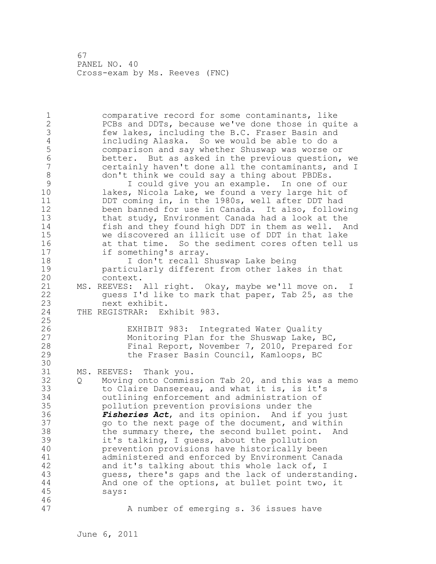1 comparative record for some contaminants, like<br>2 PCBs and DDTs, because we've done those in qui 2 PCBs and DDTs, because we've done those in quite a 3 few lakes, including the B.C. Fraser Basin and<br>4 including Alaska. So we would be able to do a 4 including Alaska. So we would be able to do a 5 comparison and say whether Shuswap was worse or<br>6 better. But as asked in the previous question, 6 better. But as asked in the previous question, we 7 certainly haven't done all the contaminants, and I 8 don't think we could say a thing about PBDEs.<br>9 1 could give you an example. In one of 9 I could give you an example. In one of our 10 lakes, Nicola Lake, we found a very large hit of<br>11 DDT coming in, in the 1980s, well after DDT had 11 DDT coming in, in the 1980s, well after DDT had<br>12 been banned for use in Canada. It also, follow: 12 been banned for use in Canada. It also, following<br>13 that study, Environment Canada had a look at the 13 that study, Environment Canada had a look at the<br>14 fish and thev found high DDT in them as well. A 14 fish and they found high DDT in them as well. And<br>15 we discovered an illicit use of DDT in that lake 15 we discovered an illicit use of DDT in that lake<br>16 at that time. So the sediment cores often tell 16 at that time. So the sediment cores often tell us<br>17 if something's array. 17 if something's array.<br>18 1 don't recall S 18 18 I don't recall Shuswap Lake being<br>19 19 Darticularly different from other lake 19 particularly different from other lakes in that<br>20 context. 20 context.<br>21 MS.REEVES: 21 MS. REEVES: All right. Okay, maybe we'll move on. I<br>22 duess I'd like to mark that paper. Tab 25, as the 22 guess I'd like to mark that paper, Tab 25, as the<br>23 hext exhibit. 23 next exhibit.<br>24 THE REGISTRAR: Ex THE REGISTRAR: Exhibit 983.  $\frac{25}{26}$ 26 EXHIBIT 983: Integrated Water Quality<br>27 Monitoring Plan for the Shuswap Lake, 27 Monitoring Plan for the Shuswap Lake, BC,<br>28 Final Report, November 7, 2010, Prepared 28 Final Report, November 7, 2010, Prepared for<br>29 The Fraser Basin Council, Kamloops, BC the Fraser Basin Council, Kamloops, BC 30<br>31 31 MS. REEVES: Thank you.<br>32 0 Moving onto Commis 32 Q Moving onto Commission Tab 20, and this was a memo<br>33 to Claire Dansereau, and what it is, is it's 33 to Claire Dansereau, and what it is, is it's outlining enforcement and administration of 35 pollution prevention provisions under the 36 *Fisheries Act*, and its opinion. And if you just 37 go to the next page of the document, and within<br>38 the summary there, the second bullet point. And 38 the summary there, the second bullet point. And<br>39 it's talking, I quess, about the pollution 39 it's talking, I guess, about the pollution 40 prevention provisions have historically been 41 administered and enforced by Environment Canada<br>42 and it's talking about this whole lack of, I 42 and it's talking about this whole lack of, I<br>43 guess, there's gaps and the lack of understa quess, there's gaps and the lack of understanding. 44 And one of the options, at bullet point two, it<br>45 savs: says: 46<br>47 A number of emerging s. 36 issues have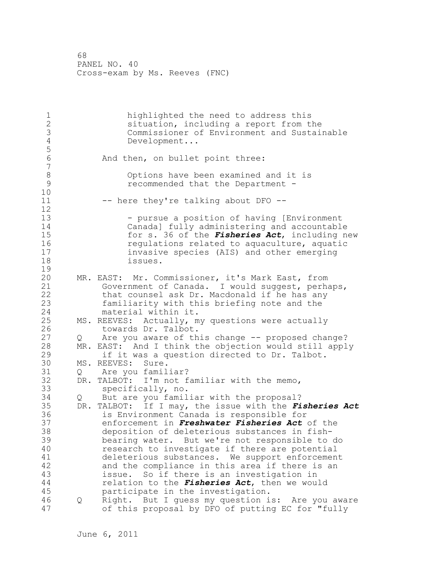| $\mathbf 1$<br>$\mathbf{2}$<br>3<br>$\overline{4}$<br>5 |   | highlighted the need to address this<br>situation, including a report from the<br>Commissioner of Environment and Sustainable<br>Development                                                                                                              |
|---------------------------------------------------------|---|-----------------------------------------------------------------------------------------------------------------------------------------------------------------------------------------------------------------------------------------------------------|
| $\sqrt{6}$<br>$\boldsymbol{7}$                          |   | And then, on bullet point three:                                                                                                                                                                                                                          |
| 8<br>$\mathsf 9$<br>10                                  |   | Options have been examined and it is<br>recommended that the Department -                                                                                                                                                                                 |
| 11<br>12                                                |   | -- here they're talking about DFO --                                                                                                                                                                                                                      |
| 13<br>14<br>15<br>16<br>17<br>18<br>19                  |   | - pursue a position of having [Environment<br>Canada] fully administering and accountable<br>for s. 36 of the <i>Fisheries Act</i> , including new<br>regulations related to aquaculture, aquatic<br>invasive species (AIS) and other emerging<br>issues. |
| 20<br>21<br>22<br>23<br>24                              |   | MR. EAST: Mr. Commissioner, it's Mark East, from<br>Government of Canada. I would suggest, perhaps,<br>that counsel ask Dr. Macdonald if he has any<br>familiarity with this briefing note and the<br>material within it.                                 |
| 25<br>26                                                |   | MS. REEVES: Actually, my questions were actually<br>towards Dr. Talbot.                                                                                                                                                                                   |
| 27<br>28<br>29                                          |   | Q Are you aware of this change -- proposed change?<br>MR. EAST: And I think the objection would still apply<br>if it was a question directed to Dr. Talbot.                                                                                               |
| 30                                                      |   | MS. REEVES:<br>Sure.                                                                                                                                                                                                                                      |
| 31                                                      |   | Q Are you familiar?                                                                                                                                                                                                                                       |
| 32<br>33                                                |   | DR. TALBOT: I'm not familiar with the memo,<br>specifically, no.                                                                                                                                                                                          |
| 34                                                      |   | Q But are you familiar with the proposal?                                                                                                                                                                                                                 |
| 35                                                      |   | DR. TALBOT: If I may, the issue with the Fisheries Act                                                                                                                                                                                                    |
| 36                                                      |   | is Environment Canada is responsible for                                                                                                                                                                                                                  |
| 37                                                      |   | enforcement in Freshwater Fisheries Act of the                                                                                                                                                                                                            |
| 38                                                      |   | deposition of deleterious substances in fish-                                                                                                                                                                                                             |
| 39                                                      |   | bearing water. But we're not responsible to do                                                                                                                                                                                                            |
| 40                                                      |   | research to investigate if there are potential                                                                                                                                                                                                            |
| 41                                                      |   | deleterious substances. We support enforcement                                                                                                                                                                                                            |
| 42                                                      |   | and the compliance in this area if there is an                                                                                                                                                                                                            |
| 43                                                      |   | So if there is an investigation in<br>issue.                                                                                                                                                                                                              |
| 44                                                      |   | relation to the <i>Fisheries Act</i> , then we would                                                                                                                                                                                                      |
| 45                                                      |   | participate in the investigation.                                                                                                                                                                                                                         |
| 46<br>47                                                | Q | Right. But I guess my question is: Are you aware<br>of this proposal by DFO of putting EC for "fully                                                                                                                                                      |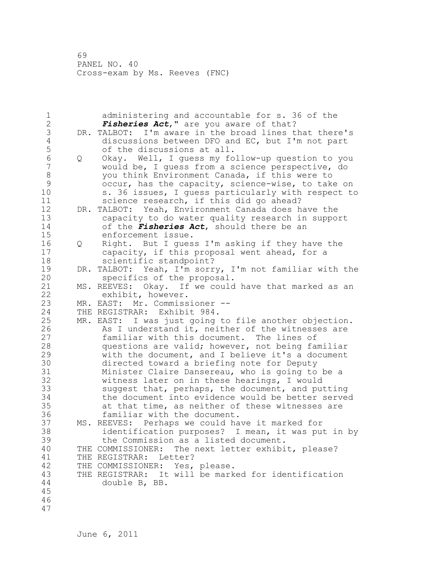| 1<br>$\mathbf{2}$   |   | administering and accountable for s. 36 of the<br>Fisheries Act," are you aware of that?                  |
|---------------------|---|-----------------------------------------------------------------------------------------------------------|
| 3<br>$\overline{4}$ |   | DR. TALBOT: I'm aware in the broad lines that there's<br>discussions between DFO and EC, but I'm not part |
| 5<br>6              | Q | of the discussions at all.<br>Okay. Well, I guess my follow-up question to you                            |
| 7<br>8              |   | would be, I quess from a science perspective, do<br>you think Environment Canada, if this were to         |
| 9<br>10             |   | occur, has the capacity, science-wise, to take on<br>s. 36 issues, I quess particularly with respect to   |
| 11<br>12            |   | science research, if this did go ahead?<br>DR. TALBOT: Yeah, Environment Canada does have the             |
| 13<br>14            |   | capacity to do water quality research in support<br>of the <i>Fisheries Act</i> , should there be an      |
| 15                  |   | enforcement issue.                                                                                        |
| 16<br>17            | Q | Right. But I guess I'm asking if they have the<br>capacity, if this proposal went ahead, for a            |
| 18                  |   | scientific standpoint?                                                                                    |
| 19                  |   | DR. TALBOT: Yeah, I'm sorry, I'm not familiar with the                                                    |
| 20                  |   | specifics of the proposal.                                                                                |
| 21<br>22            |   | MS. REEVES: Okay. If we could have that marked as an<br>exhibit, however.                                 |
| 23                  |   | MR. EAST: Mr. Commissioner --                                                                             |
| 24                  |   | THE REGISTRAR: Exhibit 984.                                                                               |
| 25<br>26            |   | MR. EAST: I was just going to file another objection.<br>As I understand it, neither of the witnesses are |
| 27                  |   | familiar with this document. The lines of                                                                 |
| 28<br>29            |   | questions are valid; however, not being familiar<br>with the document, and I believe it's a document      |
| 30                  |   | directed toward a briefing note for Deputy                                                                |
| 31<br>32            |   | Minister Claire Dansereau, who is going to be a<br>witness later on in these hearings, I would            |
| 33                  |   | suggest that, perhaps, the document, and putting                                                          |
| 34                  |   | the document into evidence would be better served                                                         |
| 35                  |   | at that time, as neither of these witnesses are                                                           |
| 36                  |   | familiar with the document.                                                                               |
| 37                  |   | MS. REEVES: Perhaps we could have it marked for                                                           |
| 38                  |   | identification purposes? I mean, it was put in by                                                         |
| 39                  |   | the Commission as a listed document.                                                                      |
| 40                  |   | The next letter exhibit, please?<br>THE COMMISSIONER:                                                     |
| 41                  |   | THE REGISTRAR:<br>Letter?                                                                                 |
| 42                  |   | THE COMMISSIONER: Yes, please.                                                                            |
| 43                  |   | THE REGISTRAR: It will be marked for identification                                                       |
| 44                  |   | double B, BB.                                                                                             |
| 45                  |   |                                                                                                           |
| 46                  |   |                                                                                                           |
| 47                  |   |                                                                                                           |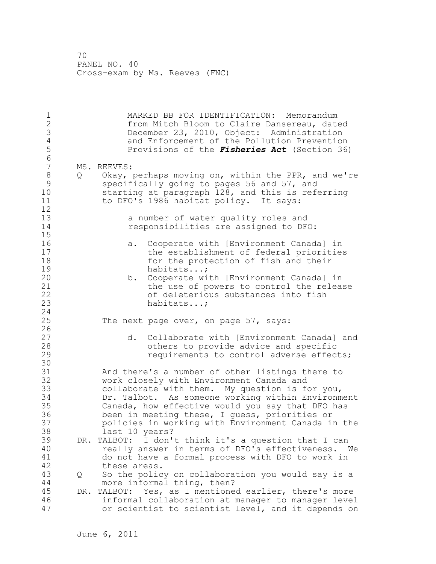1 MARKED BB FOR IDENTIFICATION: Memorandum<br>2 from Mitch Bloom to Claire Dansereau, date 2 from Mitch Bloom to Claire Dansereau, dated<br>3 December 23, 2010, Object: Administration 3 December 23, 2010, Object: Administration 4 and Enforcement of the Pollution Prevention<br>5 Provisions of the *Fisheries Act* (Section 36 5 Provisions of the *Fisheries Act* (Section 36) 6 7 MS.REEVES:<br>8 O Okav*.* 8 Q Okay, perhaps moving on, within the PPR, and we're<br>9 specifically going to pages 56 and 57, and 9 specifically going to pages 56 and 57, and<br>10 starting at paragraph 128, and this is refe 10 starting at paragraph 128, and this is referring<br>11 to DFO's 1986 habitat policy. It savs: to DFO's 1986 habitat policy. It says:  $\begin{array}{c} 12 \\ 13 \end{array}$ 13 13 a number of water quality roles and<br>14 a responsibilities are assigned to DF responsibilities are assigned to DFO:  $\frac{15}{16}$ 16 **16** a. Cooperate with [Environment Canada] in<br>17 the establishment of federal prioritie: 17 the establishment of federal priorities<br>18 for the protection of fish and their 18 for the protection of fish and their<br>19 habitats...; 19 habitats...;<br>20 habitats...; 20 b. Cooperate with [Environment Canada] in<br>21 b the use of powers to control the release 21 the use of powers to control the release<br>22 of deleterious substances into fish 22 of deleterious substances into fish<br>23 habitats...: habitats...;  $\frac{24}{25}$ The next page over, on page  $57$ , says:  $\frac{26}{27}$ 27 d. Collaborate with [Environment Canada] and<br>28 decembers to provide advice and specific 28 others to provide advice and specific requirements to control adverse effects; 30<br>31 31 And there's a number of other listings there to<br>32 work closely with Environment Canada and 32 work closely with Environment Canada and<br>33 collaborate with them. My question is f 33 collaborate with them. My question is for you, 34 Dr. Talbot. As someone working within Environment<br>35 Canada, how effective would you sav that DFO has 35 Canada, how effective would you say that DFO has 36 been in meeting these, I guess, priorities or 37 policies in working with Environment Canada in the 38 last 10 years?<br>39 DR. TALBOT: I don' 39 DR. TALBOT: I don't think it's a question that I can 40 really answer in terms of DFO's effectiveness. We<br>41 do not have a formal process with DFO to work in 41 do not have a formal process with DFO to work in 42 these areas.<br>43 0 So the polic 43 Q So the policy on collaboration you would say is a 44 more informal thing, then?<br>45 DR. TALBOT: Yes, as I mentione DR. TALBOT: Yes, as I mentioned earlier, there's more 46 informal collaboration at manager to manager level or scientist to scientist level, and it depends on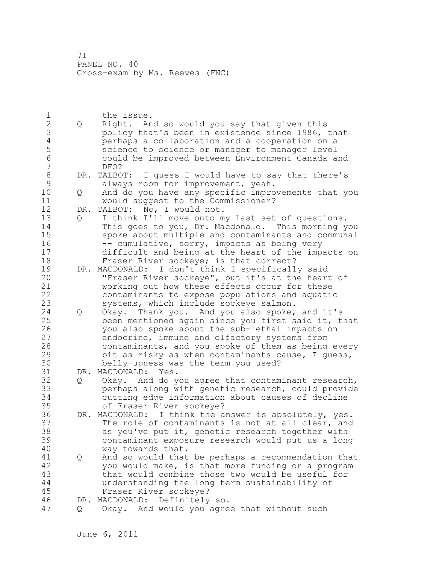1<br>
2 0 Right. An 2 Q Right. And so would you say that given this<br>3 bolicy that's been in existence since 1986, 3 policy that's been in existence since 1986, that<br>4 perhaps a collaboration and a cooperation on a 4 perhaps a collaboration and a cooperation on a 5 5 science to science or manager to manager level<br>6 6 could be improved between Environment Canada a 6 could be improved between Environment Canada and 7 DFO? 8 DR. TALBOT: I guess I would have to say that there's<br>9 always room for improvement, yeah. 9 always room for improvement, yeah.<br>10 0 And do vou have any specific impro 10 Q And do you have any specific improvements that you<br>11 Would suggest to the Commissioner? 11 would suggest to the Commissioner?<br>12 DR. TALBOT: No. I would not. 12 DR. TALBOT: No, I would not.<br>13 0 I think I'll move onto m 13 Q I think I'll move onto my last set of questions.<br>14 This goes to vou, Dr. Macdonald. This morning v 14 This goes to you, Dr. Macdonald. This morning you<br>15 Spoke about multiple and contaminants and communal 15 spoke about multiple and contaminants and communal<br>16 -- cumulative, sorry, impacts as being very 16 -- cumulative, sorry, impacts as being very<br>17 difficult and being at the heart of the impa 17 difficult and being at the heart of the impacts on<br>18 Fraser River sockeve: is that correct? 18 Fraser River sockeye; is that correct?<br>19 DR. MACDONALD: I don't think I specificall 19 DR. MACDONALD: I don't think I specifically said<br>20 TFraser River sockeye", but it's at the heart 20 "Fraser River sockeye", but it's at the heart of<br>21 working out how these effects occur for these 21 working out how these effects occur for these<br>22 contaminants to expose populations and aquation 22 contaminants to expose populations and aquatic<br>23 systems, which include sockeve salmon. systems, which include sockeye salmon. 24 Q Okay. Thank you. And you also spoke, and it's<br>25 been mentioned again since you first said it, t 25 been mentioned again since you first said it, that<br>26 vou also spoke about the sub-lethal impacts on 26 you also spoke about the sub-lethal impacts on<br>27 endocrine, immune and olfactory systems from 27 endocrine, immune and olfactory systems from<br>28 contaminants, and you spoke of them as being 28 contaminants, and you spoke of them as being every<br>29 bit as risky as when contaminants cause, I quess, 29 bit as risky as when contaminants cause, I guess,<br>30 bellv-upness was the term you used? 30 belly-upness was the term you used?<br>31 DR. MACDONALD: Yes. 31 DR. MACDONALD: Yes.<br>32 0 Okav. And do v 32 Q Okay. And do you agree that contaminant research,<br>33 berhaps along with genetic research, could provide 33 perhaps along with genetic research, could provide 34 cutting edge information about causes of decline 35 of Fraser River sockeye?<br>36 DR. MACDONALD: I think the a 36 DR. MACDONALD: I think the answer is absolutely, yes. 37 The role of contaminants is not at all clear, and<br>38 as you've put it, genetic research together with 38 as you've put it, genetic research together with<br>39 contaminant exposure research would put us a long 39 contaminant exposure research would put us a long 40 way towards that.<br>41 0 And so would that 41 Q And so would that be perhaps a recommendation that<br>42 vou would make, is that more funding or a program 42 you would make, is that more funding or a program<br>43 that would combine those two would be useful for 43 that would combine those two would be useful for<br>44 understanding the long term sustainability of 44 understanding the long term sustainability of 45 Fraser River sockeye? 46 DR. MACDONALD: Definitely so.<br>47 0 Okay. And would you agre Q Okay. And would you agree that without such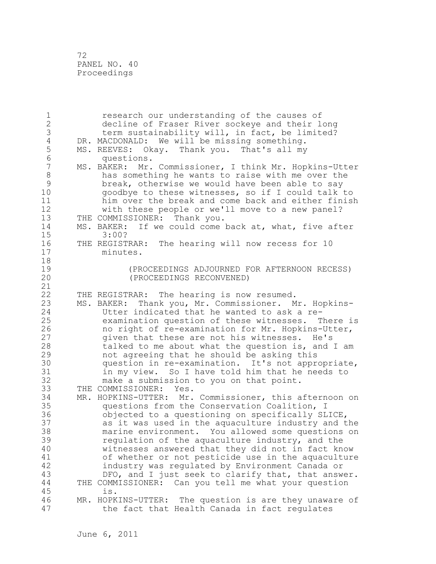72 PANEL NO. 40 Proceedings

1 1 research our understanding of the causes of<br>2 3 decline of Fraser River sockeve and their 1 2 decline of Fraser River sockeye and their long<br>3 term sustainability will, in fact, be limited? 3 term sustainability will, in fact, be limited?<br>4 DR. MACDONALD: We will be missing something. 4 DR. MACDONALD: We will be missing something.<br>5 MS. REEVES: Okay. Thank you. That's all my 5 MS. REEVES: Okay. Thank you. That's all my<br>6 duestions. 6 questions.<br>7 MS. BAKER: Mr. 7 MS. BAKER: Mr. Commissioner, I think Mr. Hopkins-Utter<br>8 has something he wants to raise with me over the 8 has something he wants to raise with me over the<br>9 hereak, otherwise we would have been able to sav 9 break, otherwise we would have been able to say<br>10 ooodbve to these witnesses, so if I could talk 10 900dbye to these witnesses, so if I could talk to<br>11 him over the break and come back and either finis 11 him over the break and come back and either finish<br>12 with these people or we'll move to a new panel? 12 with these people or we'll move to a new panel?<br>13 THE COMMISSIONER: Thank you. 13 THE COMMISSIONER: Thank you.<br>14 MS. BAKER: If we could come 14 MS. BAKER: If we could come back at, what, five after 15 15 3:00?<br>16 THE REGIST 16 THE REGISTRAR: The hearing will now recess for 10<br>17 minutes. minutes. 18<br>19 19 (PROCEEDINGS ADJOURNED FOR AFTERNOON RECESS) 20 (PROCEEDINGS RECONVENED)  $\frac{21}{22}$ 22 THE REGISTRAR: The hearing is now resumed.<br>23 MS. BAKER: Thank vou, Mr. Commissioner. M MS. BAKER: Thank you, Mr. Commissioner. Mr. Hopkins-24 Utter indicated that he wanted to ask a re-<br>25 examination question of these witnesses. T 25 examination question of these witnesses. There is 26 10 no right of re-examination for Mr. Hopkins-Utter,<br>27 31 1910 1920 1920 1921 1922 1924 1925 1927 1928 1929 1920 1921 1928 1929 1920 1920 1920 1920 1920 1920 192 27 328 given that these are not his witnesses. He's<br>28 5 talked to me about what the question is, and 28 talked to me about what the question is, and I am<br>29 hot agreeing that he should be asking this 29 hot agreeing that he should be asking this<br>30 hours and the-examination. It's not appr 30 question in re-examination. It's not appropriate, 31 in my view. So I have told him that he needs to<br>32 make a submission to you on that point. 32 make a submission to you on that point.<br>33 THE COMMISSIONER: Yes. 33 THE COMMISSIONER: Yes.<br>34 MR. HOPKINS-UTTER: Mr. 34 MR. HOPKINS-UTTER: Mr. Commissioner, this afternoon on<br>35 ouestions from the Conservation Coalition, I 35 questions from the Conservation Coalition, I 36 6 objected to a questioning on specifically SLICE,<br>37 as it was used in the aguaculture industry and t 37 as it was used in the aquaculture industry and the 38 marine environment. You allowed some questions on<br>39 meaulation of the aquaculture industry, and the 39 39 regulation of the aquaculture industry, and the<br>40 witnesses answered that they did not in fact know 40 witnesses answered that they did not in fact know 41 of whether or not pesticide use in the aquaculture<br>42 industry was regulated by Environment Canada or 42 industry was regulated by Environment Canada or<br>43 DFO, and I just seek to clarify that, that answ 43 DFO, and I just seek to clarify that, that answer.<br>44 THE COMMISSIONER: Can you tell me what your question 44 THE COMMISSIONER: Can you tell me what your question 45 is. 46 MR. HOPKINS-UTTER: The question is are they unaware of<br>47 the fact that Health Canada in fact regulates the fact that Health Canada in fact regulates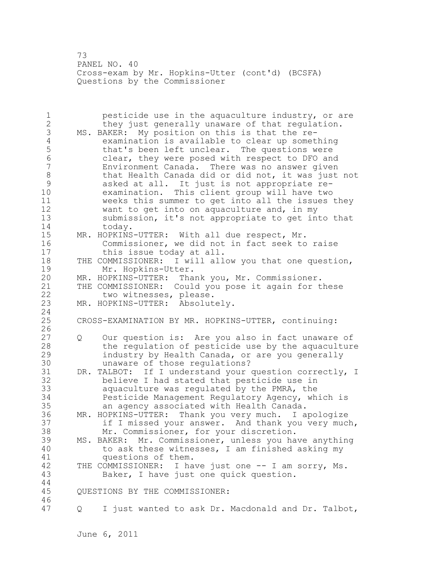73 PANEL NO. 40 Cross-exam by Mr. Hopkins-Utter (cont'd) (BCSFA) Questions by the Commissioner

1 **1** pesticide use in the aquaculture industry, or are<br>2 **they iust generally unaware of that regulation.** 2 they just generally unaware of that regulation.<br>3 MS. BAKER: My position on this is that the re-3 MS. BAKER: My position on this is that the re-<br>4 examination is available to clear up somet 4 examination is available to clear up something 5 that's been left unclear. The questions were<br>6 (clear, they were posed with respect to DFO an 6 clear, they were posed with respect to DFO and 7 Environment Canada. There was no answer given 8 that Health Canada did or did not, it was just not<br>9 asked at all. It just is not appropriate re-9 asked at all. It just is not appropriate re-10 examination. This client group will have two<br>11 weeks this summer to get into all the issues 11 weeks this summer to get into all the issues they<br>12 want to get into on aguaculture and, in my 12 want to get into on aquaculture and, in my<br>13 submission, it's not appropriate to get in 13 submission, it's not appropriate to get into that 14 today.<br>15 MR. HOPKINS 15 MR. HOPKINS-UTTER: With all due respect, Mr.<br>16 Commissioner, we did not in fact seek to 16 Commissioner, we did not in fact seek to raise<br>17 this issue todav at all. 17 this issue today at all.<br>18 THE COMMISSIONER: I will all 18 THE COMMISSIONER: I will allow you that one question,<br>19 Mr. Hopkins-Utter. 19 Mr. Hopkins-Utter.<br>20 MR. HOPKINS-UTTER: Tha 20 MR. HOPKINS-UTTER: Thank you, Mr. Commissioner.<br>21 THE COMMISSIONER: Could you pose it again for t 21 THE COMMISSIONER: Could you pose it again for these<br>22 two witnesses, please. 22 two witnesses, please.<br>23 MR. HOPKINS-UTTER: Absolut MR. HOPKINS-UTTER: Absolutely.  $\frac{24}{25}$ CROSS-EXAMINATION BY MR. HOPKINS-UTTER, continuing:  $\frac{26}{27}$ 27 Q Our question is: Are you also in fact unaware of<br>28 The requiation of pesticide use by the aquaculture 28 the regulation of pesticide use by the aquaculture<br>29 the andustry by Health Canada, or are you generally 29 11 industry by Health Canada, or are you generally<br>30 11 unaware of those regulations? 30 unaware of those regulations?<br>31 DR. TALBOT: If I understand your 31 DR. TALBOT: If I understand your question correctly, I<br>32 believe I had stated that pesticide use in 32 believe I had stated that pesticide use in<br>33 aquaculture was requlated by the PMRA, the 33 aquaculture was regulated by the PMRA, the 34 Pesticide Management Regulatory Agency, which is 35 an agency associated with Health Canada. 36 MR. HOPKINS-UTTER: Thank you very much. I apologize 37 if I missed your answer. And thank you very much,<br>38 Mr. Commissioner, for your discretion. 38 Mr. Commissioner, for your discretion. 39 MS. BAKER: Mr. Commissioner, unless you have anything 40 to ask these witnesses, I am finished asking my<br>41 cuestions of them. 41 questions of them.<br>42 THE COMMISSIONER: I ha 42 THE COMMISSIONER: I have just one -- I am sorry, Ms.<br>43 Baker, I have just one quick question. Baker, I have just one quick question.  $44$ <br> $45$ QUESTIONS BY THE COMMISSIONER: 46<br>47 Q I just wanted to ask Dr. Macdonald and Dr. Talbot,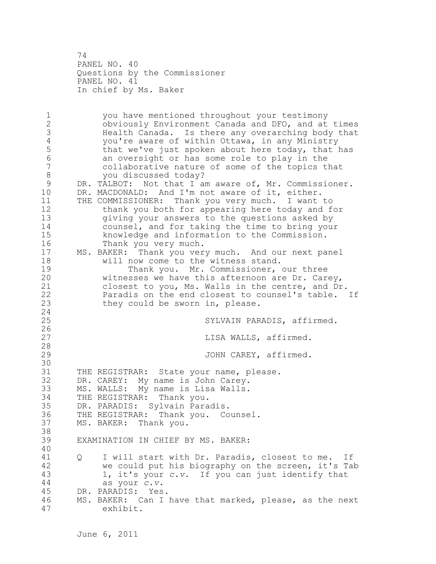74 PANEL NO. 40 Questions by the Commissioner PANEL NO. 41 In chief by Ms. Baker

1 you have mentioned throughout your testimony<br>2 0bviously Environment Canada and DFO, and at 2 obviously Environment Canada and DFO, and at times 3 Health Canada. Is there any overarching body that 4 you're aware of within Ottawa, in any Ministry<br>5 that we've just spoken about here today, that 5 that we've just spoken about here today, that has<br>6 an oversight or has some role to play in the 6 an oversight or has some role to play in the 7 collaborative nature of some of the topics that 8 you discussed today?<br>9 DR. TALBOT: Not that I am 9 DR. TALBOT: Not that I am aware of, Mr. Commissioner.<br>10 DR. MACDONALD: And I'm not aware of it, either. 10 DR. MACDONALD: And I'm not aware of it, either.<br>11 THE COMMISSIONER: Thank you very much. I want 11 THE COMMISSIONER: Thank you very much. I want to<br>12 thank you both for appearing here today and f 12 thank you both for appearing here today and for<br>13 oiving your answers to the questions asked by 13 giving your answers to the questions asked by<br>14 counsel, and for taking the time to bring you 14 counsel, and for taking the time to bring your<br>15 knowledge and information to the Commission. 15 knowledge and information to the Commission.<br>16 Thank you very much. 16 Thank you very much. 17 MS. BAKER: Thank you very much. And our next panel<br>18 will now come to the witness stand. 18 will now come to the witness stand.<br>19 Thank you. Mr. Commissioner, 19 Thank you. Mr. Commissioner, our three<br>20 witnesses we have this afternoon are Dr. Care 20 witnesses we have this afternoon are Dr. Carey,<br>21 closest to you, Ms. Walls in the centre, and Dr 21 closest to you, Ms. Walls in the centre, and Dr.<br>22 Paradis on the end closest to counsel's table. 22 22 Paradis on the end closest to counsel's table. If<br>23 they could be sworn in, please. they could be sworn in, please.  $\begin{array}{c} 24 \\ 25 \end{array}$ SYLVAIN PARADIS, affirmed.  $\frac{26}{27}$ LISA WALLS, affirmed. 28 JOHN CAREY, affirmed. 30<br>31 31 THE REGISTRAR: State your name, please.<br>32 DR. CAREY: My name is John Carey. 32 DR. CAREY: My name is John Carey. 33 MS. WALLS: My name is Lisa Walls.<br>34 THE REGISTRAR: Thank vou. THE REGISTRAR: Thank you. 35 DR. PARADIS: Sylvain Paradis. 36 THE REGISTRAR: Thank you. Counsel.<br>37 MS. BAKER: Thank vou. MS. BAKER: Thank you. 38<br>39 EXAMINATION IN CHIEF BY MS. BAKER: 40<br>41 41 Q I will start with Dr. Paradis, closest to me. If<br>42 We could put his biography on the screen, it's Tal 42 we could put his biography on the screen, it's Tab<br>43 1, it's your c.v. If you can just identify that 1, it's your *c.v.* If you can just identify that 44 as your *c.v.* DR. PARADIS: Yes. 46 MS. BAKER: Can I have that marked, please, as the next<br>47 exhibit. exhibit.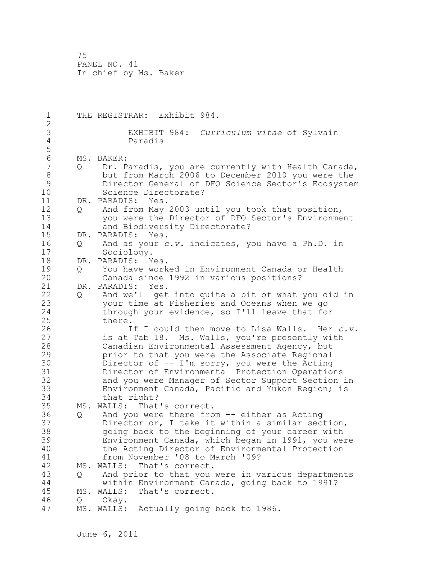1 THE REGISTRAR: Exhibit 984.  $\frac{2}{3}$ 3 EXHIBIT 984: *Curriculum vitae* of Sylvain Paradis 5 6 MS. BAKER:<br>7 0 Dr. P 7 Q Dr. Paradis, you are currently with Health Canada,<br>8 but from March 2006 to December 2010 you were the 8 but from March 2006 to December 2010 you were the 9 Director General of DFO Science Sector's Ecosystem 10 Science Directorate?<br>11 DR. PARADIS: Yes. 11 DR. PARADIS: Yes.<br>12 0 And from Mav 12 Q And from May 2003 until you took that position,<br>13 vou were the Director of DFO Sector's Environme 13 you were the Director of DFO Sector's Environment<br>14 and Biodiversity Directorate? 14 and Biodiversity Directorate?<br>15 DR. PARADIS: Yes. 15 DR. PARADIS: Yes.<br>16 0 And as your c 16 Q And as your *c.v.* indicates, you have a Ph.D. in 17 Sociology.<br>18 DR. PARADIS: Y 18 DR. PARADIS: Yes.<br>19 0 You have work 19 Q You have worked in Environment Canada or Health<br>20 Canada since 1992 in various positions? 20 Canada since 1992 in various positions?<br>21 DR. PARADIS: Yes. 21 DR. PARADIS: Yes.<br>22 0 And we'll get 22 Q And we'll get into quite a bit of what you did in<br>23 vour time at Fisheries and Oceans when we go 23 your time at Fisheries and Oceans when we go<br>24 through your evidence, so I'll leave that for 24 through your evidence, so I'll leave that for<br>25 there. 25 there.<br>26 I 26 1f I could then move to Lisa Walls. Her *c.v.*<br>27 is at Tab 18. Ms. Walls, you're presently with 27 is at Tab 18. Ms. Walls, you're presently with<br>28 Canadian Environmental Assessment Agency, but 28 Canadian Environmental Assessment Agency, but<br>29 The prior to that you were the Associate Regional 29 **19** prior to that you were the Associate Regional<br>30 **19 Director of -- I'm sorry, you were the Acting** 30 Director of -- I'm sorry, you were the Acting 31 Director of Environmental Protection Operations 32 and you were Manager of Sector Support Section in<br>33 Environment Canada, Pacific and Yukon Region; is 33 Environment Canada, Pacific and Yukon Region; is that right? 35 MS. WALLS: That's correct. 36 Q And you were there from -- either as Acting 37 Director or, I take it within a similar section,<br>38 oping back to the beginning of your career with 38 38 going back to the beginning of your career with<br>39 Environment Canada, which began in 1991, you well 39 Environment Canada, which began in 1991, you were 40 the Acting Director of Environmental Protection<br>41 from November '08 to March '09? 41 from November '08 to March '09?<br>42 MS. WALLS: That's correct. 42 MS. WALLS: That's correct.<br>43 0 And prior to that you 43 Q And prior to that you were in various departments 44 within Environment Canada, going back to 1991? MS. WALLS: That's correct. 46 Q Okay.<br>47 MS. WALLS: MS. WALLS: Actually going back to 1986.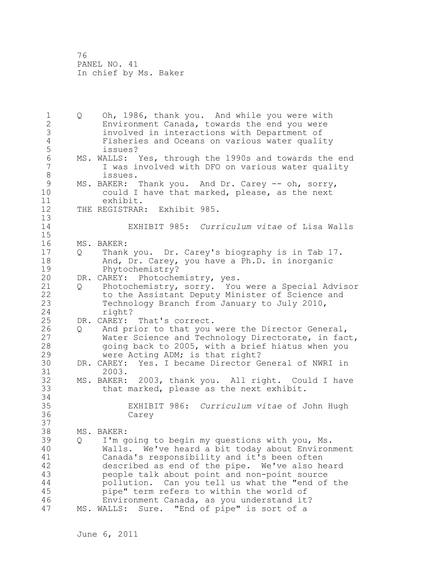1 Q Oh, 1986, thank you. And while you were with<br>2 Environment Canada, towards the end you were 2 Environment Canada, towards the end you were 3 involved in interactions with Department of 4 Fisheries and Oceans on various water quality 5 issues?<br>6 MS. WALLS: 6 MS. WALLS: Yes, through the 1990s and towards the end<br>7 T was involved with DFO on various water quality 7 I was involved with DFO on various water quality 8 issues.<br>9 MS. BAKER: 9 MS. BAKER: Thank you. And Dr. Carey -- oh, sorry,<br>10 could I have that marked, please, as the next 10 could I have that marked, please, as the next<br>11 exhibit. 11 exhibit.<br>12 THE REGISTRAR THE REGISTRAR: Exhibit 985.  $\begin{array}{c} 13 \\ 14 \end{array}$ 14 EXHIBIT 985: *Curriculum vitae* of Lisa Walls  $\frac{15}{16}$ 16 MS. BAKER:<br>17 0 Thank 17 Q Thank you. Dr. Carey's biography is in Tab 17.<br>18 And. Dr. Carev. vou have a Ph.D. in inorganic 18 And, Dr. Carey, you have a Ph.D. in inorganic 19 Phytochemistry?<br>20 DR. CAREY: Photoche 20 DR. CAREY: Photochemistry, yes.<br>21 0 Photochemistry, sorry. You 21 Q Photochemistry, sorry. You were a Special Advisor<br>22 to the Assistant Deputy Minister of Science and 22 to the Assistant Deputy Minister of Science and<br>23 Technology Branch from January to July 2010, Technology Branch from January to July 2010, 24 right?<br>25 DR. CAREY: 25 DR. CAREY: That's correct.<br>26 0 And prior to that you 26 Q And prior to that you were the Director General,<br>27 Water Science and Technology Directorate, in fac 27 Water Science and Technology Directorate, in fact,<br>28 ooing back to 2005, with a brief hiatus when you 28 30 going back to 2005, with a brief hiatus when you<br>29 30 were Acting ADM: is that right? 29 were Acting ADM; is that right?<br>30 DR. CAREY: Yes. I became Director G 30 DR. CAREY: Yes. I became Director General of NWRI in 31 2003.<br>32 MS. BAKER: 32 MS. BAKER: 2003, thank you. All right. Could I have that marked, please as the next exhibit. 34<br>35 35 EXHIBIT 986: *Curriculum vitae* of John Hugh Carey 37<br>38 38 MS. BAKER:<br>39 O I'ma 39 Q I'm going to begin my questions with you, Ms. 40 Walls. We've heard a bit today about Environment<br>41 Canada's responsibility and it's been often 41 Canada's responsibility and it's been often<br>42 described as end of the pipe. We've also he 42 described as end of the pipe. We've also heard<br>43 beople talk about point and non-point source 43 beople talk about point and non-point source<br>44 bollution. Can you tell us what the "end of 44 pollution. Can you tell us what the "end of the pipe" term refers to within the world of 46 Environment Canada, as you understand it?<br>47 MS. WALLS: Sure. "End of pipe" is sort of a MS. WALLS: Sure. "End of pipe" is sort of a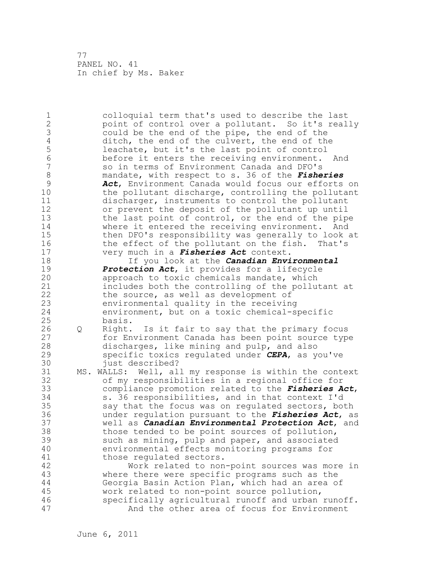1 colloquial term that's used to describe the last<br>2 coint of control over a pollutant. So it's real 2 boint of control over a pollutant. So it's really<br>3 could be the end of the pipe, the end of the 3 could be the end of the pipe, the end of the<br>4 ditch, the end of the culvert, the end of the 4 ditch, the end of the culvert, the end of the<br>5 leachate, but it's the last point of control 5 leachate, but it's the last point of control<br>6 before it enters the receiving environment. And 6 before it enters the receiving environment.<br>7 3 30 in terms of Environment Canada and DFO's 7 so in terms of Environment Canada and DFO's 8 mandate, with respect to s. 36 of the *Fisheries*  9 *Act*, Environment Canada would focus our efforts on 10 the pollutant discharge, controlling the pollutant<br>11 discharger, instruments to control the pollutant 11 discharger, instruments to control the pollutant<br>12 or prevent the deposit of the pollutant up until 12 or prevent the deposit of the pollutant up until<br>13 the last point of control, or the end of the pip 13 the last point of control, or the end of the pipe<br>14 where it entered the receiving environment. And 14 where it entered the receiving environment. And<br>15 then DFO's responsibility was generally to look 15 then DFO's responsibility was generally to look at<br>16 the effect of the pollutant on the fish. That's 16 the effect of the pollutant on the fish. That's<br>17 very much in a *Fisheries Act* context. 17 very much in a *Fisheries Act* context. 18 If you look at the *Canadian Environmental*  19 **Protection Act**, it provides for a lifecycle<br>20 *Approach to toxic chemicals mandate, which* 20 approach to toxic chemicals mandate, which<br>21 includes both the controlling of the pollu 21 includes both the controlling of the pollutant at<br>22 the source, as well as development of 22 the source, as well as development of<br>23 environmental quality in the receivin environmental quality in the receiving 24 environment, but on a toxic chemical-specific<br>25 basis. 25 basis.<br>26 O Right. 26 Q Right. Is it fair to say that the primary focus<br>27 for Environment Canada has been point source type 27 for Environment Canada has been point source type<br>28 discharges, like mining and pulp, and also 28 discharges, like mining and pulp, and also<br>29 specific toxics regulated under CEPA, as ve 29 specific toxics regulated under *CEPA*, as you've 30 just described?<br>31 MS. WALLS: Well, al 31 MS. WALLS: Well, all my response is within the context<br>32 of my responsibilities in a regional office for 32 of my responsibilities in a regional office for<br>33 compliance promotion related to the *Fisheries* A 33 compliance promotion related to the *Fisheries Act*, 34 5.36 responsibilities, and in that context I'd<br>35 38 say that the focus was on regulated sectors, bot 35 say that the focus was on regulated sectors, both 36 under regulation pursuant to the *Fisheries Act*, as 37 well as *Canadian Environmental Protection Act*, and 38 those tended to be point sources of pollution,<br>39 such as mining, pulp and paper, and associated 39 such as mining, pulp and paper, and associated 40 environmental effects monitoring programs for<br>41 those regulated sectors. 41 those regulated sectors.<br>42 Work related to non 42 Work related to non-point sources was more in<br>43 where there were specific programs such as the where there were specific programs such as the 44 Georgia Basin Action Plan, which had an area of work related to non-point source pollution, 46 specifically agricultural runoff and urban runoff.<br>47 hnd the other area of focus for Environment And the other area of focus for Environment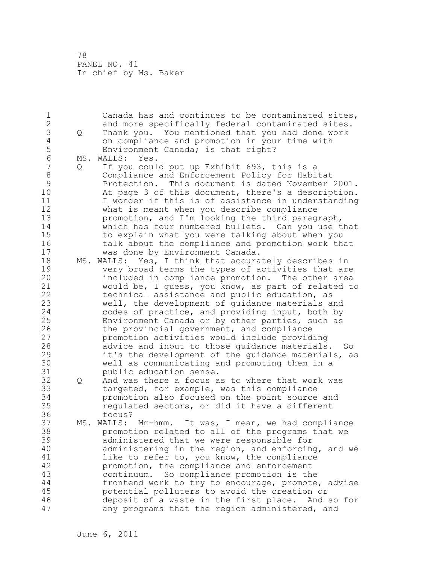| $\mathbf 1$     |   | Canada has and continues to be contaminated sites,      |
|-----------------|---|---------------------------------------------------------|
| $\overline{2}$  |   | and more specifically federal contaminated sites.       |
| 3               | Q | Thank you. You mentioned that you had done work         |
| $\sqrt{4}$      |   | on compliance and promotion in your time with           |
| 5               |   | Environment Canada; is that right?                      |
| $6\phantom{.}6$ |   | MS. WALLS:<br>Yes.                                      |
| $\overline{7}$  | Q | If you could put up Exhibit 693, this is a              |
| $\,8\,$         |   | Compliance and Enforcement Policy for Habitat           |
| $\mathcal{G}$   |   |                                                         |
|                 |   | Protection. This document is dated November 2001.       |
| 10              |   | At page 3 of this document, there's a description.      |
| 11              |   | I wonder if this is of assistance in understanding      |
| 12              |   | what is meant when you describe compliance              |
| 13              |   | promotion, and I'm looking the third paragraph,         |
| 14              |   | which has four numbered bullets. Can you use that       |
| 15              |   | to explain what you were talking about when you         |
| 16              |   | talk about the compliance and promotion work that       |
| 17              |   | was done by Environment Canada.                         |
| 18              |   | MS. WALLS: Yes, I think that accurately describes in    |
| 19              |   | very broad terms the types of activities that are       |
| 20              |   | included in compliance promotion. The other area        |
| 21              |   | would be, I guess, you know, as part of related to      |
| 22              |   | technical assistance and public education, as           |
| 23              |   | well, the development of guidance materials and         |
| 24              |   | codes of practice, and providing input, both by         |
| 25              |   | Environment Canada or by other parties, such as         |
| 26              |   | the provincial government, and compliance               |
| 27              |   | promotion activities would include providing            |
| 28              |   | advice and input to those guidance materials.<br>So     |
| 29              |   | it's the development of the guidance materials, as      |
| 30              |   | well as communicating and promoting them in a           |
| 31              |   | public education sense.                                 |
| 32              | Q | And was there a focus as to where that work was         |
| 33              |   | targeted, for example, was this compliance              |
| 34              |   | promotion also focused on the point source and          |
| 35              |   | regulated sectors, or did it have a different           |
| 36              |   | focus?                                                  |
| 37              |   |                                                         |
| 38              |   | MS. WALLS:<br>Mm-hmm. It was, I mean, we had compliance |
|                 |   | promotion related to all of the programs that we        |
| 39              |   | administered that we were responsible for               |
| 40              |   | administering in the region, and enforcing, and we      |
| 41              |   | like to refer to, you know, the compliance              |
| 42              |   | promotion, the compliance and enforcement               |
| 43              |   | continuum. So compliance promotion is the               |
| 44              |   | frontend work to try to encourage, promote, advise      |
| 45              |   | potential polluters to avoid the creation or            |
| 46              |   | deposit of a waste in the first place. And so for       |
| 47              |   | any programs that the region administered, and          |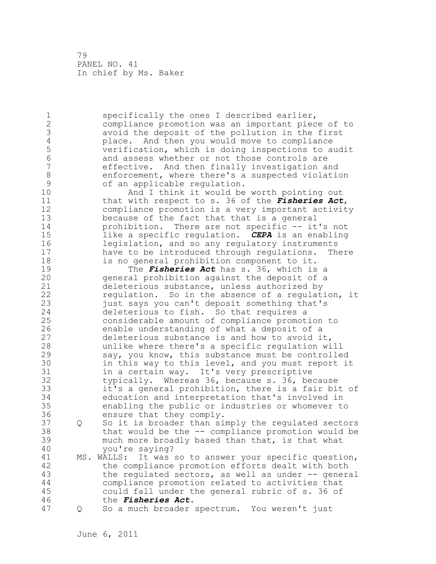1 specifically the ones I described earlier,<br>2 compliance promotion was an important piec 2 compliance promotion was an important piece of to 3 avoid the deposit of the pollution in the first<br>4 place. And then you would move to compliance 4 place. And then you would move to compliance<br>5 verification, which is doing inspections to a 5 verification, which is doing inspections to audit 6 and assess whether or not those controls are 7 effective. And then finally investigation and 8 enforcement, where there's a suspected violation<br>9 of an applicable requlation. 9 of an applicable regulation. 10 And I think it would be worth pointing out<br>11 that with respect to s. 36 of the *Fisheries Act* 11 that with respect to s. 36 of the *Fisheries Act*, 12 compliance promotion is a very important activity<br>13 because of the fact that that is a general 13 because of the fact that that is a general<br>14 brohibition. There are not specific -- it 14 **prohibition.** There are not specific -- it's not<br>15 1ike a specific requlation. **CEPA** is an enabling 15 like a specific regulation. *CEPA* is an enabling 16 16 1egislation, and so any regulatory instruments<br>17 12 have to be introduced through regulations. The 17 have to be introduced through regulations. There<br>18 is no general prohibition component to it. 18 is no general prohibition component to it.<br>19 The *Fisheries Act* has s. 36, which is 19 The *Fisheries Act* has s. 36, which is a<br>20 general prohibition against the deposit of a 20 general prohibition against the deposit of a<br>21 deleterious substance, unless authorized by 21 deleterious substance, unless authorized by 22 22 regulation. So in the absence of a regulation, it<br>23 the save you can't deposit something that's 23 3 just says you can't deposit something that's<br>24 deleterious to fish. So that requires a 24 deleterious to fish. So that requires a<br>25 considerable amount of compliance promot 25 considerable amount of compliance promotion to<br>26 enable understanding of what a deposit of a 26 enable understanding of what a deposit of a<br>27 deleterious substance is and how to avoid i 27 deleterious substance is and how to avoid it,<br>28 The unlike where there's a specific regulation wi 28 and unlike where there's a specific regulation will<br>29 and the say, you know, this substance must be controlle 29 say, you know, this substance must be controlled 30 in this way to this level, and you must report it<br>31 in a certain way. It's very prescriptive 31 in a certain way. It's very prescriptive<br>32 bypically. Whereas 36, because s. 36, be 32 typically. Whereas 36, because s. 36, because<br>33 it's a general prohibition, there is a fair bi 33 it's a general prohibition, there is a fair bit of 34 education and interpretation that's involved in 35 enabling the public or industries or whomever to 36 ensure that they comply.<br>37 0 So it is broader than si 37 Q So it is broader than simply the regulated sectors<br>38 that would be the -- compliance promotion would be 38 that would be the -- compliance promotion would be<br>39 much more broadly based than that, is that what much more broadly based than that, is that what 40 you're saying?<br>41 MS.WALLS: It was 41 MS. WALLS: It was so to answer your specific question,<br>42 the compliance promotion efforts dealt with both 42 the compliance promotion efforts dealt with both<br>43 the regulated sectors, as well as under -- gener the regulated sectors, as well as under  $-$ - general 44 compliance promotion related to activities that<br>45 could fall under the general rubric of s. 36 of could fall under the general rubric of s. 36 of 46 the *Fisheries Act*. Q So a much broader spectrum. You weren't just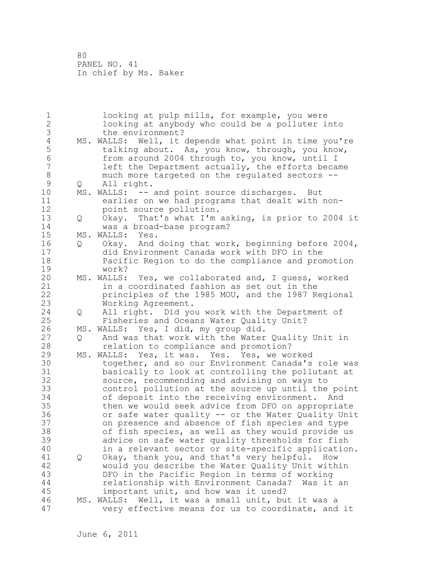1 looking at pulp mills, for example, you were<br>2 looking at anybody who could be a polluter i 2 looking at anybody who could be a polluter into 3 the environment?<br>4 MS. WALLS: Well, it 4 MS. WALLS: Well, it depends what point in time you're<br>5 talking about. As, you know, through, you know, 5 talking about. As, you know, through, you know,<br>6 from around 2004 through to, you know, until I 6 from around 2004 through to, you know, until I<br>7 left the Department actually, the efforts becar 7 1 1 left the Department actually, the efforts became<br>8 1 much more targeted on the regulated sectors --8 much more targeted on the regulated sectors --<br>9 0 All right. 9 Q All right.<br>10 MS. WALLS: --10 MS. WALLS: -- and point source discharges. But<br>11 earlier on we had programs that dealt with 11 earlier on we had programs that dealt with non-<br>12 boint source pollution. 12 point source pollution.<br>13 0 Okav. That's what I'm 13 Q Okay. That's what I'm asking, is prior to 2004 it 14 was a broad-base program?<br>15 MS. WALLS: Yes. 15 MS. WALLS: Yes.<br>16 0 Okay. And 16 Q Okay. And doing that work, beginning before 2004,<br>17 did Environment Canada work with DFO in the 17 did Environment Canada work with DFO in the 18 Pacific Region to do the compliance and promotion<br>19 Work? 19 work?<br>20 MS. WALLS: 20 MS. WALLS: Yes, we collaborated and, I guess, worked<br>21 in a coordinated fashion as set out in the 21 in a coordinated fashion as set out in the<br>22 brinciples of the 1985 MOU, and the 1987 Re 22 principles of the 1985 MOU, and the 1987 Regional 23 Working Agreement.<br>24 0 All right. Did vo 24 Q All right. Did you work with the Department of 25 Fisheries and Oceans Water Quality Unit?<br>26 MS. WALLS: Yes, I did, my group did. 26 MS. WALLS: Yes, I did, my group did. 27 Q And was that work with the Water Quality Unit in<br>28 Telation to compliance and promotion? 28 relation to compliance and promotion?<br>29 MS. WALLS: Yes, it was. Yes. Yes, we wo 29 MS. WALLS: Yes, it was. Yes. Yes, we worked<br>30 together, and so our Environment Canada's 30 together, and so our Environment Canada's role was 31 basically to look at controlling the pollutant at<br>32 source, recommending and advising on wavs to 32 source, recommending and advising on ways to 33 control pollution at the source up until the point 34 of deposit into the receiving environment. And<br>35 then we would seek advice from DFO on appropriat 35 then we would seek advice from DFO on appropriate 36 or safe water quality -- or the Water Quality Unit<br>37 on presence and absence of fish species and type 37 on presence and absence of fish species and type<br>38 of fish species, as well as they would provide u 38 of fish species, as well as they would provide us<br>39 advice on safe water quality thresholds for fish 39 advice on safe water quality thresholds for fish 40 in a relevant sector or site-specific application.<br>41 0 Okay, thank you, and that's very helpful. How 41 Q Okay, thank you, and that's very helpful. How<br>42 would you describe the Water Quality Unit with 42 would you describe the Water Quality Unit within<br>43 DFO in the Pacific Region in terms of working DFO in the Pacific Region in terms of working 44 relationship with Environment Canada? Was it an important unit, and how was it used? 46 MS. WALLS: Well, it was a small unit, but it was a<br>47 The very effective means for us to coordinate, and very effective means for us to coordinate, and it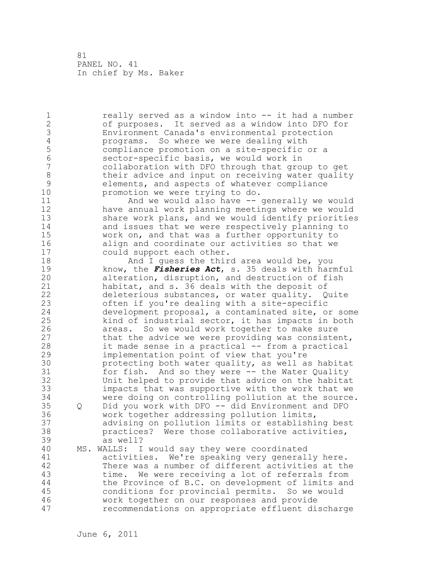1 1 really served as a window into -- it had a number<br>2 6 of purposes. It served as a window into DFO for 2 of purposes. It served as a window into DFO for 3 Environment Canada's environmental protection 4 programs. So where we were dealing with<br>5 compliance promotion on a site-specific 5 compliance promotion on a site-specific or a 6 sector-specific basis, we would work in 7 collaboration with DFO through that group to get 8 their advice and input on receiving water quality<br>9 elements, and aspects of whatever compliance 9 elements, and aspects of whatever compliance<br>10 promotion we were trying to do. 10 **promotion we were trying to do.**<br>11 **hand we would also have --**11 1 And we would also have -- generally we would<br>12 have annual work planning meetings where we would 12 have annual work planning meetings where we would<br>13 Share work plans, and we would identify prioritie: 13 Share work plans, and we would identify priorities<br>14 and issues that we were respectively planning to 14 and issues that we were respectively planning to<br>15 work on, and that was a further opportunity to 15 work on, and that was a further opportunity to<br>16 align and coordinate our activities so that we 16 align and coordinate our activities so that we<br>17 could support each other. 17 could support each other.<br>18 and I quess the thir 18 And I guess the third area would be, you<br>19 Manow, the *Fisheries Act*, s. 35 deals with har 19 know, the *Fisheries Act*, s. 35 deals with harmful<br>20 alteration, disruption, and destruction of fish 20 alteration, disruption, and destruction of fish<br>21 habitat, and s. 36 deals with the deposit of 21 habitat, and s. 36 deals with the deposit of<br>22 deleterious substances, or water quality. O 22 deleterious substances, or water quality. Quite<br>23 often if you're dealing with a site-specific 23 often if you're dealing with a site-specific<br>24 development proposal, a contaminated site, o 24 development proposal, a contaminated site, or some<br>25 kind of industrial sector, it has impacts in both 25 kind of industrial sector, it has impacts in both<br>26 areas. So we would work together to make sure 26 areas. So we would work together to make sure<br>27 that the advice we were providing was consiste 27 that the advice we were providing was consistent,<br>28 it made sense in a practical -- from a practical 28 it made sense in a practical -- from a practical<br>29 implementation point of view that you're 29 implementation point of view that you're 30 **protecting both water quality, as well as habitat**<br>31 **part of the State State State State** State State State State State State State State State State State State 31 for fish. And so they were -- the Water Quality<br>32 Unit helped to provide that advice on the habitat 32 Unit helped to provide that advice on the habitat 33 impacts that was supportive with the work that we were doing on controlling pollution at the source. 35 Q Did you work with DFO -- did Environment and DFO 36 work together addressing pollution limits,<br>37 advising on pollution limits or establishi 37 advising on pollution limits or establishing best 38 practices? Were those collaborative activities,<br>39 as well? as well? 40 MS. WALLS: I would say they were coordinated<br>41 detivities. We're speaking very general 41 activities. We're speaking very generally here.<br>42 There was a number of different activities at th 42 There was a number of different activities at the<br>43 time. We were receiving a lot of referrals from time. We were receiving a lot of referrals from 44 the Province of B.C. on development of limits and<br>45 conditions for provincial permits. So we would conditions for provincial permits. So we would 46 work together on our responses and provide<br>47 Tecommendations on appropriate effluent di recommendations on appropriate effluent discharge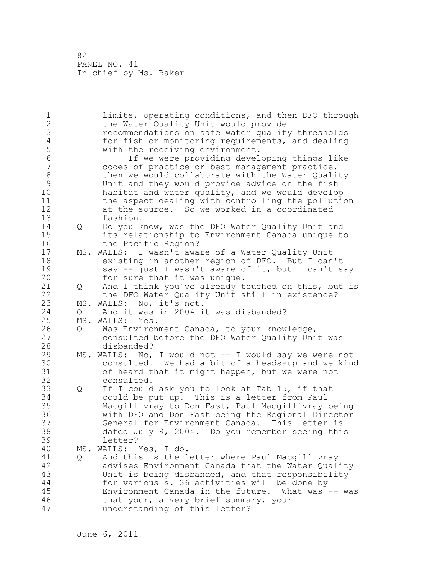1 limits, operating conditions, and then DFO through<br>2 the Water Ouality Unit would provide 2 the Water Quality Unit would provide<br>3 3 Tecommendations on safe water qualit 3 recommendations on safe water quality thresholds<br>4 for fish or monitoring requirements, and dealing 4 for fish or monitoring requirements, and dealing<br>5 with the receiving environment. 5 with the receiving environment.<br>6 1f we were providing devel 6 If we were providing developing things like<br>7 codes of practice or best management practice. 7 codes of practice or best management practice,<br>8 then we would collaborate with the Water Ouali 8 then we would collaborate with the Water Quality<br>9 Unit and they would provide advice on the fish 9 Unit and they would provide advice on the fish<br>10 habitat and water quality, and we would develor 10 habitat and water quality, and we would develop<br>11 the aspect dealing with controlling the pollution 11 the aspect dealing with controlling the pollution<br>12 at the source. So we worked in a coordinated 12 at the source. So we worked in a coordinated 13 13 fashion.<br>14 O Do vou k 14 Q Do you know, was the DFO Water Quality Unit and 15 its relationship to Environment Canada unique to 16 the Pacific Region?<br>17 MS. WALLS: I wasn't awa 17 MS. WALLS: I wasn't aware of a Water Quality Unit 18 existing in another region of DFO. But I can't<br>19 say -- just I wasn't aware of it, but I can't s 19 say -- just I wasn't aware of it, but I can't say<br>20 for sure that it was unique. 20 for sure that it was unique.<br>21 Q And I think you've already t 21 Q And I think you've already touched on this, but is<br>22 the DFO Water Ouality Unit still in existence? 22 the DFO Water Quality Unit still in existence?<br>23 MS. WALLS: No. it's not. MS. WALLS: No, it's not. 24 Q And it was in 2004 it was disbanded?<br>25 MS. WALLS: Yes. 25 MS. WALLS: Yes.<br>26 0 Was Environ 26 Q Was Environment Canada, to your knowledge,<br>27 consulted before the DFO Water Quality Uni 27 consulted before the DFO Water Quality Unit was 28 disbanded?<br>29 MS.WALLS: No. 29 MS. WALLS: No, I would not -- I would say we were not<br>30 consulted. We had a bit of a heads-up and we kin 30 consulted. We had a bit of a heads-up and we kind 31 of heard that it might happen, but we were not 32 consulted.<br>33 0 If I could 33 Q If I could ask you to look at Tab 15, if that could be put up. This is a letter from Paul 35 Macgillivray to Don Fast, Paul Macgillivray being 36 with DFO and Don Fast being the Regional Director 37 General for Environment Canada. This letter is<br>38 dated July 9, 2004. Do you remember seeing thi 38 dated July 9, 2004. Do you remember seeing this letter? 40 MS. WALLS: Yes, I do. 41 Q And this is the letter where Paul Macgillivray 42 advises Environment Canada that the Water Quality Unit is being disbanded, and that responsibility 44 for various s. 36 activities will be done by Environment Canada in the future. What was -- was 46 that your, a very brief summary, your<br>47 understanding of this letter? understanding of this letter?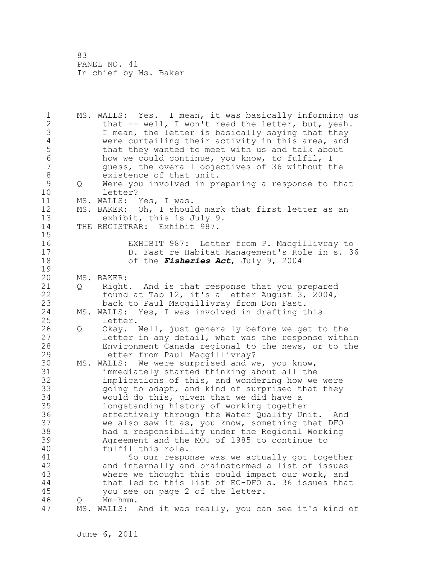1 MS. WALLS: Yes. I mean, it was basically informing us<br>2 that -- well, I won't read the letter, but, yeah. 2 that -- well, I won't read the letter, but, yeah.<br>3 I mean, the letter is basically saying that they 3 I mean, the letter is basically saying that they<br>4 were curtailing their activity in this area, and 4 were curtailing their activity in this area, and<br>5 that they wanted to meet with us and talk about 5 that they wanted to meet with us and talk about<br>6 how we could continue, you know, to fulfil, I 6 how we could continue, you know, to fulfil, I 7 guess, the overall objectives of 36 without the 8 existence of that unit.<br>9 0 Were you involved in pr 9 Q Were you involved in preparing a response to that 10 letter?<br>11 MS. WALLS: 11 MS. WALLS: Yes, I was.<br>12 MS. BAKER: Oh, I shoul 12 MS. BAKER: Oh, I should mark that first letter as an<br>13 exhibit, this is July 9. 13 exhibit, this is July 9.<br>14 THE REGISTRAR: Exhibit 987. THE REGISTRAR: Exhibit 987.  $\frac{15}{16}$ 16 EXHIBIT 987: Letter from P. Macgillivray to 17 D. Fast re Habitat Management's Role in s. 36 18 of the *Fisheries Act*, July 9, 2004  $\frac{19}{20}$ 20 MS. BAKER:<br>21 Q Right 21 Q Right. And is that response that you prepared<br>22 found at Tab 12, it's a letter August 3, 2004, 22 found at Tab 12, it's a letter August 3, 2004,<br>23 back to Paul Macgillivray from Don Fast. back to Paul Macgillivray from Don Fast. 24 MS. WALLS: Yes, I was involved in drafting this<br>25 letter. 25 letter.<br>26 O Okav. 26 Q Okay. Well, just generally before we get to the<br>27 letter in any detail, what was the response with 27 1etter in any detail, what was the response within<br>28 128 28 12 Environment Canada regional to the news, or to the 28 Environment Canada regional to the news, or to the 29 29 letter from Paul Macgillivray? 30 MS. WALLS: We were surprised and we, you know, 31 immediately started thinking about all the<br>32 implications of this, and wondering how we 32 implications of this, and wondering how we were 33 33 going to adapt, and kind of surprised that they<br>34 would do this, given that we did have a would do this, given that we did have a 35 longstanding history of working together 36 effectively through the Water Quality Unit. And<br>37 we also saw it as, you know, something that DFO 37 we also saw it as, you know, something that DFO<br>38 had a responsibility under the Regional Working 38 had a responsibility under the Regional Working 39 Agreement and the MOU of 1985 to continue to 40 fulfil this role.<br>41 So our respo 41 So our response was we actually got together<br>42 and internally and brainstormed a list of issues 42 and internally and brainstormed a list of issues<br>43 where we thought this could impact our work, and where we thought this could impact our work, and 44 that led to this list of EC-DFO s. 36 issues that<br>45 vou see on page 2 of the letter. you see on page 2 of the letter. 46 Q Mm-hmm.<br>47 MS. WALLS: MS. WALLS: And it was really, you can see it's kind of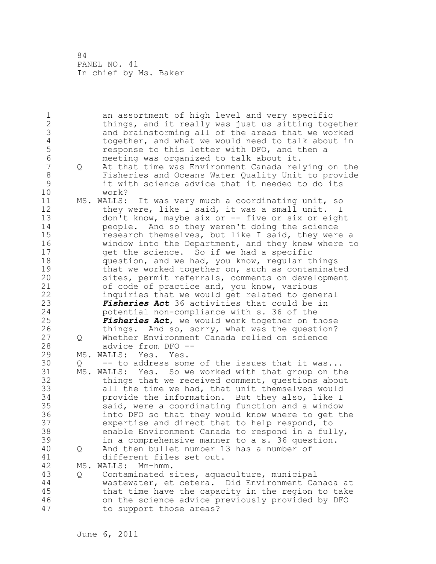| $\mathbf 1$    |     | an assortment of high level and very specific          |
|----------------|-----|--------------------------------------------------------|
| $\mathbf{2}$   |     | things, and it really was just us sitting together     |
| 3              |     | and brainstorming all of the areas that we worked      |
| $\sqrt{4}$     |     | together, and what we would need to talk about in      |
| 5              |     | response to this letter with DFO, and then a           |
| $\sqrt{6}$     |     | meeting was organized to talk about it.                |
| $\overline{7}$ | Q   | At that time was Environment Canada relying on the     |
| $\,8\,$        |     | Fisheries and Oceans Water Quality Unit to provide     |
| $\mathcal{G}$  |     | it with science advice that it needed to do its        |
| 10             |     | work?                                                  |
| 11             |     | MS. WALLS:<br>It was very much a coordinating unit, so |
|                |     |                                                        |
| 12             |     | they were, like I said, it was a small unit. I         |
| 13             |     | don't know, maybe six or -- five or six or eight       |
| 14             |     | people. And so they weren't doing the science          |
| 15             |     | research themselves, but like I said, they were a      |
| 16             |     | window into the Department, and they knew where to     |
| 17             |     | get the science. So if we had a specific               |
| 18             |     | question, and we had, you know, regular things         |
| 19             |     | that we worked together on, such as contaminated       |
| 20             |     | sites, permit referrals, comments on development       |
| 21             |     | of code of practice and, you know, various             |
| 22             |     | inquiries that we would get related to general         |
| 23             |     | Fisheries Act 36 activities that could be in           |
| 24             |     | potential non-compliance with s. 36 of the             |
| 25             |     | Fisheries Act, we would work together on those         |
| 26             |     | things. And so, sorry, what was the question?          |
| 27             | Q   | Whether Environment Canada relied on science           |
| 28             |     | advice from DFO --                                     |
| 29             | MS. | WALLS: Yes. Yes.                                       |
| 30             | Q   | -- to address some of the issues that it was           |
| 31             | MS. |                                                        |
|                |     | WALLS: Yes. So we worked with that group on the        |
| 32             |     | things that we received comment, questions about       |
| 33             |     | all the time we had, that unit themselves would        |
| 34             |     | provide the information. But they also, like I         |
| 35             |     | said, were a coordinating function and a window        |
| 36             |     | into DFO so that they would know where to get the      |
| 37             |     | expertise and direct that to help respond, to          |
| 38             |     | enable Environment Canada to respond in a fully,       |
| 39             |     | in a comprehensive manner to a s. 36 question.         |
| 40             | Q   | And then bullet number 13 has a number of              |
| 41             |     | different files set out.                               |
| 42             |     | MS. WALLS:<br>$Mm-hmm$ .                               |
| 43             | Q   | Contaminated sites, aquaculture, municipal             |
| 44             |     | wastewater, et cetera.<br>Did Environment Canada at    |
| 45             |     | that time have the capacity in the region to take      |
| 46             |     | on the science advice previously provided by DFO       |
| 47             |     | to support those areas?                                |
|                |     |                                                        |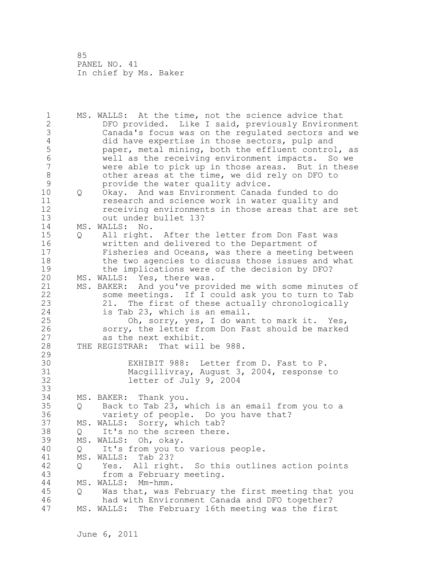1 MS. WALLS: At the time, not the science advice that<br>2 DFO provided. Like I said, previously Environm 2 DFO provided. Like I said, previously Environment 3 Canada's focus was on the regulated sectors and we 4 did have expertise in those sectors, pulp and<br>5 paper, metal mining, both the effluent control 5 paper, metal mining, both the effluent control, as<br>6 6 well as the receiving environment impacts. So we 6 well as the receiving environment impacts. So we 7 were able to pick up in those areas. But in these 8 other areas at the time, we did rely on DFO to<br>9 provide the water quality advice. 9 provide the water quality advice.<br>10 0 0 0 Okav. And was Environment Canada 10 Q Okay. And was Environment Canada funded to do 11 **12** research and science work in water quality and<br>12 **12** receiving environments in those areas that are 12 receiving environments in those areas that are set<br>13 out under bullet 13? 13 out under bullet 13?<br>14 MS. WALLS: No. 14 MS. WALLS: No.<br>15 0 All right. 15 Q All right. After the letter from Don Fast was<br>16 written and delivered to the Department of 16 16 written and delivered to the Department of<br>17 Fisheries and Oceans, was there a meeting 17 Fisheries and Oceans, was there a meeting between 18 the two agencies to discuss those issues and what<br>19 the implications were of the decision by DFO? 19 the implications were of the decision by DFO?<br>20 MS. WALLS: Yes, there was. 20 MS. WALLS: Yes, there was.<br>21 MS. BAKER: And you've prov 21 MS. BAKER: And you've provided me with some minutes of 22 some meetings. If I could ask you to turn to Tab 22 some meetings. If I could ask you to turn to Tab<br>23 21. The first of these actually chronologically 21. The first of these actually chronologically 24 is Tab 23, which is an email.<br>25 Oh, sorry, yes, I do wan 25 Oh, sorry, yes, I do want to mark it. Yes,<br>26 Sorry, the letter from Don Fast should be marked 26 sorry, the letter from Don Fast should be marked<br>27 as the next exhibit. 27 as the next exhibit.<br>28 THE REGISTRAR: That will That will be 988.  $\frac{29}{30}$ 30 EXHIBIT 988: Letter from D. Fast to P. 31 Macgillivray, August 3, 2004, response to<br>32 letter of July 9, 2004 letter of July 9, 2004 33<br>34 MS. BAKER: Thank you. 35 Q Back to Tab 23, which is an email from you to a 36 variety of people. Do you have that?<br>37 MS. WALLS: Sorry, which tab? 37 MS. WALLS: Sorry, which tab?<br>38 0 It's no the screen there 38 Q It's no the screen there.<br>39 MS. WALLS: Oh, okav. 39 MS. WALLS: Oh, okay. 40 Q It's from you to various people.<br>41 MS. WALLS: Tab 23? 41 MS. WALLS: Tab 23?<br>42 0 Yes. All righ 42 Q Yes. All right. So this outlines action points<br>43 from a February meeting. from a February meeting. 44 MS. WALLS: Mm-hmm.<br>45 0 Was that, was 45 Q Was that, was February the first meeting that you 46 had with Environment Canada and DFO together?<br>47 MS. WALLS: The February 16th meeting was the firs MS. WALLS: The February 16th meeting was the first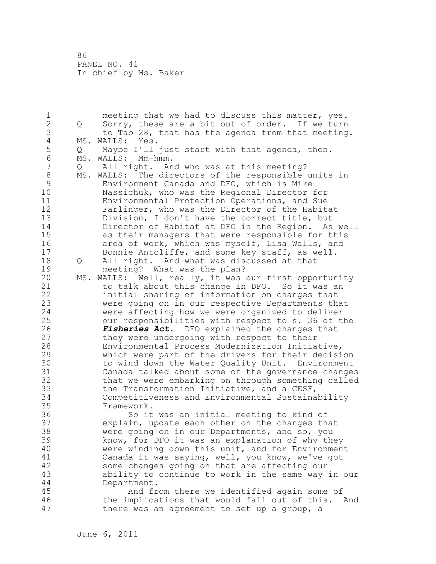1 meeting that we had to discuss this matter, yes.<br>2 0 Sorry, these are a bit out of order. If we turn 2 Q Sorry, these are a bit out of order. If we turn<br>3 to Tab 28, that has the agenda from that meeting 3 to Tab 28, that has the agenda from that meeting.<br>4 MS. WALLS: Yes. 4 MS. WALLS: Yes.<br>5 0 Maybe I'll 5 Q Maybe I'll just start with that agenda, then.<br>6 MS. WALLS: Mm-hmm. 6 MS. WALLS: Mm-hmm.<br>7 0 All right. An 7 Q All right. And who was at this meeting? 8 MS. WALLS: The directors of the responsible units in<br>9 Environment Canada and DFO, which is Mike 9 Environment Canada and DFO, which is Mike 10 10 Nassichuk, who was the Regional Director for<br>11 Environmental Protection Operations, and Sue 11 12 Environmental Protection Operations, and Sue<br>12 Farlinger, who was the Director of the Habit 12 Farlinger, who was the Director of the Habitat<br>13 Division, I don't have the correct title, but 13 Division, I don't have the correct title, but<br>14 Director of Habitat at DFO in the Region. As 14 Director of Habitat at DFO in the Region. As well<br>15 as their managers that were responsible for this 15 as their managers that were responsible for this<br>16 area of work, which was myself, Lisa Walls, and 16 area of work, which was myself, Lisa Walls, and<br>17 Bonnie Antcliffe, and some kev staff, as well. Bonnie Antcliffe, and some key staff, as well. 18 Q All right. And what was discussed at that 19 meeting? What was the plan?<br>20 MS. WALLS: Well, really, it was 20 MS. WALLS: Well, really, it was our first opportunity<br>21 to talk about this change in DFO. So it was an 21 to talk about this change in DFO. So it was an<br>22 initial sharing of information on changes that 22 1nitial sharing of information on changes that<br>23 1992 - Were going on in our respective Departments th were going on in our respective Departments that 24 were affecting how we were organized to deliver<br>25 001 cour responsibilities with respect to s. 36 of t 25 our responsibilities with respect to s. 36 of the<br>26 **Fisheries Act**. DFO explained the changes that 26 **Fisheries Act.** DFO explained the changes that<br>27 they were undergoing with respect to their 27 they were undergoing with respect to their<br>28 The Environmental Process Modernization Initia 28 Environmental Process Modernization Initiative, 29 which were part of the drivers for their decision 30 to wind down the Water Quality Unit. Environment<br>31 Canada talked about some of the governance change: 31 Canada talked about some of the governance changes 32 that we were embarking on through something called<br>33 the Transformation Initiative, and a CESF, 33 the Transformation Initiative, and a CESF,<br>34 Competitiveness and Environmental Sustaina 34 Competitiveness and Environmental Sustainability 35 Framework.<br>36 So it 36 So it was an initial meeting to kind of 37<br>37 Sexplain, update each other on the changes the 37 explain, update each other on the changes that<br>38 were going on in our Departments, and so, you 38 were going on in our Departments, and so, you<br>39 know, for DFO it was an explanation of why th 39 know, for DFO it was an explanation of why they<br>40 were winding down this unit, and for Environment 40 were winding down this unit, and for Environment<br>41 Canada it was saying, well, you know, we've got 41 Canada it was saying, well, you know, we've got<br>42 some changes going on that are affecting our 42 some changes going on that are affecting our<br>43 ability to continue to work in the same way ability to continue to work in the same way in our 44 Department.<br>45 And fr And from there we identified again some of 46 the implications that would fall out of this. And<br>47 there was an agreement to set up a group, a there was an agreement to set up a group, a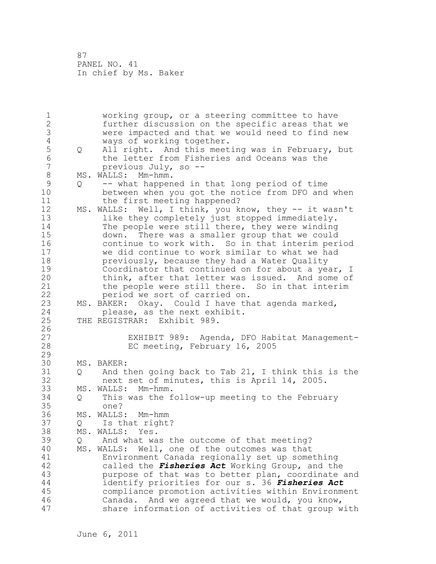1 working group, or a steering committee to have<br>2 further discussion on the specific areas that 2 further discussion on the specific areas that we 3 were impacted and that we would need to find new<br>4 ways of working together. 4 ways of working together.<br>5 0 All right. And this meet 5 Q All right. And this meeting was in February, but<br>6 the letter from Fisheries and Oceans was the 6 the letter from Fisheries and Oceans was the<br>7 previous July, so --7 previous July, so -- 8 MS. WALLS: Mm-hmm.<br>9 0 -- what happen 9 Q -- what happened in that long period of time<br>10 between when you got the notice from DFO and 10 between when you got the notice from DFO and when<br>11 the first meeting happened? 11 the first meeting happened?<br>12 MS. WALLS: Well, I think, vou k 12 MS. WALLS: Well, I think, you know, they -- it wasn't<br>13 like they completely just stopped immediately. 13 like they completely just stopped immediately.<br>14 The people were still there, they were winding 14 The people were still there, they were winding<br>15 down. There was a smaller group that we could 15 down. There was a smaller group that we could<br>16 continue to work with. So in that interim per: 16 continue to work with. So in that interim period<br>17 we did continue to work similar to what we had 17 we did continue to work similar to what we had<br>18 **belom** previously, because they had a Water Ouality 18 previously, because they had a Water Quality 19 Coordinator that continued on for about a year, I<br>20 think, after that letter was issued. And some of 20 think, after that letter was issued. And some of<br>21 the people were still there. So in that interim 21 the people were still there. So in that interim<br>22 beriod we sort of carried on. 22 period we sort of carried on. MS. BAKER: Okay. Could I have that agenda marked, 24 please, as the next exhibit.<br>25 THE REGISTRAR: Exhibit 989. THE REGISTRAR: Exhibit 989.  $\frac{26}{27}$ 27 EXHIBIT 989: Agenda, DFO Habitat Management-EC meeting, February 16, 2005  $\frac{29}{30}$ 30 MS. BAKER:<br>31 0 And t 31 Q And then going back to Tab 21, I think this is the<br>32 mext set of minutes, this is April 14, 2005. 32 next set of minutes, this is April 14, 2005. 33 MS. WALLS: Mm-hmm. 34 Q This was the follow-up meeting to the February 35 one?<br>36 MS.WALLS 36 MS. WALLS: Mm-hmm<br>37 0 Is that right 37 Q Is that right?<br>38 MS. WALLS: Yes. 38 MS. WALLS: Yes.<br>39 0 And what wa 39 Q And what was the outcome of that meeting?<br>40 MS. WALLS: Well, one of the outcomes was that 40 MS. WALLS: Well, one of the outcomes was that<br>41 Thironment Canada regionally set up some 41 Environment Canada regionally set up something<br>42 called the *Fisheries Act* Working Group, and the 42 called the *Fisheries Act* Working Group, and the purpose of that was to better plan, coordinate and 44 identify priorities for our s. 36 *Fisheries Act*  compliance promotion activities within Environment 46 Canada. And we agreed that we would, you know,<br>47 Share information of activities of that group w share information of activities of that group with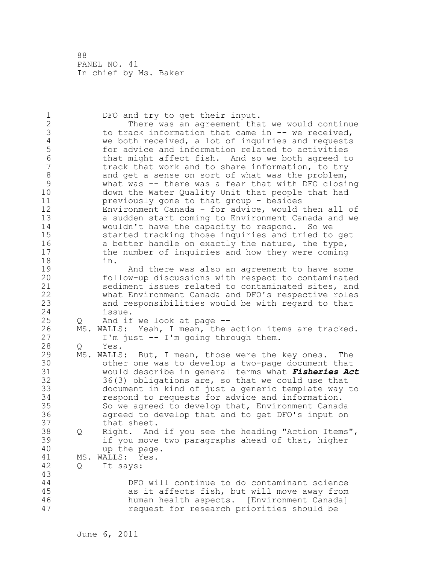1 DFO and try to get their input.<br>2 There was an agreement tha 2 There was an agreement that we would continue<br>3 to track information that came in -- we received, 3 to track information that came in -- we received,<br>4 we both received, a lot of inquiries and requests 4 we both received, a lot of inquiries and requests<br>5 for advice and information related to activities 5 for advice and information related to activities 6 that might affect fish. And so we both agreed to 7 track that work and to share information, to try<br>8 and get a sense on sort of what was the problem. 8 and get a sense on sort of what was the problem,<br>9 what was -- there was a fear that with DFO closi 9 what was -- there was a fear that with DFO closing<br>10 down the Water Ouality Unit that people that had 10 down the Water Quality Unit that people that had<br>11 oreviously gone to that group - besides 11 **11** previously gone to that group - besides<br>12 **Environment Canada** - for advice, would 12 Environment Canada - for advice, would then all of 13 a sudden start coming to Environment Canada and we<br>14 wouldn't have the capacity to respond. So we 14 wouldn't have the capacity to respond. So we<br>15 started tracking those inquiries and tried to 15 started tracking those inquiries and tried to get<br>16 a better handle on exactly the nature, the type, 16 a better handle on exactly the nature, the type,<br>17 the number of inquiries and how they were coming 17 the number of inquiries and how they were coming<br>18 in. 18 in. 19 And there was also an agreement to have some<br>20 follow-up discussions with respect to contaminated 20 follow-up discussions with respect to contaminated<br>21 sediment issues related to contaminated sites, and 21 sediment issues related to contaminated sites, and<br>22 what Environment Canada and DFO's respective roles 22 what Environment Canada and DFO's respective roles and responsibilities would be with regard to that 24 issue.<br>25 Q And if 25 Q And if we look at page --<br>26 MS. WALLS: Yeah, I mean, the 26 MS. WALLS: Yeah, I mean, the action items are tracked.<br>27 I'm just -- I'm going through them. 27 I'm just -- I'm going through them.<br>28 O Yes. 28 Q Yes.<br>29 MS.WALLS 29 MS. WALLS: But, I mean, those were the key ones. The<br>30 other one was to develop a two-page document that 30 0 0ther one was to develop a two-page document that<br>31 0 would describe in general terms what *Fisheries Ac* 31 would describe in general terms what *Fisheries Act*  32 36(3) obligations are, so that we could use that<br>33 document in kind of just a generic template way 33 document in kind of just a generic template way to 34 **1983** respond to requests for advice and information.<br>35 30 So we agreed to develop that, Environment Canad 35 So we agreed to develop that, Environment Canada<br>36 36 agreed to develop that and to get DFO's input on 36 agreed to develop that and to get DFO's input on 37 that sheet.<br>38 Q Right. And 38 Q Right. And if you see the heading "Action Items",<br>39 if you move two paragraphs ahead of that, higher 39 if you move two paragraphs ahead of that, higher<br>40 bup the page. 40 up the page.<br>41 MS. WALLS: Yes. 41 MS. WALLS:<br>42 0 It say 42 Q It says: 43 44 DFO will continue to do contaminant science as it affects fish, but will move away from 46 human health aspects. [Environment Canada] request for research priorities should be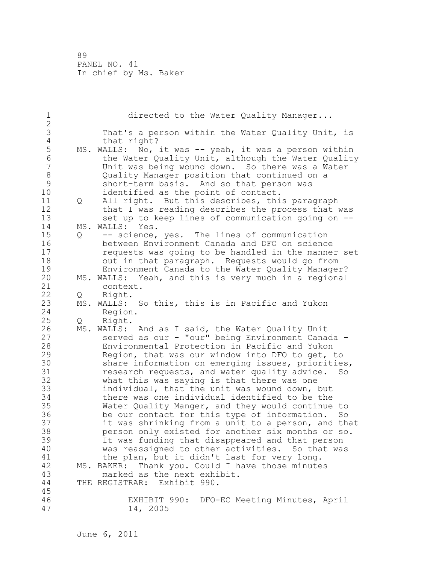| $1\,$               |     | directed to the Water Quality Manager                                                                  |
|---------------------|-----|--------------------------------------------------------------------------------------------------------|
| $\overline{2}$<br>3 |     | That's a person within the Water Quality Unit, is                                                      |
| $\sqrt{4}$          |     | that right?                                                                                            |
| 5                   |     | MS. WALLS: No, it was -- yeah, it was a person within                                                  |
| $6\phantom{.}6$     |     | the Water Quality Unit, although the Water Quality                                                     |
| $\overline{7}$      |     | Unit was being wound down. So there was a Water                                                        |
| $\,8\,$             |     | Quality Manager position that continued on a                                                           |
| $\mathcal{G}$       |     | short-term basis. And so that person was                                                               |
| 10                  |     | identified as the point of contact.                                                                    |
| 11                  | Q   | All right. But this describes, this paragraph                                                          |
| 12<br>13            |     | that I was reading describes the process that was<br>set up to keep lines of communication going on -- |
| 14                  |     | MS. WALLS: Yes.                                                                                        |
| 15                  | Q   | -- science, yes. The lines of communication                                                            |
| 16                  |     | between Environment Canada and DFO on science                                                          |
| 17                  |     | requests was going to be handled in the manner set                                                     |
| 18                  |     | out in that paragraph. Requests would go from                                                          |
| 19                  |     | Environment Canada to the Water Quality Manager?                                                       |
| 20                  |     | MS. WALLS: Yeah, and this is very much in a regional                                                   |
| 21                  |     | context.                                                                                               |
| 22                  | Q.  | Right.                                                                                                 |
| 23                  | MS. | WALLS: So this, this is in Pacific and Yukon                                                           |
| 24                  |     | Region.                                                                                                |
| 25                  | Q   | Right.                                                                                                 |
| 26<br>27            | MS. | WALLS: And as I said, the Water Quality Unit<br>served as our - "our" being Environment Canada -       |
| 28                  |     | Environmental Protection in Pacific and Yukon                                                          |
| 29                  |     | Region, that was our window into DFO to get, to                                                        |
| 30                  |     | share information on emerging issues, priorities,                                                      |
| 31                  |     | research requests, and water quality advice.<br>So                                                     |
| 32                  |     | what this was saying is that there was one                                                             |
| 33                  |     | individual, that the unit was wound down, but                                                          |
| 34                  |     | there was one individual identified to be the                                                          |
| 35                  |     | Water Quality Manger, and they would continue to                                                       |
| 36                  |     | be our contact for this type of information.<br>So                                                     |
| 37                  |     | it was shrinking from a unit to a person, and that                                                     |
| 38                  |     | person only existed for another six months or so.                                                      |
| 39<br>40            |     | It was funding that disappeared and that person                                                        |
| 41                  |     | was reassigned to other activities. So that was<br>the plan, but it didn't last for very long.         |
| 42                  |     | Thank you. Could I have those minutes<br>MS. BAKER:                                                    |
| 43                  |     | marked as the next exhibit.                                                                            |
| 44                  |     | THE REGISTRAR: Exhibit 990.                                                                            |
| 45                  |     |                                                                                                        |
| 46                  |     | EXHIBIT 990:<br>DFO-EC Meeting Minutes, April                                                          |
| 47                  |     | 14, 2005                                                                                               |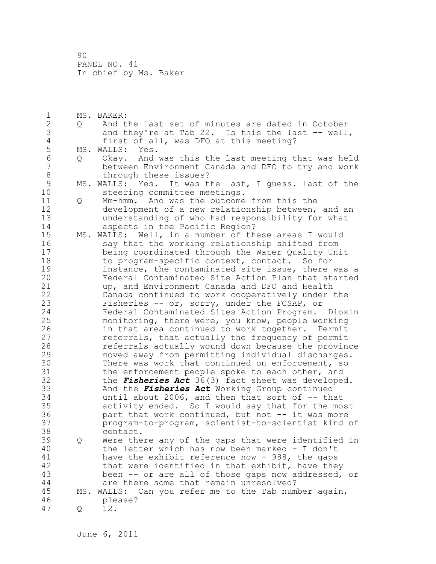1 MS. BAKER:<br>2 0 And t 2 Q And the last set of minutes are dated in October<br>3 and they're at Tab 22. Is this the last -- well 3 and they're at Tab 22. Is this the last -- well,<br>4 first of all, was DFO at this meeting? 4 first of all, was DFO at this meeting?<br>5 MS. WALLS: Yes. 5 MS.WALLS: Yes.<br>6 0 Okav. And 6 Q Okay. And was this the last meeting that was held 7 between Environment Canada and DFO to try and work 8 through these issues?<br>9 MS. WALLS: Yes. It was the 9 MS. WALLS: Yes. It was the last, I guess. last of the steering committee meetings. 10 steering committee meetings.<br>11 0 Mm-hmm. And was the outcome 11 Q Mm-hmm. And was the outcome from this the<br>12 development of a new relationship between. 12 development of a new relationship between, and an<br>13 manderstanding of who had responsibility for what 13 understanding of who had responsibility for what 14 aspects in the Pacific Region?<br>15 MS. WALLS: Well, in a number of the 15 MS. WALLS: Well, in a number of these areas I would<br>16 Say that the working relationship shifted from 16 5 say that the working relationship shifted from<br>17 3 being coordinated through the Water Ouality Un 17 being coordinated through the Water Quality Unit<br>18 being to program-specific context, contact. So for 18 to program-specific context, contact. So for<br>19 instance, the contaminated site issue, there 19 instance, the contaminated site issue, there was a<br>20 Federal Contaminated Site Action Plan that started 20 Federal Contaminated Site Action Plan that started<br>21 The And Environment Canada and DFO and Health 21 cup, and Environment Canada and DFO and Health<br>22 Canada continued to work cooperatively under 22 Canada continued to work cooperatively under the<br>23 Fisheries -- or, sorry, under the FCSAP, or Fisheries -- or, sorry, under the FCSAP, or 24 Federal Contaminated Sites Action Program. Dioxin<br>25 monitoring, there were, you know, people working 25 monitoring, there were, you know, people working<br>26 in that area continued to work together. Permit 26 in that area continued to work together. Permit<br>27 eferrals, that actually the frequency of permit 27 referrals, that actually the frequency of permit<br>28 referrals actually wound down because the provin 28 **19 referrals actually wound down because the province**<br>29 moved away from permitting individual discharges. 29 moved away from permitting individual discharges. 30 There was work that continued on enforcement, so<br>31 the enforcement people spoke to each other, and 31 the enforcement people spoke to each other, and<br>32 the *Fisheries Act* 36(3) fact sheet was developed 32 the *Fisheries Act* 36(3) fact sheet was developed. 33 And the *Fisheries Act* Working Group continued 34 until about 2006, and then that sort of -- that<br>35 activity ended. So I would say that for the mo 35 activity ended. So I would say that for the most 36 bart that work continued, but not -- it was more<br>37 brogram-to-program, scientist-to-scientist kind 37 program-to-program, scientist-to-scientist kind of 38 contact.<br>39 O Were the 39 Q Were there any of the gaps that were identified in 40 the letter which has now been marked - I don't 41 have the exhibit reference now - 988, the gaps<br>42 that were identified in that exhibit, have the 42 that were identified in that exhibit, have they<br>43 been -- or are all of those gaps now addressed, been -- or are all of those gaps now addressed, or 44 are there some that remain unresolved?<br>45 MS. WALLS: Can you refer me to the Tab num MS. WALLS: Can you refer me to the Tab number again, 46 please?<br>47 0 12.  $Q = 12.$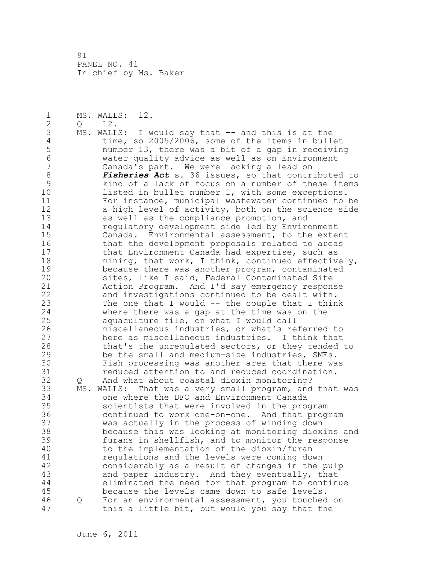1 MS. WALLS: 12.<br>2 0 12. 2 Q 12.<br>3 MS. WALLS: 3 MS. WALLS: I would say that -- and this is at the<br>4 time, so 2005/2006, some of the items in bull 4 time, so 2005/2006, some of the items in bullet<br>5 number 13, there was a bit of a qap in receivin 5 number 13, there was a bit of a gap in receiving<br>6 water quality advice as well as on Environment 6 water quality advice as well as on Environment 7 Canada's part. We were lacking a lead on 8 **Fisheries Act** s. 36 issues, so that contributed to<br>9 htind of a lack of focus on a number of these items 9 kind of a lack of focus on a number of these items<br>10 listed in bullet number 1, with some exceptions. 10 listed in bullet number 1, with some exceptions.<br>11 For instance, municipal wastewater continued to 11 For instance, municipal wastewater continued to be<br>12 a high level of activity, both on the science side 12 a high level of activity, both on the science side<br>13 as well as the compliance promotion, and 13 as well as the compliance promotion, and<br>14 Tequlatory development side led by Envir 14 regulatory development side led by Environment<br>15 Canada. Environmental assessment, to the exte 15 Canada. Environmental assessment, to the extent<br>16 that the development proposals related to areas 16 16 that the development proposals related to areas<br>17 that Environment Canada had expertise, such as 17 that Environment Canada had expertise, such as<br>18 mining, that work, I think, continued effective 18 mining, that work, I think, continued effectively,<br>19 because there was another program, contaminated 19 because there was another program, contaminated<br>20 sites, like I said, Federal Contaminated Site 20 sites, like I said, Federal Contaminated Site<br>21 Action Program. And I'd say emergency respon 21 Action Program. And I'd say emergency response<br>22 and investigations continued to be dealt with. 22 and investigations continued to be dealt with.<br>23 The one that I would -- the couple that I thin 23 The one that I would  $-$  the couple that I think<br>24 where there was a gap at the time was on the 24 where there was a gap at the time was on the<br>25 aquaculture file, on what I would call 25 aquaculture file, on what I would call<br>26 miscellaneous industries, or what's re 26 miscellaneous industries, or what's referred to<br>27 here as miscellaneous industries. I think that 27 here as miscellaneous industries. I think that<br>28 that's the unrequlated sectors, or they tended 28 that's the unregulated sectors, or they tended to<br>29 be the small and medium-size industries, SMEs. 29 be the small and medium-size industries, SMEs.<br>20 Fish processing was another area that there wa 30 Fish processing was another area that there was<br>31 Feduced attention to and reduced coordination. 31 ceduced attention to and reduced coordination.<br>32 0 And what about coastal dioxin monitoring? 32 Q And what about coastal dioxin monitoring? 33 MS. WALLS: That was a very small program, and that was 34 one where the DFO and Environment Canada<br>35 scientists that were involved in the pro 35 scientists that were involved in the program<br>36 continued to work one-on-one. And that prog 36 continued to work one-on-one. And that program 37 was actually in the process of winding down 38 because this was looking at monitoring dioxins and<br>39 furans in shellfish, and to monitor the response 39 **120 Furans in shellfish, and to monitor the response**<br>40 **120 Folloc the implementation of the dioxin/furan** 40 to the implementation of the dioxin/furan<br>41 The requlations and the levels were coming do 41 regulations and the levels were coming down<br>42 considerably as a result of changes in the 42 considerably as a result of changes in the pulp<br>43 and paper industry. And they eventually, that and paper industry. And they eventually, that 44 eliminated the need for that program to continue<br>45 because the levels came down to safe levels. because the levels came down to safe levels. 46 Q For an environmental assessment, you touched on<br>47 this a little bit, but would you say that the this a little bit, but would you say that the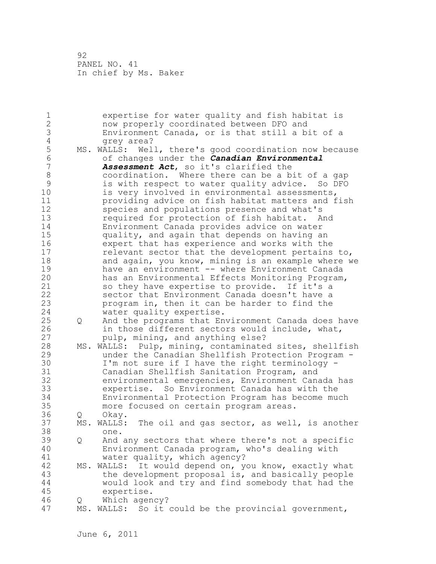1 expertise for water quality and fish habitat is<br>2 and the properly coordinated between DFO and 2 now properly coordinated between DFO and 3 Environment Canada, or is that still a bit of a 4 grey area?<br>5 MS. WALLS: Wel 5 MS. WALLS: Well, there's good coordination now because<br>6 of changes under the *Canadian Environmental* 6 of changes under the *Canadian Environmental*  7 *Assessment Act*, so it's clarified the 8 coordination. Where there can be a bit of a gap<br>9 is with respect to water quality advice. So DFO 9 is with respect to water quality advice. So DFO 10 is very involved in environmental assessments,<br>11 oroviding advice on fish habitat matters and f 11 **11** providing advice on fish habitat matters and fish<br>12 **providing and populations presence and what's** 12 species and populations presence and what's<br>13 sequired for protection of fish habitat. A 13 13 required for protection of fish habitat. And<br>14 14 Environment Canada provides advice on water 14 Environment Canada provides advice on water 15 quality, and again that depends on having an<br>16 expert that has experience and works with the 16 expert that has experience and works with the<br>17 endevant sector that the development pertains 17 17 relevant sector that the development pertains to,<br>18 18 and again, you know, mining is an example where w 18 and again, you know, mining is an example where we 19 have an environment -- where Environment Canada<br>20 has an Environmental Effects Monitoring Program 20 has an Environmental Effects Monitoring Program,<br>21 so they have expertise to provide. If it's a 21 so they have expertise to provide. If it's a<br>22 sector that Environment Canada doesn't have a 22 sector that Environment Canada doesn't have a<br>23 sector in, then it can be harder to find the program in, then it can be harder to find the 24 water quality expertise.<br>25 0 And the programs that En 25 Q And the programs that Environment Canada does have<br>26 in those different sectors would include, what, 26 in those different sectors would include, what,<br>27 bulp, mining, and anything else? 27 pulp, mining, and anything else?<br>28 MS. WALLS: Pulp, mining, contaminate 28 MS. WALLS: Pulp, mining, contaminated sites, shellfish 29 under the Canadian Shellfish Protection Program - 30 I'm not sure if I have the right terminology -<br>31 Canadian Shellfish Sanitation Program, and 31 Canadian Shellfish Sanitation Program, and 32 environmental emergencies, Environment Canada has 33 expertise. So Environment Canada has with the 34 Environmental Protection Program has become much 35 more focused on certain program areas.<br>36 0 Okay. 36 Q Okay. 37 MS. WALLS: The oil and gas sector, as well, is another one. 38 one.<br>39 O And 39 Q And any sectors that where there's not a specific<br>40 Bhvironment Canada program, who's dealing with 40 Environment Canada program, who's dealing with<br>41 water quality, which agency? 41 water quality, which agency?<br>42 MS. WALLS: It would depend on, v 42 MS. WALLS: It would depend on, you know, exactly what<br>43 the development proposal is, and basically people 43 the development proposal is, and basically people<br>44 would look and try and find somebody that had the 44 would look and try and find somebody that had the expertise. 46 Q Which agency?<br>47 MS. WALLS: So it MS. WALLS: So it could be the provincial government,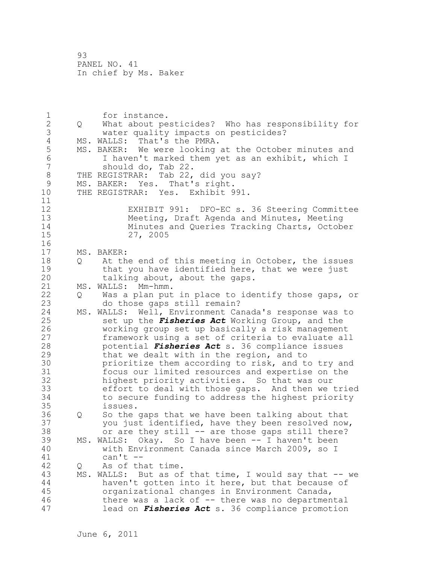1 for instance.<br>2 0 What about pe 2 Q What about pesticides? Who has responsibility for 3 water quality impacts on pesticides?<br>4 MS. WALLS: That's the PMRA. 4 MS. WALLS: That's the PMRA.<br>5 MS. BAKER: We were looking 5 MS. BAKER: We were looking at the October minutes and<br>6 1 haven't marked them vet as an exhibit, which I 6 I haven't marked them yet as an exhibit, which I 7 should do, Tab 22. 8 THE REGISTRAR: Tab 22, did you say?<br>9 MS. BAKER: Yes. That's right. 9 MS. BAKER: Yes. That's right.<br>10 THE REGISTRAR: Yes. Exhibit 9 THE REGISTRAR: Yes. Exhibit 991.  $\frac{11}{12}$ 12 EXHIBIT 991: DFO-EC s. 36 Steering Committee 13 Meeting, Draft Agenda and Minutes, Meeting 14 Minutes and Queries Tracking Charts, October<br>15 27, 2005 27, 2005  $\begin{array}{c} 16 \\ 17 \end{array}$ 17 MS. BAKER:<br>18 0 At th 18 Q at the end of this meeting in October, the issues<br>19 that you have identified here, that we were just 19 that you have identified here, that we were just<br>20 talking about, about the gaps. 20 talking about, about the gaps.<br>21 MS. WALLS: Mm-hmm. 21 MS. WALLS: Mm-hmm.<br>22 O Was a plan put 22 Q Was a plan put in place to identify those gaps, or<br>23 do those gaps still remain? 23 do those gaps still remain?<br>24 MS. WALLS: Well, Environment Ca 24 MS. WALLS: Well, Environment Canada's response was to<br>25 Set up the *Fisheries Act* Working Group, and the 25 set up the *Fisheries Act* Working Group, and the 26 working group set up basically a risk management<br>27 framework using a set of criteria to evaluate all 27 framework using a set of criteria to evaluate all<br>28 botential *Fisheries Act* s. 36 compliance issues 28 potential *Fisheries Act* s. 36 compliance issues 29 that we dealt with in the region, and to<br>30 **building the according to risk, and to** 30 **prioritize them according to risk, and to try and**<br>31 **produce the strain of the strain form of the** 31 focus our limited resources and expertise on the<br>32 highest priority activities. So that was our 32 highest priority activities. So that was our 33 effort to deal with those gaps. And then we tried 34 to secure funding to address the highest priority 35 issues.<br>36 Q So the 36 Q So the gaps that we have been talking about that 37 you just identified, have they been resolved now,<br>38 or are they still -- are those gaps still there? 38 or are they still -- are those gaps still there?<br>39 MS. WALLS: Okav. So I have been -- I haven't been 39 MS. WALLS: Okay. So I have been -- I haven't been 40 with Environment Canada since March 2009, so I 41 can't --<br>42 0 As of the 42 Q As of that time.<br>43 MS. WALLS: But as of MS. WALLS: But as of that time, I would say that -- we 44 haven't gotten into it here, but that because of<br>45 organizational changes in Environment Canada. organizational changes in Environment Canada, 46 there was a lack of -- there was no departmental<br>47 lead on *Fisheries Act* s. 36 compliance promotion lead on *Fisheries Act* s. 36 compliance promotion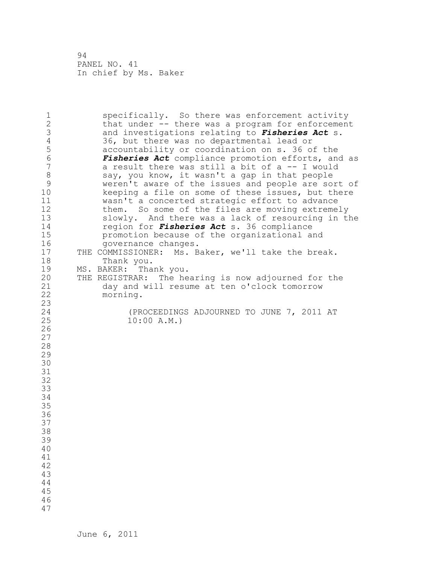1 specifically. So there was enforcement activity<br>2 that under -- there was a program for enforcement 2 that under -- there was a program for enforcement<br>3 and investigations relating to *Fisheries Act* s. 3 and investigations relating to *Fisheries Act* s. 4 36, but there was no departmental lead or 5 accountability or coordination on s. 36 of the<br>6 **Fisheries Act** compliance promotion efforts, an 6 *Fisheries Act* compliance promotion efforts, and as 7 a result there was still a bit of a -- I would<br>8 sav, you know, it wasn't a gap in that people 8 say, you know, it wasn't a gap in that people<br>9 weren't aware of the issues and people are so 9 weren't aware of the issues and people are sort of<br>10 beeping a file on some of these issues, but there 10 keeping a file on some of these issues, but there<br>11 wasn't a concerted strategic effort to advance 11 wasn't a concerted strategic effort to advance<br>12 them. So some of the files are moving extreme 12 them. So some of the files are moving extremely<br>13 slowly. And there was a lack of resourcing in th 13 slowly. And there was a lack of resourcing in the<br>14 region for **Fisheries Act** s. 36 compliance 14 region for *Fisheries Act* s. 36 compliance 15 promotion because of the organizational and<br>16 movernance changes. 16 governance changes. 17 THE COMMISSIONER: Ms. Baker, we'll take the break.<br>18 Thank you. 18 Thank you.<br>19 MS. BAKER: Tha 19 MS. BAKER: Thank you.<br>20 THE REGISTRAR: The he 20 THE REGISTRAR: The hearing is now adjourned for the<br>21 day and will resume at ten o'clock tomorrow 21 day and will resume at ten o'clock tomorrow<br>22 morning. morning.  $\frac{23}{24}$ 24 (PROCEEDINGS ADJOURNED TO JUNE 7, 2011 AT  $10:00 A.M.$ 26 27 28 29 30 31 32 33 34 35 36 37 38 39 40 41 42 43 44 45 46 47